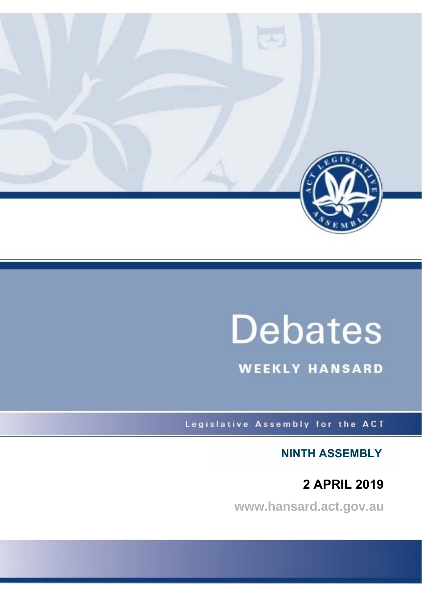

# **Debates**

**WEEKLY HANSARD** 

Legislative Assembly for the ACT

**NINTH ASSEMBLY**

 **2 APRIL 2019**

**www.hansard.act.gov.au**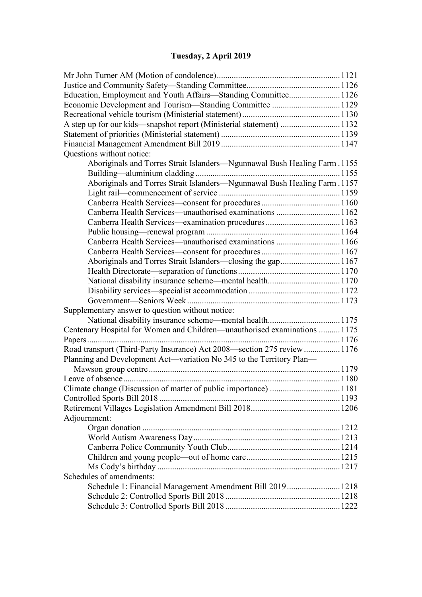# **[Tuesday, 2 April 2019](#page-2-0)**

| Education, Employment and Youth Affairs-Standing Committee1126            |  |  |  |
|---------------------------------------------------------------------------|--|--|--|
| Economic Development and Tourism-Standing Committee 1129                  |  |  |  |
|                                                                           |  |  |  |
| A step up for our kids-snapshot report (Ministerial statement) 1132       |  |  |  |
|                                                                           |  |  |  |
|                                                                           |  |  |  |
| Questions without notice:                                                 |  |  |  |
| Aboriginals and Torres Strait Islanders-Ngunnawal Bush Healing Farm. 1155 |  |  |  |
|                                                                           |  |  |  |
| Aboriginals and Torres Strait Islanders-Ngunnawal Bush Healing Farm. 1157 |  |  |  |
|                                                                           |  |  |  |
|                                                                           |  |  |  |
| Canberra Health Services—unauthorised examinations 1162                   |  |  |  |
|                                                                           |  |  |  |
|                                                                           |  |  |  |
| Canberra Health Services—unauthorised examinations 1166                   |  |  |  |
|                                                                           |  |  |  |
| Aboriginals and Torres Strait Islanders—closing the gap1167               |  |  |  |
|                                                                           |  |  |  |
|                                                                           |  |  |  |
|                                                                           |  |  |  |
|                                                                           |  |  |  |
| Supplementary answer to question without notice:                          |  |  |  |
| National disability insurance scheme—mental health1175                    |  |  |  |
| Centenary Hospital for Women and Children-unauthorised examinations  1175 |  |  |  |
|                                                                           |  |  |  |
| Road transport (Third-Party Insurance) Act 2008—section 275 review  1176  |  |  |  |
| Planning and Development Act—variation No 345 to the Territory Plan—      |  |  |  |
|                                                                           |  |  |  |
|                                                                           |  |  |  |
| Climate change (Discussion of matter of public importance) 1181           |  |  |  |
|                                                                           |  |  |  |
|                                                                           |  |  |  |
| Adjournment:                                                              |  |  |  |
|                                                                           |  |  |  |
|                                                                           |  |  |  |
|                                                                           |  |  |  |
|                                                                           |  |  |  |
|                                                                           |  |  |  |
| Schedules of amendments:                                                  |  |  |  |
| Schedule 1: Financial Management Amendment Bill 2019 1218                 |  |  |  |
|                                                                           |  |  |  |
|                                                                           |  |  |  |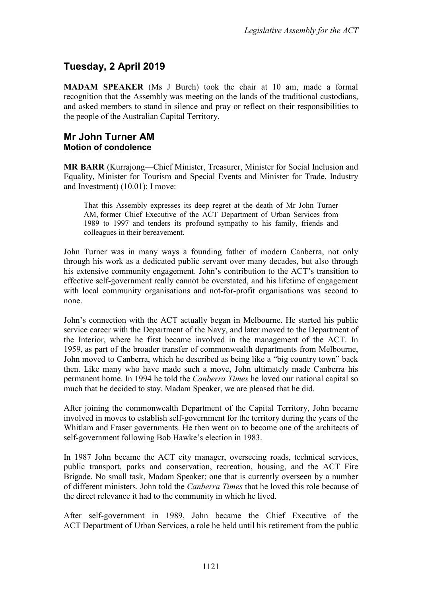# <span id="page-2-0"></span>**Tuesday, 2 April 2019**

**MADAM SPEAKER** (Ms J Burch) took the chair at 10 am, made a formal recognition that the Assembly was meeting on the lands of the traditional custodians, and asked members to stand in silence and pray or reflect on their responsibilities to the people of the Australian Capital Territory.

### <span id="page-2-2"></span><span id="page-2-1"></span>**Mr John Turner AM Motion of condolence**

**MR BARR** (Kurrajong—Chief Minister, Treasurer, Minister for Social Inclusion and Equality, Minister for Tourism and Special Events and Minister for Trade, Industry and Investment) (10.01): I move:

That this Assembly expresses its deep regret at the death of Mr John Turner AM, former Chief Executive of the ACT Department of Urban Services from 1989 to 1997 and tenders its profound sympathy to his family, friends and colleagues in their bereavement.

John Turner was in many ways a founding father of modern Canberra, not only through his work as a dedicated public servant over many decades, but also through his extensive community engagement. John's contribution to the ACT's transition to effective self-government really cannot be overstated, and his lifetime of engagement with local community organisations and not-for-profit organisations was second to none.

John's connection with the ACT actually began in Melbourne. He started his public service career with the Department of the Navy, and later moved to the Department of the Interior, where he first became involved in the management of the ACT. In 1959, as part of the broader transfer of commonwealth departments from Melbourne, John moved to Canberra, which he described as being like a "big country town" back then. Like many who have made such a move, John ultimately made Canberra his permanent home. In 1994 he told the *Canberra Times* he loved our national capital so much that he decided to stay. Madam Speaker, we are pleased that he did.

After joining the commonwealth Department of the Capital Territory, John became involved in moves to establish self-government for the territory during the years of the Whitlam and Fraser governments. He then went on to become one of the architects of self-government following Bob Hawke's election in 1983.

In 1987 John became the ACT city manager, overseeing roads, technical services, public transport, parks and conservation, recreation, housing, and the ACT Fire Brigade. No small task, Madam Speaker; one that is currently overseen by a number of different ministers. John told the *Canberra Times* that he loved this role because of the direct relevance it had to the community in which he lived.

After self-government in 1989, John became the Chief Executive of the ACT Department of Urban Services, a role he held until his retirement from the public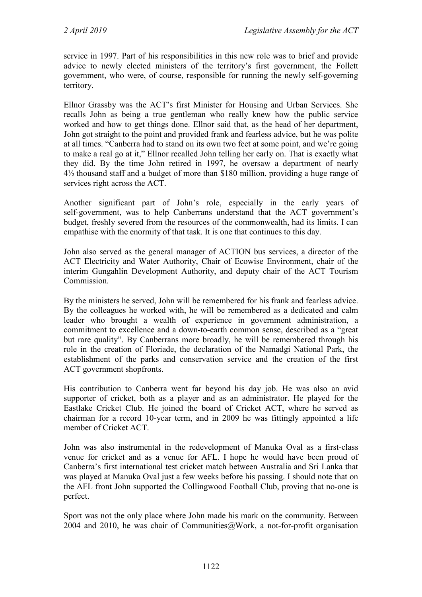service in 1997. Part of his responsibilities in this new role was to brief and provide advice to newly elected ministers of the territory's first government, the Follett government, who were, of course, responsible for running the newly self-governing territory.

Ellnor Grassby was the ACT's first Minister for Housing and Urban Services. She recalls John as being a true gentleman who really knew how the public service worked and how to get things done. Ellnor said that, as the head of her department, John got straight to the point and provided frank and fearless advice, but he was polite at all times. "Canberra had to stand on its own two feet at some point, and we're going to make a real go at it," Ellnor recalled John telling her early on. That is exactly what they did. By the time John retired in 1997, he oversaw a department of nearly 4½ thousand staff and a budget of more than \$180 million, providing a huge range of services right across the ACT.

Another significant part of John's role, especially in the early years of self-government, was to help Canberrans understand that the ACT government's budget, freshly severed from the resources of the commonwealth, had its limits. I can empathise with the enormity of that task. It is one that continues to this day.

John also served as the general manager of ACTION bus services, a director of the ACT Electricity and Water Authority, Chair of Ecowise Environment, chair of the interim Gungahlin Development Authority, and deputy chair of the ACT Tourism Commission.

By the ministers he served, John will be remembered for his frank and fearless advice. By the colleagues he worked with, he will be remembered as a dedicated and calm leader who brought a wealth of experience in government administration, a commitment to excellence and a down-to-earth common sense, described as a "great but rare quality". By Canberrans more broadly, he will be remembered through his role in the creation of Floriade, the declaration of the Namadgi National Park, the establishment of the parks and conservation service and the creation of the first ACT government shopfronts.

His contribution to Canberra went far beyond his day job. He was also an avid supporter of cricket, both as a player and as an administrator. He played for the Eastlake Cricket Club. He joined the board of Cricket ACT, where he served as chairman for a record 10-year term, and in 2009 he was fittingly appointed a life member of Cricket ACT.

John was also instrumental in the redevelopment of Manuka Oval as a first-class venue for cricket and as a venue for AFL. I hope he would have been proud of Canberra's first international test cricket match between Australia and Sri Lanka that was played at Manuka Oval just a few weeks before his passing. I should note that on the AFL front John supported the Collingwood Football Club, proving that no-one is perfect.

Sport was not the only place where John made his mark on the community. Between 2004 and 2010, he was chair of Communities $@$ Work, a not-for-profit organisation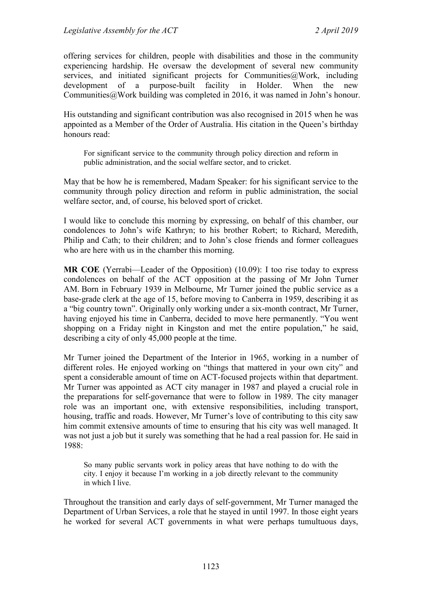offering services for children, people with disabilities and those in the community experiencing hardship. He oversaw the development of several new community services, and initiated significant projects for Communities@Work, including development of a purpose-built facility in Holder. When the new Communities@Work building was completed in 2016, it was named in John's honour.

His outstanding and significant contribution was also recognised in 2015 when he was appointed as a Member of the Order of Australia. His citation in the Queen's birthday honours read:

For significant service to the community through policy direction and reform in public administration, and the social welfare sector, and to cricket.

May that be how he is remembered, Madam Speaker: for his significant service to the community through policy direction and reform in public administration, the social welfare sector, and, of course, his beloved sport of cricket.

I would like to conclude this morning by expressing, on behalf of this chamber, our condolences to John's wife Kathryn; to his brother Robert; to Richard, Meredith, Philip and Cath; to their children; and to John's close friends and former colleagues who are here with us in the chamber this morning.

**MR COE** (Yerrabi—Leader of the Opposition) (10.09): I too rise today to express condolences on behalf of the ACT opposition at the passing of Mr John Turner AM. Born in February 1939 in Melbourne, Mr Turner joined the public service as a base-grade clerk at the age of 15, before moving to Canberra in 1959, describing it as a "big country town". Originally only working under a six-month contract, Mr Turner, having enjoyed his time in Canberra, decided to move here permanently. "You went shopping on a Friday night in Kingston and met the entire population," he said, describing a city of only 45,000 people at the time.

Mr Turner joined the Department of the Interior in 1965, working in a number of different roles. He enjoyed working on "things that mattered in your own city" and spent a considerable amount of time on ACT-focused projects within that department. Mr Turner was appointed as ACT city manager in 1987 and played a crucial role in the preparations for self-governance that were to follow in 1989. The city manager role was an important one, with extensive responsibilities, including transport, housing, traffic and roads. However, Mr Turner's love of contributing to this city saw him commit extensive amounts of time to ensuring that his city was well managed. It was not just a job but it surely was something that he had a real passion for. He said in 1988:

So many public servants work in policy areas that have nothing to do with the city. I enjoy it because I'm working in a job directly relevant to the community in which I live.

Throughout the transition and early days of self-government, Mr Turner managed the Department of Urban Services, a role that he stayed in until 1997. In those eight years he worked for several ACT governments in what were perhaps tumultuous days,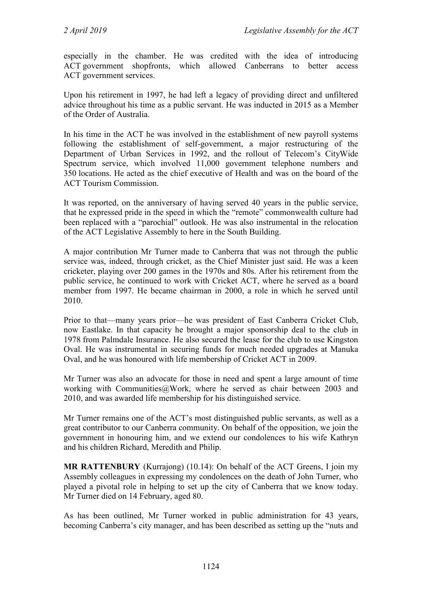especially in the chamber. He was credited with the idea of introducing ACT government shopfronts, which allowed Canberrans to better access ACT government services.

Upon his retirement in 1997, he had left a legacy of providing direct and unfiltered advice throughout his time as a public servant. He was inducted in 2015 as a Member of the Order of Australia.

In his time in the ACT he was involved in the establishment of new payroll systems following the establishment of self-government, a major restructuring of the Department of Urban Services in 1992, and the rollout of Telecom's CityWide Spectrum service, which involved 11,000 government telephone numbers and 350 locations. He acted as the chief executive of Health and was on the board of the ACT Tourism Commission.

It was reported, on the anniversary of having served 40 years in the public service, that he expressed pride in the speed in which the "remote" commonwealth culture had been replaced with a "parochial" outlook. He was also instrumental in the relocation of the ACT Legislative Assembly to here in the South Building.

A major contribution Mr Turner made to Canberra that was not through the public service was, indeed, through cricket, as the Chief Minister just said. He was a keen cricketer, playing over 200 games in the 1970s and 80s. After his retirement from the public service, he continued to work with Cricket ACT, where he served as a board member from 1997. He became chairman in 2000, a role in which he served until 2010.

Prior to that—many years prior—he was president of East Canberra Cricket Club, now Eastlake. In that capacity he brought a major sponsorship deal to the club in 1978 from Palmdale Insurance. He also secured the lease for the club to use Kingston Oval. He was instrumental in securing funds for much needed upgrades at Manuka Oval, and he was honoured with life membership of Cricket ACT in 2009.

Mr Turner was also an advocate for those in need and spent a large amount of time working with Communities@Work, where he served as chair between 2003 and 2010, and was awarded life membership for his distinguished service.

Mr Turner remains one of the ACT's most distinguished public servants, as well as a great contributor to our Canberra community. On behalf of the opposition, we join the government in honouring him, and we extend our condolences to his wife Kathryn and his children Richard, Meredith and Philip.

**MR RATTENBURY** (Kurrajong) (10.14): On behalf of the ACT Greens, I join my Assembly colleagues in expressing my condolences on the death of John Turner, who played a pivotal role in helping to set up the city of Canberra that we know today. Mr Turner died on 14 February, aged 80.

As has been outlined, Mr Turner worked in public administration for 43 years, becoming Canberra's city manager, and has been described as setting up the "nuts and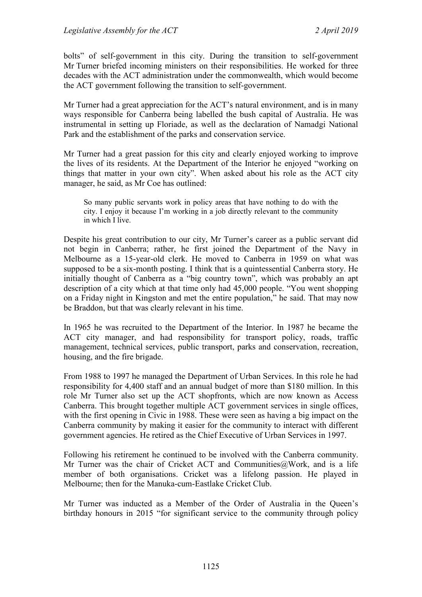bolts" of self-government in this city. During the transition to self-government Mr Turner briefed incoming ministers on their responsibilities. He worked for three decades with the ACT administration under the commonwealth, which would become the ACT government following the transition to self-government.

Mr Turner had a great appreciation for the ACT's natural environment, and is in many ways responsible for Canberra being labelled the bush capital of Australia. He was instrumental in setting up Floriade, as well as the declaration of Namadgi National Park and the establishment of the parks and conservation service.

Mr Turner had a great passion for this city and clearly enjoyed working to improve the lives of its residents. At the Department of the Interior he enjoyed "working on things that matter in your own city". When asked about his role as the ACT city manager, he said, as Mr Coe has outlined:

So many public servants work in policy areas that have nothing to do with the city. I enjoy it because I'm working in a job directly relevant to the community in which I live.

Despite his great contribution to our city, Mr Turner's career as a public servant did not begin in Canberra; rather, he first joined the Department of the Navy in Melbourne as a 15-year-old clerk. He moved to Canberra in 1959 on what was supposed to be a six-month posting. I think that is a quintessential Canberra story. He initially thought of Canberra as a "big country town", which was probably an apt description of a city which at that time only had 45,000 people. "You went shopping on a Friday night in Kingston and met the entire population," he said. That may now be Braddon, but that was clearly relevant in his time.

In 1965 he was recruited to the Department of the Interior. In 1987 he became the ACT city manager, and had responsibility for transport policy, roads, traffic management, technical services, public transport, parks and conservation, recreation, housing, and the fire brigade.

From 1988 to 1997 he managed the Department of Urban Services. In this role he had responsibility for 4,400 staff and an annual budget of more than \$180 million. In this role Mr Turner also set up the ACT shopfronts, which are now known as Access Canberra. This brought together multiple ACT government services in single offices, with the first opening in Civic in 1988. These were seen as having a big impact on the Canberra community by making it easier for the community to interact with different government agencies. He retired as the Chief Executive of Urban Services in 1997.

Following his retirement he continued to be involved with the Canberra community. Mr Turner was the chair of Cricket ACT and Communities $@$ Work, and is a life member of both organisations. Cricket was a lifelong passion. He played in Melbourne; then for the Manuka-cum-Eastlake Cricket Club.

Mr Turner was inducted as a Member of the Order of Australia in the Queen's birthday honours in 2015 "for significant service to the community through policy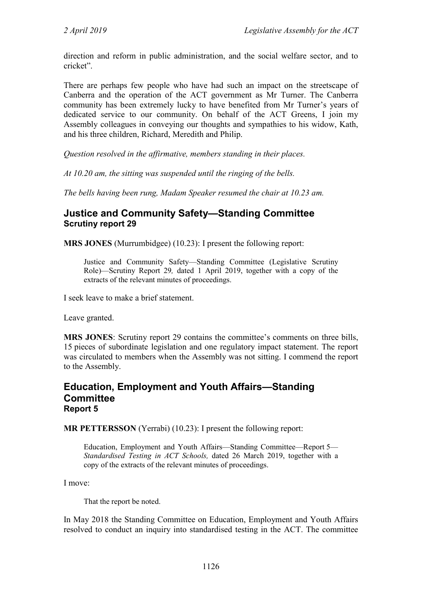direction and reform in public administration, and the social welfare sector, and to cricket".

There are perhaps few people who have had such an impact on the streetscape of Canberra and the operation of the ACT government as Mr Turner. The Canberra community has been extremely lucky to have benefited from Mr Turner's years of dedicated service to our community. On behalf of the ACT Greens, I join my Assembly colleagues in conveying our thoughts and sympathies to his widow, Kath, and his three children, Richard, Meredith and Philip.

*Question resolved in the affirmative, members standing in their places.*

*At 10.20 am, the sitting was suspended until the ringing of the bells.* 

*The bells having been rung, Madam Speaker resumed the chair at 10.23 am.*

# <span id="page-7-0"></span>**Justice and Community Safety—Standing Committee Scrutiny report 29**

**MRS JONES** (Murrumbidgee) (10.23): I present the following report:

Justice and Community Safety—Standing Committee (Legislative Scrutiny Role)—Scrutiny Report 29*,* dated 1 April 2019, together with a copy of the extracts of the relevant minutes of proceedings.

I seek leave to make a brief statement.

Leave granted.

**MRS JONES**: Scrutiny report 29 contains the committee's comments on three bills, 15 pieces of subordinate legislation and one regulatory impact statement. The report was circulated to members when the Assembly was not sitting. I commend the report to the Assembly.

## <span id="page-7-1"></span>**Education, Employment and Youth Affairs—Standing Committee Report 5**

**MR PETTERSSON** (Yerrabi) (10.23): I present the following report:

Education, Employment and Youth Affairs—Standing Committee—Report 5— *Standardised Testing in ACT Schools,* dated 26 March 2019, together with a copy of the extracts of the relevant minutes of proceedings.

I move:

That the report be noted.

In May 2018 the Standing Committee on Education, Employment and Youth Affairs resolved to conduct an inquiry into standardised testing in the ACT. The committee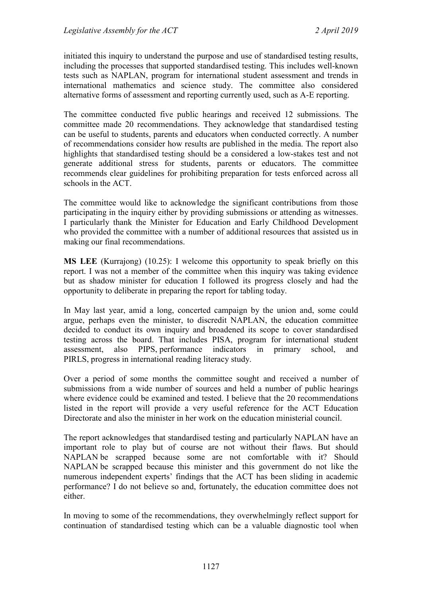initiated this inquiry to understand the purpose and use of standardised testing results, including the processes that supported standardised testing. This includes well-known tests such as NAPLAN, program for international student assessment and trends in international mathematics and science study. The committee also considered alternative forms of assessment and reporting currently used, such as A-E reporting.

The committee conducted five public hearings and received 12 submissions. The committee made 20 recommendations. They acknowledge that standardised testing can be useful to students, parents and educators when conducted correctly. A number of recommendations consider how results are published in the media. The report also highlights that standardised testing should be a considered a low-stakes test and not generate additional stress for students, parents or educators. The committee recommends clear guidelines for prohibiting preparation for tests enforced across all schools in the ACT.

The committee would like to acknowledge the significant contributions from those participating in the inquiry either by providing submissions or attending as witnesses. I particularly thank the Minister for Education and Early Childhood Development who provided the committee with a number of additional resources that assisted us in making our final recommendations.

**MS LEE** (Kurrajong) (10.25): I welcome this opportunity to speak briefly on this report. I was not a member of the committee when this inquiry was taking evidence but as shadow minister for education I followed its progress closely and had the opportunity to deliberate in preparing the report for tabling today.

In May last year, amid a long, concerted campaign by the union and, some could argue, perhaps even the minister, to discredit NAPLAN, the education committee decided to conduct its own inquiry and broadened its scope to cover standardised testing across the board. That includes PISA, program for international student assessment, also PIPS, performance indicators in primary school, and PIRLS, progress in international reading literacy study.

Over a period of some months the committee sought and received a number of submissions from a wide number of sources and held a number of public hearings where evidence could be examined and tested. I believe that the 20 recommendations listed in the report will provide a very useful reference for the ACT Education Directorate and also the minister in her work on the education ministerial council.

The report acknowledges that standardised testing and particularly NAPLAN have an important role to play but of course are not without their flaws. But should NAPLAN be scrapped because some are not comfortable with it? Should NAPLAN be scrapped because this minister and this government do not like the numerous independent experts' findings that the ACT has been sliding in academic performance? I do not believe so and, fortunately, the education committee does not either.

In moving to some of the recommendations, they overwhelmingly reflect support for continuation of standardised testing which can be a valuable diagnostic tool when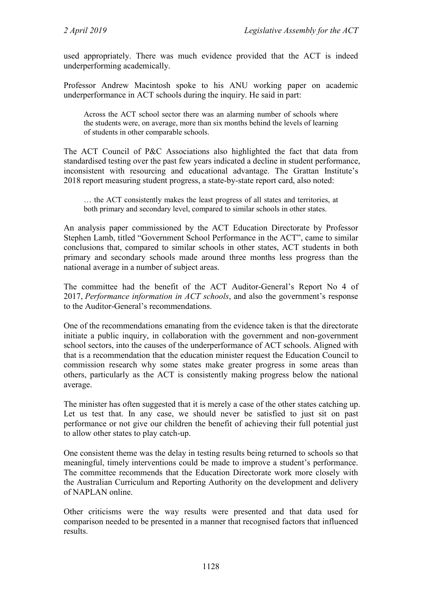used appropriately. There was much evidence provided that the ACT is indeed underperforming academically.

Professor Andrew Macintosh spoke to his ANU working paper on academic underperformance in ACT schools during the inquiry. He said in part:

Across the ACT school sector there was an alarming number of schools where the students were, on average, more than six months behind the levels of learning of students in other comparable schools.

The ACT Council of P&C Associations also highlighted the fact that data from standardised testing over the past few years indicated a decline in student performance, inconsistent with resourcing and educational advantage. The Grattan Institute's 2018 report measuring student progress, a state-by-state report card, also noted:

… the ACT consistently makes the least progress of all states and territories, at both primary and secondary level, compared to similar schools in other states.

An analysis paper commissioned by the ACT Education Directorate by Professor Stephen Lamb, titled "Government School Performance in the ACT", came to similar conclusions that, compared to similar schools in other states, ACT students in both primary and secondary schools made around three months less progress than the national average in a number of subject areas.

The committee had the benefit of the ACT Auditor-General's Report No 4 of 2017, *Performance information in ACT schools*, and also the government's response to the Auditor-General's recommendations.

One of the recommendations emanating from the evidence taken is that the directorate initiate a public inquiry, in collaboration with the government and non-government school sectors, into the causes of the underperformance of ACT schools. Aligned with that is a recommendation that the education minister request the Education Council to commission research why some states make greater progress in some areas than others, particularly as the ACT is consistently making progress below the national average.

The minister has often suggested that it is merely a case of the other states catching up. Let us test that. In any case, we should never be satisfied to just sit on past performance or not give our children the benefit of achieving their full potential just to allow other states to play catch-up.

One consistent theme was the delay in testing results being returned to schools so that meaningful, timely interventions could be made to improve a student's performance. The committee recommends that the Education Directorate work more closely with the Australian Curriculum and Reporting Authority on the development and delivery of NAPLAN online.

Other criticisms were the way results were presented and that data used for comparison needed to be presented in a manner that recognised factors that influenced results.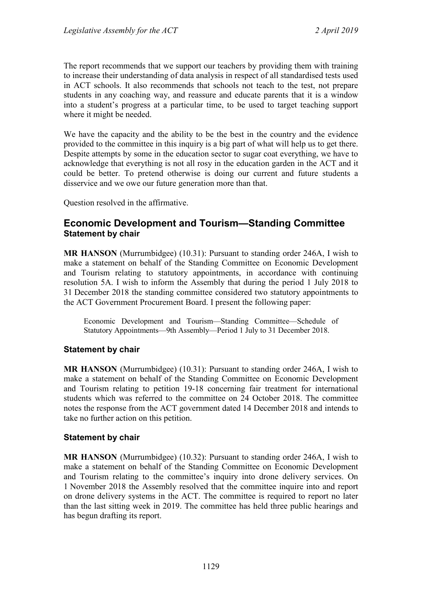The report recommends that we support our teachers by providing them with training to increase their understanding of data analysis in respect of all standardised tests used in ACT schools. It also recommends that schools not teach to the test, not prepare students in any coaching way, and reassure and educate parents that it is a window into a student's progress at a particular time, to be used to target teaching support where it might be needed.

We have the capacity and the ability to be the best in the country and the evidence provided to the committee in this inquiry is a big part of what will help us to get there. Despite attempts by some in the education sector to sugar coat everything, we have to acknowledge that everything is not all rosy in the education garden in the ACT and it could be better. To pretend otherwise is doing our current and future students a disservice and we owe our future generation more than that.

Question resolved in the affirmative.

# <span id="page-10-0"></span>**Economic Development and Tourism—Standing Committee Statement by chair**

**MR HANSON** (Murrumbidgee) (10.31): Pursuant to standing order 246A, I wish to make a statement on behalf of the Standing Committee on Economic Development and Tourism relating to statutory appointments, in accordance with continuing resolution 5A. I wish to inform the Assembly that during the period 1 July 2018 to 31 December 2018 the standing committee considered two statutory appointments to the ACT Government Procurement Board. I present the following paper:

Economic Development and Tourism—Standing Committee—Schedule of Statutory Appointments—9th Assembly—Period 1 July to 31 December 2018.

#### **Statement by chair**

**MR HANSON** (Murrumbidgee) (10.31): Pursuant to standing order 246A, I wish to make a statement on behalf of the Standing Committee on Economic Development and Tourism relating to petition 19-18 concerning fair treatment for international students which was referred to the committee on 24 October 2018. The committee notes the response from the ACT government dated 14 December 2018 and intends to take no further action on this petition.

#### **Statement by chair**

**MR HANSON** (Murrumbidgee) (10.32): Pursuant to standing order 246A, I wish to make a statement on behalf of the Standing Committee on Economic Development and Tourism relating to the committee's inquiry into drone delivery services. On 1 November 2018 the Assembly resolved that the committee inquire into and report on drone delivery systems in the ACT. The committee is required to report no later than the last sitting week in 2019. The committee has held three public hearings and has begun drafting its report.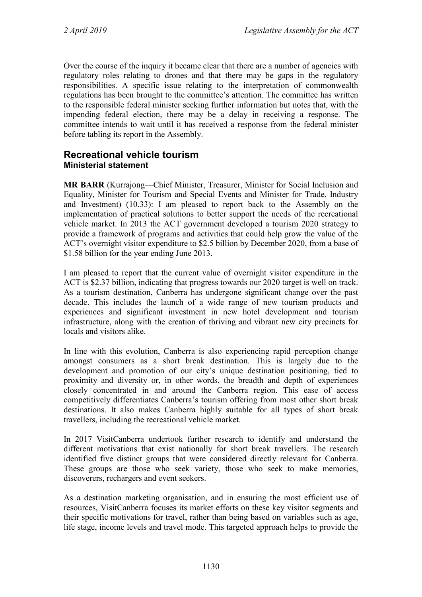Over the course of the inquiry it became clear that there are a number of agencies with regulatory roles relating to drones and that there may be gaps in the regulatory responsibilities. A specific issue relating to the interpretation of commonwealth regulations has been brought to the committee's attention. The committee has written to the responsible federal minister seeking further information but notes that, with the impending federal election, there may be a delay in receiving a response. The committee intends to wait until it has received a response from the federal minister before tabling its report in the Assembly.

# <span id="page-11-1"></span><span id="page-11-0"></span>**Recreational vehicle tourism Ministerial statement**

**MR BARR** (Kurrajong—Chief Minister, Treasurer, Minister for Social Inclusion and Equality, Minister for Tourism and Special Events and Minister for Trade, Industry and Investment) (10.33): I am pleased to report back to the Assembly on the implementation of practical solutions to better support the needs of the recreational vehicle market. In 2013 the ACT government developed a tourism 2020 strategy to provide a framework of programs and activities that could help grow the value of the ACT's overnight visitor expenditure to \$2.5 billion by December 2020, from a base of \$1.58 billion for the year ending June 2013.

I am pleased to report that the current value of overnight visitor expenditure in the ACT is \$2.37 billion, indicating that progress towards our 2020 target is well on track. As a tourism destination, Canberra has undergone significant change over the past decade. This includes the launch of a wide range of new tourism products and experiences and significant investment in new hotel development and tourism infrastructure, along with the creation of thriving and vibrant new city precincts for locals and visitors alike.

In line with this evolution, Canberra is also experiencing rapid perception change amongst consumers as a short break destination. This is largely due to the development and promotion of our city's unique destination positioning, tied to proximity and diversity or, in other words, the breadth and depth of experiences closely concentrated in and around the Canberra region. This ease of access competitively differentiates Canberra's tourism offering from most other short break destinations. It also makes Canberra highly suitable for all types of short break travellers, including the recreational vehicle market.

In 2017 VisitCanberra undertook further research to identify and understand the different motivations that exist nationally for short break travellers. The research identified five distinct groups that were considered directly relevant for Canberra. These groups are those who seek variety, those who seek to make memories, discoverers, rechargers and event seekers.

As a destination marketing organisation, and in ensuring the most efficient use of resources, VisitCanberra focuses its market efforts on these key visitor segments and their specific motivations for travel, rather than being based on variables such as age, life stage, income levels and travel mode. This targeted approach helps to provide the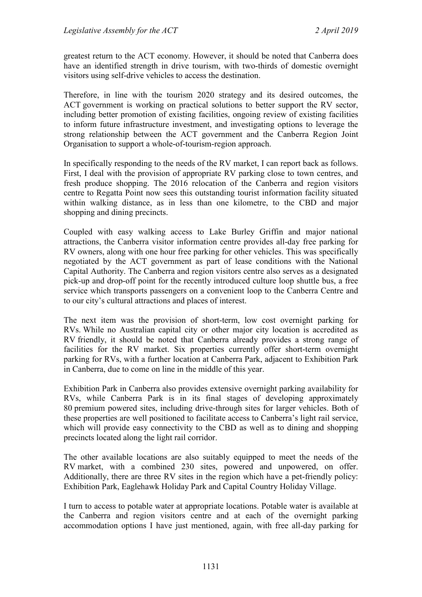greatest return to the ACT economy. However, it should be noted that Canberra does have an identified strength in drive tourism, with two-thirds of domestic overnight visitors using self-drive vehicles to access the destination.

Therefore, in line with the tourism 2020 strategy and its desired outcomes, the ACT government is working on practical solutions to better support the RV sector, including better promotion of existing facilities, ongoing review of existing facilities to inform future infrastructure investment, and investigating options to leverage the strong relationship between the ACT government and the Canberra Region Joint Organisation to support a whole-of-tourism-region approach.

In specifically responding to the needs of the RV market, I can report back as follows. First, I deal with the provision of appropriate RV parking close to town centres, and fresh produce shopping. The 2016 relocation of the Canberra and region visitors centre to Regatta Point now sees this outstanding tourist information facility situated within walking distance, as in less than one kilometre, to the CBD and major shopping and dining precincts.

Coupled with easy walking access to Lake Burley Griffin and major national attractions, the Canberra visitor information centre provides all-day free parking for RV owners, along with one hour free parking for other vehicles. This was specifically negotiated by the ACT government as part of lease conditions with the National Capital Authority. The Canberra and region visitors centre also serves as a designated pick-up and drop-off point for the recently introduced culture loop shuttle bus, a free service which transports passengers on a convenient loop to the Canberra Centre and to our city's cultural attractions and places of interest.

The next item was the provision of short-term, low cost overnight parking for RVs. While no Australian capital city or other major city location is accredited as RV friendly, it should be noted that Canberra already provides a strong range of facilities for the RV market. Six properties currently offer short-term overnight parking for RVs, with a further location at Canberra Park, adjacent to Exhibition Park in Canberra, due to come on line in the middle of this year.

Exhibition Park in Canberra also provides extensive overnight parking availability for RVs, while Canberra Park is in its final stages of developing approximately 80 premium powered sites, including drive-through sites for larger vehicles. Both of these properties are well positioned to facilitate access to Canberra's light rail service, which will provide easy connectivity to the CBD as well as to dining and shopping precincts located along the light rail corridor.

The other available locations are also suitably equipped to meet the needs of the RV market, with a combined 230 sites, powered and unpowered, on offer. Additionally, there are three RV sites in the region which have a pet-friendly policy: Exhibition Park, Eaglehawk Holiday Park and Capital Country Holiday Village.

I turn to access to potable water at appropriate locations. Potable water is available at the Canberra and region visitors centre and at each of the overnight parking accommodation options I have just mentioned, again, with free all-day parking for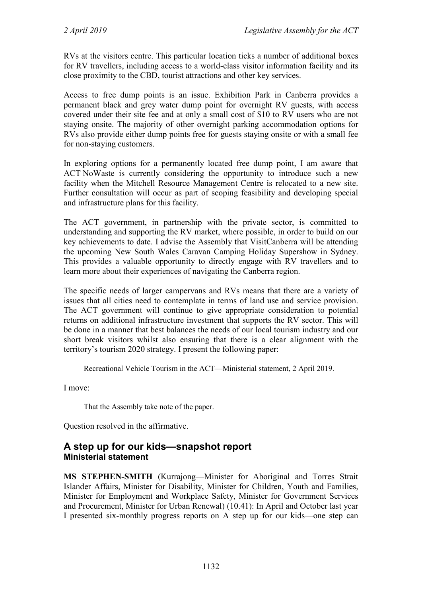RVs at the visitors centre. This particular location ticks a number of additional boxes for RV travellers, including access to a world-class visitor information facility and its close proximity to the CBD, tourist attractions and other key services.

Access to free dump points is an issue. Exhibition Park in Canberra provides a permanent black and grey water dump point for overnight RV guests, with access covered under their site fee and at only a small cost of \$10 to RV users who are not staying onsite. The majority of other overnight parking accommodation options for RVs also provide either dump points free for guests staying onsite or with a small fee for non-staying customers.

In exploring options for a permanently located free dump point, I am aware that ACT NoWaste is currently considering the opportunity to introduce such a new facility when the Mitchell Resource Management Centre is relocated to a new site. Further consultation will occur as part of scoping feasibility and developing special and infrastructure plans for this facility.

The ACT government, in partnership with the private sector, is committed to understanding and supporting the RV market, where possible, in order to build on our key achievements to date. I advise the Assembly that VisitCanberra will be attending the upcoming New South Wales Caravan Camping Holiday Supershow in Sydney. This provides a valuable opportunity to directly engage with RV travellers and to learn more about their experiences of navigating the Canberra region.

The specific needs of larger campervans and RVs means that there are a variety of issues that all cities need to contemplate in terms of land use and service provision. The ACT government will continue to give appropriate consideration to potential returns on additional infrastructure investment that supports the RV sector. This will be done in a manner that best balances the needs of our local tourism industry and our short break visitors whilst also ensuring that there is a clear alignment with the territory's tourism 2020 strategy. I present the following paper:

Recreational Vehicle Tourism in the ACT—Ministerial statement, 2 April 2019.

I move:

That the Assembly take note of the paper.

Question resolved in the affirmative.

# <span id="page-13-1"></span><span id="page-13-0"></span>**A step up for our kids—snapshot report Ministerial statement**

**MS STEPHEN-SMITH** (Kurrajong—Minister for Aboriginal and Torres Strait Islander Affairs, Minister for Disability, Minister for Children, Youth and Families, Minister for Employment and Workplace Safety, Minister for Government Services and Procurement, Minister for Urban Renewal) (10.41): In April and October last year I presented six-monthly progress reports on A step up for our kids—one step can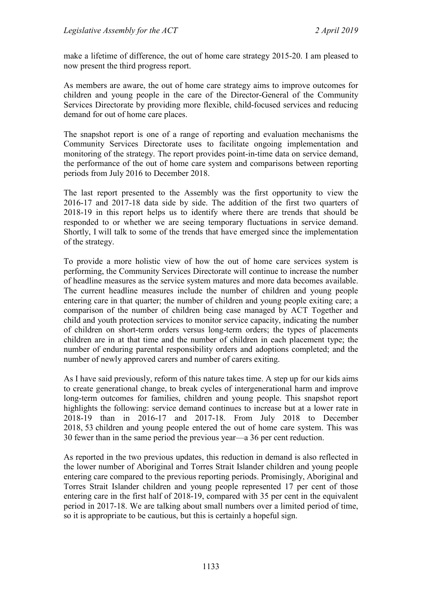make a lifetime of difference, the out of home care strategy 2015-20. I am pleased to now present the third progress report.

As members are aware, the out of home care strategy aims to improve outcomes for children and young people in the care of the Director-General of the Community Services Directorate by providing more flexible, child-focused services and reducing demand for out of home care places.

The snapshot report is one of a range of reporting and evaluation mechanisms the Community Services Directorate uses to facilitate ongoing implementation and monitoring of the strategy. The report provides point-in-time data on service demand, the performance of the out of home care system and comparisons between reporting periods from July 2016 to December 2018.

The last report presented to the Assembly was the first opportunity to view the 2016-17 and 2017-18 data side by side. The addition of the first two quarters of 2018-19 in this report helps us to identify where there are trends that should be responded to or whether we are seeing temporary fluctuations in service demand. Shortly, I will talk to some of the trends that have emerged since the implementation of the strategy.

To provide a more holistic view of how the out of home care services system is performing, the Community Services Directorate will continue to increase the number of headline measures as the service system matures and more data becomes available. The current headline measures include the number of children and young people entering care in that quarter; the number of children and young people exiting care; a comparison of the number of children being case managed by ACT Together and child and youth protection services to monitor service capacity, indicating the number of children on short-term orders versus long-term orders; the types of placements children are in at that time and the number of children in each placement type; the number of enduring parental responsibility orders and adoptions completed; and the number of newly approved carers and number of carers exiting.

As I have said previously, reform of this nature takes time. A step up for our kids aims to create generational change, to break cycles of intergenerational harm and improve long-term outcomes for families, children and young people. This snapshot report highlights the following: service demand continues to increase but at a lower rate in 2018-19 than in 2016-17 and 2017-18. From July 2018 to December 2018, 53 children and young people entered the out of home care system. This was 30 fewer than in the same period the previous year—a 36 per cent reduction.

As reported in the two previous updates, this reduction in demand is also reflected in the lower number of Aboriginal and Torres Strait Islander children and young people entering care compared to the previous reporting periods. Promisingly, Aboriginal and Torres Strait Islander children and young people represented 17 per cent of those entering care in the first half of 2018-19, compared with 35 per cent in the equivalent period in 2017-18. We are talking about small numbers over a limited period of time, so it is appropriate to be cautious, but this is certainly a hopeful sign.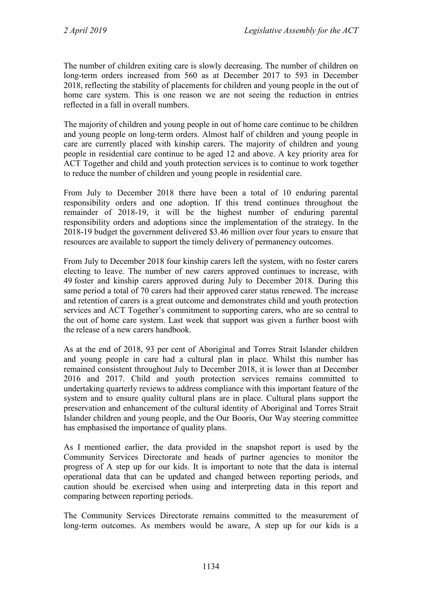The number of children exiting care is slowly decreasing. The number of children on long-term orders increased from 560 as at December 2017 to 593 in December 2018, reflecting the stability of placements for children and young people in the out of home care system. This is one reason we are not seeing the reduction in entries reflected in a fall in overall numbers.

The majority of children and young people in out of home care continue to be children and young people on long-term orders. Almost half of children and young people in care are currently placed with kinship carers. The majority of children and young people in residential care continue to be aged 12 and above. A key priority area for ACT Together and child and youth protection services is to continue to work together to reduce the number of children and young people in residential care.

From July to December 2018 there have been a total of 10 enduring parental responsibility orders and one adoption. If this trend continues throughout the remainder of 2018-19, it will be the highest number of enduring parental responsibility orders and adoptions since the implementation of the strategy. In the 2018-19 budget the government delivered \$3.46 million over four years to ensure that resources are available to support the timely delivery of permanency outcomes.

From July to December 2018 four kinship carers left the system, with no foster carers electing to leave. The number of new carers approved continues to increase, with 49 foster and kinship carers approved during July to December 2018. During this same period a total of 70 carers had their approved carer status renewed. The increase and retention of carers is a great outcome and demonstrates child and youth protection services and ACT Together's commitment to supporting carers, who are so central to the out of home care system. Last week that support was given a further boost with the release of a new carers handbook.

As at the end of 2018, 93 per cent of Aboriginal and Torres Strait Islander children and young people in care had a cultural plan in place. Whilst this number has remained consistent throughout July to December 2018, it is lower than at December 2016 and 2017. Child and youth protection services remains committed to undertaking quarterly reviews to address compliance with this important feature of the system and to ensure quality cultural plans are in place. Cultural plans support the preservation and enhancement of the cultural identity of Aboriginal and Torres Strait Islander children and young people, and the Our Booris, Our Way steering committee has emphasised the importance of quality plans.

As I mentioned earlier, the data provided in the snapshot report is used by the Community Services Directorate and heads of partner agencies to monitor the progress of A step up for our kids. It is important to note that the data is internal operational data that can be updated and changed between reporting periods, and caution should be exercised when using and interpreting data in this report and comparing between reporting periods.

The Community Services Directorate remains committed to the measurement of long-term outcomes. As members would be aware, A step up for our kids is a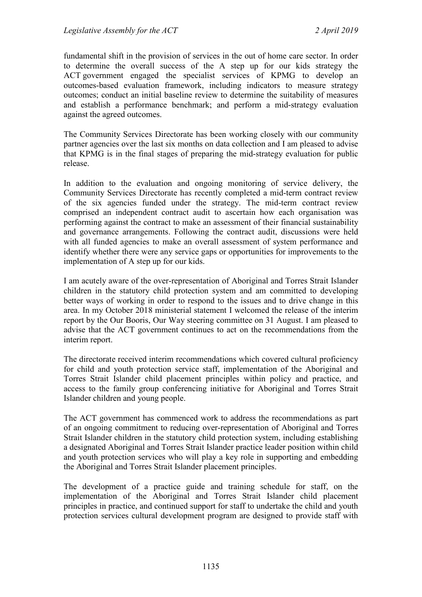fundamental shift in the provision of services in the out of home care sector. In order to determine the overall success of the A step up for our kids strategy the ACT government engaged the specialist services of KPMG to develop an outcomes-based evaluation framework, including indicators to measure strategy outcomes; conduct an initial baseline review to determine the suitability of measures and establish a performance benchmark; and perform a mid-strategy evaluation against the agreed outcomes.

The Community Services Directorate has been working closely with our community partner agencies over the last six months on data collection and I am pleased to advise that KPMG is in the final stages of preparing the mid-strategy evaluation for public release.

In addition to the evaluation and ongoing monitoring of service delivery, the Community Services Directorate has recently completed a mid-term contract review of the six agencies funded under the strategy. The mid-term contract review comprised an independent contract audit to ascertain how each organisation was performing against the contract to make an assessment of their financial sustainability and governance arrangements. Following the contract audit, discussions were held with all funded agencies to make an overall assessment of system performance and identify whether there were any service gaps or opportunities for improvements to the implementation of A step up for our kids.

I am acutely aware of the over-representation of Aboriginal and Torres Strait Islander children in the statutory child protection system and am committed to developing better ways of working in order to respond to the issues and to drive change in this area. In my October 2018 ministerial statement I welcomed the release of the interim report by the Our Booris, Our Way steering committee on 31 August. I am pleased to advise that the ACT government continues to act on the recommendations from the interim report.

The directorate received interim recommendations which covered cultural proficiency for child and youth protection service staff, implementation of the Aboriginal and Torres Strait Islander child placement principles within policy and practice, and access to the family group conferencing initiative for Aboriginal and Torres Strait Islander children and young people.

The ACT government has commenced work to address the recommendations as part of an ongoing commitment to reducing over-representation of Aboriginal and Torres Strait Islander children in the statutory child protection system, including establishing a designated Aboriginal and Torres Strait Islander practice leader position within child and youth protection services who will play a key role in supporting and embedding the Aboriginal and Torres Strait Islander placement principles.

The development of a practice guide and training schedule for staff, on the implementation of the Aboriginal and Torres Strait Islander child placement principles in practice, and continued support for staff to undertake the child and youth protection services cultural development program are designed to provide staff with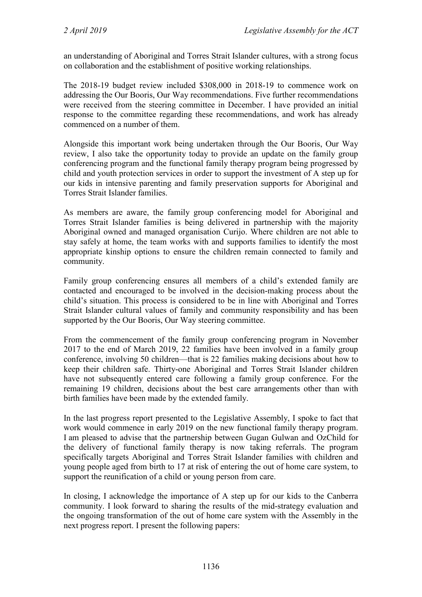an understanding of Aboriginal and Torres Strait Islander cultures, with a strong focus on collaboration and the establishment of positive working relationships.

The 2018-19 budget review included \$308,000 in 2018-19 to commence work on addressing the Our Booris, Our Way recommendations. Five further recommendations were received from the steering committee in December. I have provided an initial response to the committee regarding these recommendations, and work has already commenced on a number of them.

Alongside this important work being undertaken through the Our Booris, Our Way review, I also take the opportunity today to provide an update on the family group conferencing program and the functional family therapy program being progressed by child and youth protection services in order to support the investment of A step up for our kids in intensive parenting and family preservation supports for Aboriginal and Torres Strait Islander families.

As members are aware, the family group conferencing model for Aboriginal and Torres Strait Islander families is being delivered in partnership with the majority Aboriginal owned and managed organisation Curijo. Where children are not able to stay safely at home, the team works with and supports families to identify the most appropriate kinship options to ensure the children remain connected to family and community.

Family group conferencing ensures all members of a child's extended family are contacted and encouraged to be involved in the decision-making process about the child's situation. This process is considered to be in line with Aboriginal and Torres Strait Islander cultural values of family and community responsibility and has been supported by the Our Booris, Our Way steering committee.

From the commencement of the family group conferencing program in November 2017 to the end of March 2019, 22 families have been involved in a family group conference, involving 50 children—that is 22 families making decisions about how to keep their children safe. Thirty-one Aboriginal and Torres Strait Islander children have not subsequently entered care following a family group conference. For the remaining 19 children, decisions about the best care arrangements other than with birth families have been made by the extended family.

In the last progress report presented to the Legislative Assembly, I spoke to fact that work would commence in early 2019 on the new functional family therapy program. I am pleased to advise that the partnership between Gugan Gulwan and OzChild for the delivery of functional family therapy is now taking referrals. The program specifically targets Aboriginal and Torres Strait Islander families with children and young people aged from birth to 17 at risk of entering the out of home care system, to support the reunification of a child or young person from care.

In closing, I acknowledge the importance of A step up for our kids to the Canberra community. I look forward to sharing the results of the mid-strategy evaluation and the ongoing transformation of the out of home care system with the Assembly in the next progress report. I present the following papers: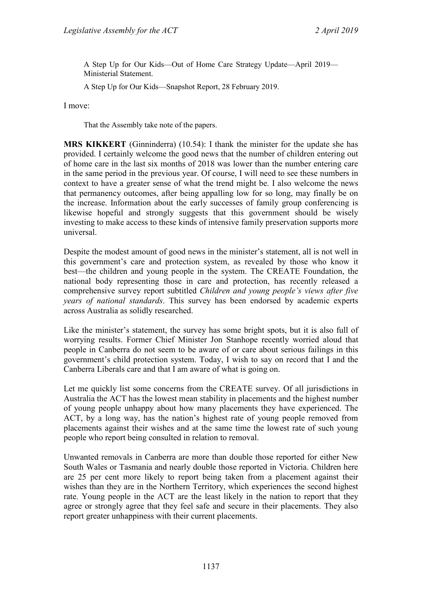A Step Up for Our Kids—Out of Home Care Strategy Update—April 2019— Ministerial Statement.

A Step Up for Our Kids—Snapshot Report, 28 February 2019.

I move:

That the Assembly take note of the papers.

**MRS KIKKERT** (Ginninderra) (10.54): I thank the minister for the update she has provided. I certainly welcome the good news that the number of children entering out of home care in the last six months of 2018 was lower than the number entering care in the same period in the previous year. Of course, I will need to see these numbers in context to have a greater sense of what the trend might be. I also welcome the news that permanency outcomes, after being appalling low for so long, may finally be on the increase. Information about the early successes of family group conferencing is likewise hopeful and strongly suggests that this government should be wisely investing to make access to these kinds of intensive family preservation supports more universal.

Despite the modest amount of good news in the minister's statement, all is not well in this government's care and protection system, as revealed by those who know it best—the children and young people in the system. The CREATE Foundation, the national body representing those in care and protection, has recently released a comprehensive survey report subtitled *Children and young people's views after five years of national standards*. This survey has been endorsed by academic experts across Australia as solidly researched.

Like the minister's statement, the survey has some bright spots, but it is also full of worrying results. Former Chief Minister Jon Stanhope recently worried aloud that people in Canberra do not seem to be aware of or care about serious failings in this government's child protection system. Today, I wish to say on record that I and the Canberra Liberals care and that I am aware of what is going on.

Let me quickly list some concerns from the CREATE survey. Of all jurisdictions in Australia the ACT has the lowest mean stability in placements and the highest number of young people unhappy about how many placements they have experienced. The ACT, by a long way, has the nation's highest rate of young people removed from placements against their wishes and at the same time the lowest rate of such young people who report being consulted in relation to removal.

Unwanted removals in Canberra are more than double those reported for either New South Wales or Tasmania and nearly double those reported in Victoria. Children here are 25 per cent more likely to report being taken from a placement against their wishes than they are in the Northern Territory, which experiences the second highest rate. Young people in the ACT are the least likely in the nation to report that they agree or strongly agree that they feel safe and secure in their placements. They also report greater unhappiness with their current placements.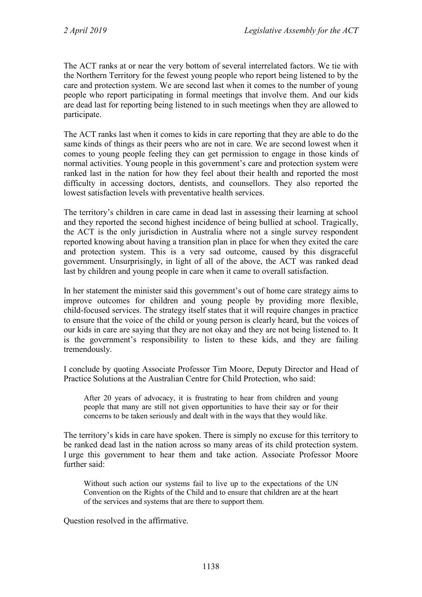The ACT ranks at or near the very bottom of several interrelated factors. We tie with the Northern Territory for the fewest young people who report being listened to by the care and protection system. We are second last when it comes to the number of young people who report participating in formal meetings that involve them. And our kids are dead last for reporting being listened to in such meetings when they are allowed to participate.

The ACT ranks last when it comes to kids in care reporting that they are able to do the same kinds of things as their peers who are not in care. We are second lowest when it comes to young people feeling they can get permission to engage in those kinds of normal activities. Young people in this government's care and protection system were ranked last in the nation for how they feel about their health and reported the most difficulty in accessing doctors, dentists, and counsellors. They also reported the lowest satisfaction levels with preventative health services.

The territory's children in care came in dead last in assessing their learning at school and they reported the second highest incidence of being bullied at school. Tragically, the ACT is the only jurisdiction in Australia where not a single survey respondent reported knowing about having a transition plan in place for when they exited the care and protection system. This is a very sad outcome, caused by this disgraceful government. Unsurprisingly, in light of all of the above, the ACT was ranked dead last by children and young people in care when it came to overall satisfaction.

In her statement the minister said this government's out of home care strategy aims to improve outcomes for children and young people by providing more flexible, child-focused services. The strategy itself states that it will require changes in practice to ensure that the voice of the child or young person is clearly heard, but the voices of our kids in care are saying that they are not okay and they are not being listened to. It is the government's responsibility to listen to these kids, and they are failing tremendously.

I conclude by quoting Associate Professor Tim Moore, Deputy Director and Head of Practice Solutions at the Australian Centre for Child Protection, who said:

After 20 years of advocacy, it is frustrating to hear from children and young people that many are still not given opportunities to have their say or for their concerns to be taken seriously and dealt with in the ways that they would like.

The territory's kids in care have spoken. There is simply no excuse for this territory to be ranked dead last in the nation across so many areas of its child protection system. I urge this government to hear them and take action. Associate Professor Moore further said:

Without such action our systems fail to live up to the expectations of the UN Convention on the Rights of the Child and to ensure that children are at the heart of the services and systems that are there to support them.

Question resolved in the affirmative.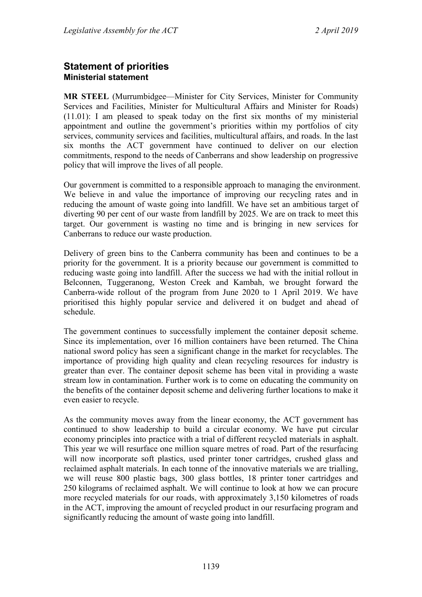# <span id="page-20-1"></span><span id="page-20-0"></span>**Statement of priorities Ministerial statement**

**MR STEEL** (Murrumbidgee—Minister for City Services, Minister for Community Services and Facilities, Minister for Multicultural Affairs and Minister for Roads) (11.01): I am pleased to speak today on the first six months of my ministerial appointment and outline the government's priorities within my portfolios of city services, community services and facilities, multicultural affairs, and roads. In the last six months the ACT government have continued to deliver on our election commitments, respond to the needs of Canberrans and show leadership on progressive policy that will improve the lives of all people.

Our government is committed to a responsible approach to managing the environment. We believe in and value the importance of improving our recycling rates and in reducing the amount of waste going into landfill. We have set an ambitious target of diverting 90 per cent of our waste from landfill by 2025. We are on track to meet this target. Our government is wasting no time and is bringing in new services for Canberrans to reduce our waste production.

Delivery of green bins to the Canberra community has been and continues to be a priority for the government. It is a priority because our government is committed to reducing waste going into landfill. After the success we had with the initial rollout in Belconnen, Tuggeranong, Weston Creek and Kambah, we brought forward the Canberra-wide rollout of the program from June 2020 to 1 April 2019. We have prioritised this highly popular service and delivered it on budget and ahead of schedule.

The government continues to successfully implement the container deposit scheme. Since its implementation, over 16 million containers have been returned. The China national sword policy has seen a significant change in the market for recyclables. The importance of providing high quality and clean recycling resources for industry is greater than ever. The container deposit scheme has been vital in providing a waste stream low in contamination. Further work is to come on educating the community on the benefits of the container deposit scheme and delivering further locations to make it even easier to recycle.

As the community moves away from the linear economy, the ACT government has continued to show leadership to build a circular economy. We have put circular economy principles into practice with a trial of different recycled materials in asphalt. This year we will resurface one million square metres of road. Part of the resurfacing will now incorporate soft plastics, used printer toner cartridges, crushed glass and reclaimed asphalt materials. In each tonne of the innovative materials we are trialling, we will reuse 800 plastic bags, 300 glass bottles, 18 printer toner cartridges and 250 kilograms of reclaimed asphalt. We will continue to look at how we can procure more recycled materials for our roads, with approximately 3,150 kilometres of roads in the ACT, improving the amount of recycled product in our resurfacing program and significantly reducing the amount of waste going into landfill.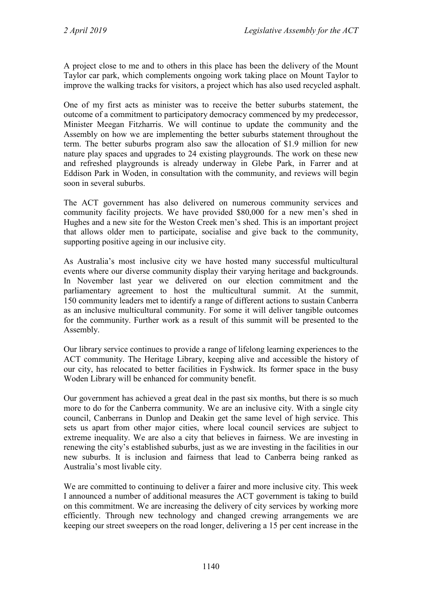A project close to me and to others in this place has been the delivery of the Mount Taylor car park, which complements ongoing work taking place on Mount Taylor to improve the walking tracks for visitors, a project which has also used recycled asphalt.

One of my first acts as minister was to receive the better suburbs statement, the outcome of a commitment to participatory democracy commenced by my predecessor, Minister Meegan Fitzharris. We will continue to update the community and the Assembly on how we are implementing the better suburbs statement throughout the term. The better suburbs program also saw the allocation of \$1.9 million for new nature play spaces and upgrades to 24 existing playgrounds. The work on these new and refreshed playgrounds is already underway in Glebe Park, in Farrer and at Eddison Park in Woden, in consultation with the community, and reviews will begin soon in several suburbs.

The ACT government has also delivered on numerous community services and community facility projects. We have provided \$80,000 for a new men's shed in Hughes and a new site for the Weston Creek men's shed. This is an important project that allows older men to participate, socialise and give back to the community, supporting positive ageing in our inclusive city.

As Australia's most inclusive city we have hosted many successful multicultural events where our diverse community display their varying heritage and backgrounds. In November last year we delivered on our election commitment and the parliamentary agreement to host the multicultural summit. At the summit, 150 community leaders met to identify a range of different actions to sustain Canberra as an inclusive multicultural community. For some it will deliver tangible outcomes for the community. Further work as a result of this summit will be presented to the Assembly.

Our library service continues to provide a range of lifelong learning experiences to the ACT community. The Heritage Library, keeping alive and accessible the history of our city, has relocated to better facilities in Fyshwick. Its former space in the busy Woden Library will be enhanced for community benefit.

Our government has achieved a great deal in the past six months, but there is so much more to do for the Canberra community. We are an inclusive city. With a single city council, Canberrans in Dunlop and Deakin get the same level of high service. This sets us apart from other major cities, where local council services are subject to extreme inequality. We are also a city that believes in fairness. We are investing in renewing the city's established suburbs, just as we are investing in the facilities in our new suburbs. It is inclusion and fairness that lead to Canberra being ranked as Australia's most livable city.

We are committed to continuing to deliver a fairer and more inclusive city. This week I announced a number of additional measures the ACT government is taking to build on this commitment. We are increasing the delivery of city services by working more efficiently. Through new technology and changed crewing arrangements we are keeping our street sweepers on the road longer, delivering a 15 per cent increase in the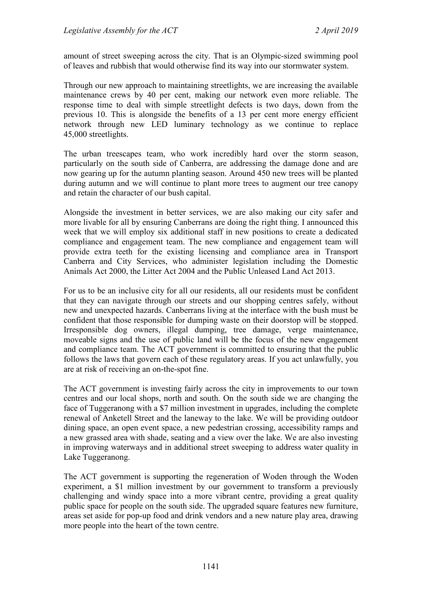amount of street sweeping across the city. That is an Olympic-sized swimming pool of leaves and rubbish that would otherwise find its way into our stormwater system.

Through our new approach to maintaining streetlights, we are increasing the available maintenance crews by 40 per cent, making our network even more reliable. The response time to deal with simple streetlight defects is two days, down from the previous 10. This is alongside the benefits of a 13 per cent more energy efficient network through new LED luminary technology as we continue to replace 45,000 streetlights.

The urban treescapes team, who work incredibly hard over the storm season, particularly on the south side of Canberra, are addressing the damage done and are now gearing up for the autumn planting season. Around 450 new trees will be planted during autumn and we will continue to plant more trees to augment our tree canopy and retain the character of our bush capital.

Alongside the investment in better services, we are also making our city safer and more livable for all by ensuring Canberrans are doing the right thing. I announced this week that we will employ six additional staff in new positions to create a dedicated compliance and engagement team. The new compliance and engagement team will provide extra teeth for the existing licensing and compliance area in Transport Canberra and City Services, who administer legislation including the Domestic Animals Act 2000, the Litter Act 2004 and the Public Unleased Land Act 2013.

For us to be an inclusive city for all our residents, all our residents must be confident that they can navigate through our streets and our shopping centres safely, without new and unexpected hazards. Canberrans living at the interface with the bush must be confident that those responsible for dumping waste on their doorstop will be stopped. Irresponsible dog owners, illegal dumping, tree damage, verge maintenance, moveable signs and the use of public land will be the focus of the new engagement and compliance team. The ACT government is committed to ensuring that the public follows the laws that govern each of these regulatory areas. If you act unlawfully, you are at risk of receiving an on-the-spot fine.

The ACT government is investing fairly across the city in improvements to our town centres and our local shops, north and south. On the south side we are changing the face of Tuggeranong with a \$7 million investment in upgrades, including the complete renewal of Anketell Street and the laneway to the lake. We will be providing outdoor dining space, an open event space, a new pedestrian crossing, accessibility ramps and a new grassed area with shade, seating and a view over the lake. We are also investing in improving waterways and in additional street sweeping to address water quality in Lake Tuggeranong.

The ACT government is supporting the regeneration of Woden through the Woden experiment, a \$1 million investment by our government to transform a previously challenging and windy space into a more vibrant centre, providing a great quality public space for people on the south side. The upgraded square features new furniture, areas set aside for pop-up food and drink vendors and a new nature play area, drawing more people into the heart of the town centre.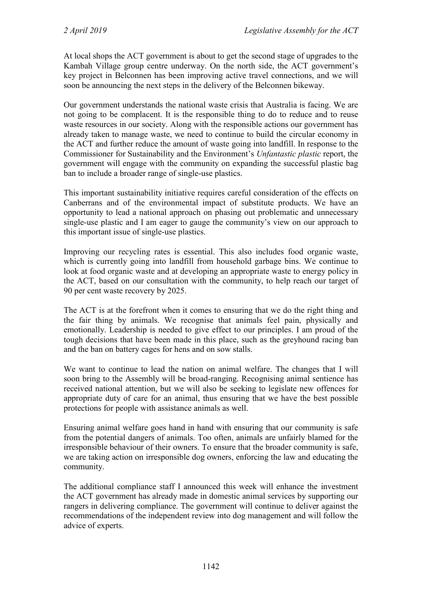At local shops the ACT government is about to get the second stage of upgrades to the Kambah Village group centre underway. On the north side, the ACT government's key project in Belconnen has been improving active travel connections, and we will soon be announcing the next steps in the delivery of the Belconnen bikeway.

Our government understands the national waste crisis that Australia is facing. We are not going to be complacent. It is the responsible thing to do to reduce and to reuse waste resources in our society. Along with the responsible actions our government has already taken to manage waste, we need to continue to build the circular economy in the ACT and further reduce the amount of waste going into landfill. In response to the Commissioner for Sustainability and the Environment's *Unfantastic plastic* report, the government will engage with the community on expanding the successful plastic bag ban to include a broader range of single-use plastics.

This important sustainability initiative requires careful consideration of the effects on Canberrans and of the environmental impact of substitute products. We have an opportunity to lead a national approach on phasing out problematic and unnecessary single-use plastic and I am eager to gauge the community's view on our approach to this important issue of single-use plastics.

Improving our recycling rates is essential. This also includes food organic waste, which is currently going into landfill from household garbage bins. We continue to look at food organic waste and at developing an appropriate waste to energy policy in the ACT, based on our consultation with the community, to help reach our target of 90 per cent waste recovery by 2025.

The ACT is at the forefront when it comes to ensuring that we do the right thing and the fair thing by animals. We recognise that animals feel pain, physically and emotionally. Leadership is needed to give effect to our principles. I am proud of the tough decisions that have been made in this place, such as the greyhound racing ban and the ban on battery cages for hens and on sow stalls.

We want to continue to lead the nation on animal welfare. The changes that I will soon bring to the Assembly will be broad-ranging. Recognising animal sentience has received national attention, but we will also be seeking to legislate new offences for appropriate duty of care for an animal, thus ensuring that we have the best possible protections for people with assistance animals as well.

Ensuring animal welfare goes hand in hand with ensuring that our community is safe from the potential dangers of animals. Too often, animals are unfairly blamed for the irresponsible behaviour of their owners. To ensure that the broader community is safe, we are taking action on irresponsible dog owners, enforcing the law and educating the community.

The additional compliance staff I announced this week will enhance the investment the ACT government has already made in domestic animal services by supporting our rangers in delivering compliance. The government will continue to deliver against the recommendations of the independent review into dog management and will follow the advice of experts.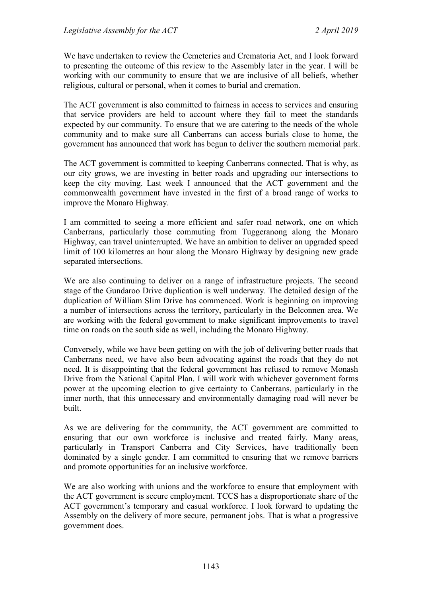We have undertaken to review the Cemeteries and Crematoria Act, and I look forward to presenting the outcome of this review to the Assembly later in the year. I will be working with our community to ensure that we are inclusive of all beliefs, whether religious, cultural or personal, when it comes to burial and cremation.

The ACT government is also committed to fairness in access to services and ensuring that service providers are held to account where they fail to meet the standards expected by our community. To ensure that we are catering to the needs of the whole community and to make sure all Canberrans can access burials close to home, the government has announced that work has begun to deliver the southern memorial park.

The ACT government is committed to keeping Canberrans connected. That is why, as our city grows, we are investing in better roads and upgrading our intersections to keep the city moving. Last week I announced that the ACT government and the commonwealth government have invested in the first of a broad range of works to improve the Monaro Highway.

I am committed to seeing a more efficient and safer road network, one on which Canberrans, particularly those commuting from Tuggeranong along the Monaro Highway, can travel uninterrupted. We have an ambition to deliver an upgraded speed limit of 100 kilometres an hour along the Monaro Highway by designing new grade separated intersections.

We are also continuing to deliver on a range of infrastructure projects. The second stage of the Gundaroo Drive duplication is well underway. The detailed design of the duplication of William Slim Drive has commenced. Work is beginning on improving a number of intersections across the territory, particularly in the Belconnen area. We are working with the federal government to make significant improvements to travel time on roads on the south side as well, including the Monaro Highway.

Conversely, while we have been getting on with the job of delivering better roads that Canberrans need, we have also been advocating against the roads that they do not need. It is disappointing that the federal government has refused to remove Monash Drive from the National Capital Plan. I will work with whichever government forms power at the upcoming election to give certainty to Canberrans, particularly in the inner north, that this unnecessary and environmentally damaging road will never be built.

As we are delivering for the community, the ACT government are committed to ensuring that our own workforce is inclusive and treated fairly. Many areas, particularly in Transport Canberra and City Services, have traditionally been dominated by a single gender. I am committed to ensuring that we remove barriers and promote opportunities for an inclusive workforce.

We are also working with unions and the workforce to ensure that employment with the ACT government is secure employment. TCCS has a disproportionate share of the ACT government's temporary and casual workforce. I look forward to updating the Assembly on the delivery of more secure, permanent jobs. That is what a progressive government does.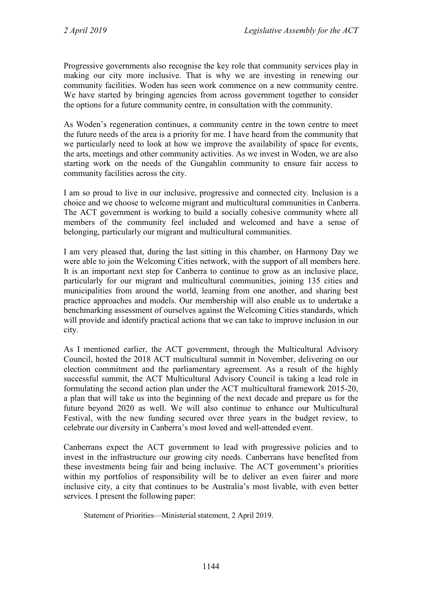Progressive governments also recognise the key role that community services play in making our city more inclusive. That is why we are investing in renewing our community facilities. Woden has seen work commence on a new community centre. We have started by bringing agencies from across government together to consider the options for a future community centre, in consultation with the community.

As Woden's regeneration continues, a community centre in the town centre to meet the future needs of the area is a priority for me. I have heard from the community that we particularly need to look at how we improve the availability of space for events, the arts, meetings and other community activities. As we invest in Woden, we are also starting work on the needs of the Gungahlin community to ensure fair access to community facilities across the city.

I am so proud to live in our inclusive, progressive and connected city. Inclusion is a choice and we choose to welcome migrant and multicultural communities in Canberra. The ACT government is working to build a socially cohesive community where all members of the community feel included and welcomed and have a sense of belonging, particularly our migrant and multicultural communities.

I am very pleased that, during the last sitting in this chamber, on Harmony Day we were able to join the Welcoming Cities network, with the support of all members here. It is an important next step for Canberra to continue to grow as an inclusive place, particularly for our migrant and multicultural communities, joining 135 cities and municipalities from around the world, learning from one another, and sharing best practice approaches and models. Our membership will also enable us to undertake a benchmarking assessment of ourselves against the Welcoming Cities standards, which will provide and identify practical actions that we can take to improve inclusion in our city.

As I mentioned earlier, the ACT government, through the Multicultural Advisory Council, hosted the 2018 ACT multicultural summit in November, delivering on our election commitment and the parliamentary agreement. As a result of the highly successful summit, the ACT Multicultural Advisory Council is taking a lead role in formulating the second action plan under the ACT multicultural framework 2015-20, a plan that will take us into the beginning of the next decade and prepare us for the future beyond 2020 as well. We will also continue to enhance our Multicultural Festival, with the new funding secured over three years in the budget review, to celebrate our diversity in Canberra's most loved and well-attended event.

Canberrans expect the ACT government to lead with progressive policies and to invest in the infrastructure our growing city needs. Canberrans have benefited from these investments being fair and being inclusive. The ACT government's priorities within my portfolios of responsibility will be to deliver an even fairer and more inclusive city, a city that continues to be Australia's most livable, with even better services. I present the following paper:

Statement of Priorities—Ministerial statement, 2 April 2019.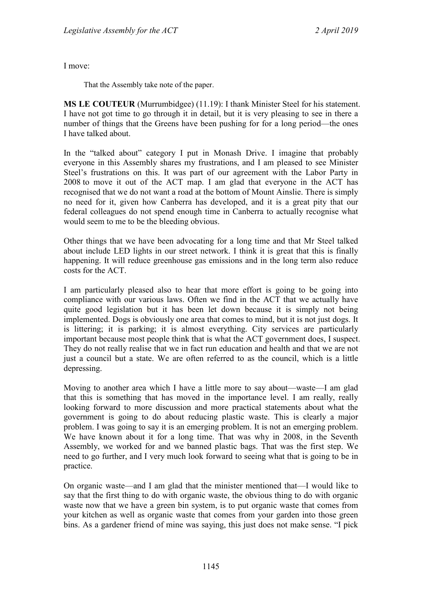I move:

That the Assembly take note of the paper.

**MS LE COUTEUR** (Murrumbidgee) (11.19): I thank Minister Steel for his statement. I have not got time to go through it in detail, but it is very pleasing to see in there a number of things that the Greens have been pushing for for a long period—the ones I have talked about.

In the "talked about" category I put in Monash Drive. I imagine that probably everyone in this Assembly shares my frustrations, and I am pleased to see Minister Steel's frustrations on this. It was part of our agreement with the Labor Party in 2008 to move it out of the ACT map. I am glad that everyone in the ACT has recognised that we do not want a road at the bottom of Mount Ainslie. There is simply no need for it, given how Canberra has developed, and it is a great pity that our federal colleagues do not spend enough time in Canberra to actually recognise what would seem to me to be the bleeding obvious.

Other things that we have been advocating for a long time and that Mr Steel talked about include LED lights in our street network. I think it is great that this is finally happening. It will reduce greenhouse gas emissions and in the long term also reduce costs for the ACT.

I am particularly pleased also to hear that more effort is going to be going into compliance with our various laws. Often we find in the ACT that we actually have quite good legislation but it has been let down because it is simply not being implemented. Dogs is obviously one area that comes to mind, but it is not just dogs. It is littering; it is parking; it is almost everything. City services are particularly important because most people think that is what the ACT government does, I suspect. They do not really realise that we in fact run education and health and that we are not just a council but a state. We are often referred to as the council, which is a little depressing.

Moving to another area which I have a little more to say about—waste—I am glad that this is something that has moved in the importance level. I am really, really looking forward to more discussion and more practical statements about what the government is going to do about reducing plastic waste. This is clearly a major problem. I was going to say it is an emerging problem. It is not an emerging problem. We have known about it for a long time. That was why in 2008, in the Seventh Assembly, we worked for and we banned plastic bags. That was the first step. We need to go further, and I very much look forward to seeing what that is going to be in practice.

On organic waste—and I am glad that the minister mentioned that—I would like to say that the first thing to do with organic waste, the obvious thing to do with organic waste now that we have a green bin system, is to put organic waste that comes from your kitchen as well as organic waste that comes from your garden into those green bins. As a gardener friend of mine was saying, this just does not make sense. "I pick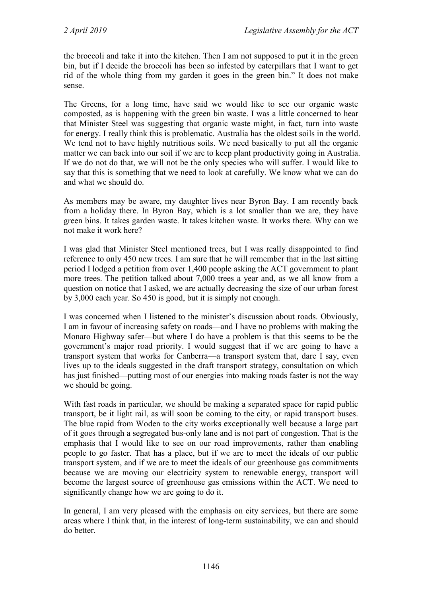the broccoli and take it into the kitchen. Then I am not supposed to put it in the green bin, but if I decide the broccoli has been so infested by caterpillars that I want to get rid of the whole thing from my garden it goes in the green bin." It does not make sense.

The Greens, for a long time, have said we would like to see our organic waste composted, as is happening with the green bin waste. I was a little concerned to hear that Minister Steel was suggesting that organic waste might, in fact, turn into waste for energy. I really think this is problematic. Australia has the oldest soils in the world. We tend not to have highly nutritious soils. We need basically to put all the organic matter we can back into our soil if we are to keep plant productivity going in Australia. If we do not do that, we will not be the only species who will suffer. I would like to say that this is something that we need to look at carefully. We know what we can do and what we should do.

As members may be aware, my daughter lives near Byron Bay. I am recently back from a holiday there. In Byron Bay, which is a lot smaller than we are, they have green bins. It takes garden waste. It takes kitchen waste. It works there. Why can we not make it work here?

I was glad that Minister Steel mentioned trees, but I was really disappointed to find reference to only 450 new trees. I am sure that he will remember that in the last sitting period I lodged a petition from over 1,400 people asking the ACT government to plant more trees. The petition talked about 7,000 trees a year and, as we all know from a question on notice that I asked, we are actually decreasing the size of our urban forest by 3,000 each year. So 450 is good, but it is simply not enough.

I was concerned when I listened to the minister's discussion about roads. Obviously, I am in favour of increasing safety on roads—and I have no problems with making the Monaro Highway safer—but where I do have a problem is that this seems to be the government's major road priority. I would suggest that if we are going to have a transport system that works for Canberra—a transport system that, dare I say, even lives up to the ideals suggested in the draft transport strategy, consultation on which has just finished—putting most of our energies into making roads faster is not the way we should be going.

With fast roads in particular, we should be making a separated space for rapid public transport, be it light rail, as will soon be coming to the city, or rapid transport buses. The blue rapid from Woden to the city works exceptionally well because a large part of it goes through a segregated bus-only lane and is not part of congestion. That is the emphasis that I would like to see on our road improvements, rather than enabling people to go faster. That has a place, but if we are to meet the ideals of our public transport system, and if we are to meet the ideals of our greenhouse gas commitments because we are moving our electricity system to renewable energy, transport will become the largest source of greenhouse gas emissions within the ACT. We need to significantly change how we are going to do it.

In general, I am very pleased with the emphasis on city services, but there are some areas where I think that, in the interest of long-term sustainability, we can and should do better.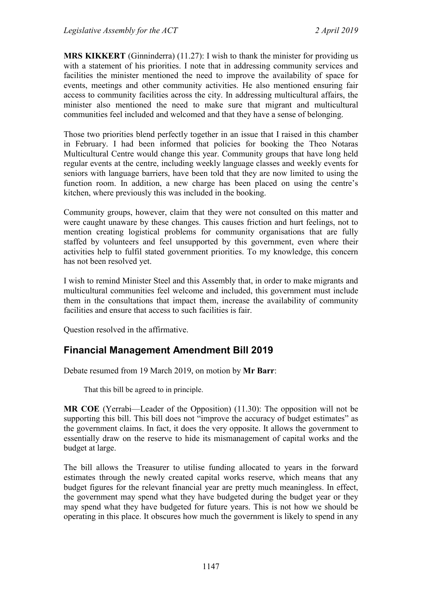**MRS KIKKERT** (Ginninderra) (11.27): I wish to thank the minister for providing us with a statement of his priorities. I note that in addressing community services and facilities the minister mentioned the need to improve the availability of space for events, meetings and other community activities. He also mentioned ensuring fair access to community facilities across the city. In addressing multicultural affairs, the minister also mentioned the need to make sure that migrant and multicultural communities feel included and welcomed and that they have a sense of belonging.

Those two priorities blend perfectly together in an issue that I raised in this chamber in February. I had been informed that policies for booking the Theo Notaras Multicultural Centre would change this year. Community groups that have long held regular events at the centre, including weekly language classes and weekly events for seniors with language barriers, have been told that they are now limited to using the function room. In addition, a new charge has been placed on using the centre's kitchen, where previously this was included in the booking.

Community groups, however, claim that they were not consulted on this matter and were caught unaware by these changes. This causes friction and hurt feelings, not to mention creating logistical problems for community organisations that are fully staffed by volunteers and feel unsupported by this government, even where their activities help to fulfil stated government priorities. To my knowledge, this concern has not been resolved yet.

I wish to remind Minister Steel and this Assembly that, in order to make migrants and multicultural communities feel welcome and included, this government must include them in the consultations that impact them, increase the availability of community facilities and ensure that access to such facilities is fair.

Question resolved in the affirmative.

# <span id="page-28-0"></span>**Financial Management Amendment Bill 2019**

Debate resumed from 19 March 2019, on motion by **Mr Barr**:

That this bill be agreed to in principle.

**MR COE** (Yerrabi—Leader of the Opposition) (11.30): The opposition will not be supporting this bill. This bill does not "improve the accuracy of budget estimates" as the government claims. In fact, it does the very opposite. It allows the government to essentially draw on the reserve to hide its mismanagement of capital works and the budget at large.

The bill allows the Treasurer to utilise funding allocated to years in the forward estimates through the newly created capital works reserve, which means that any budget figures for the relevant financial year are pretty much meaningless. In effect, the government may spend what they have budgeted during the budget year or they may spend what they have budgeted for future years. This is not how we should be operating in this place. It obscures how much the government is likely to spend in any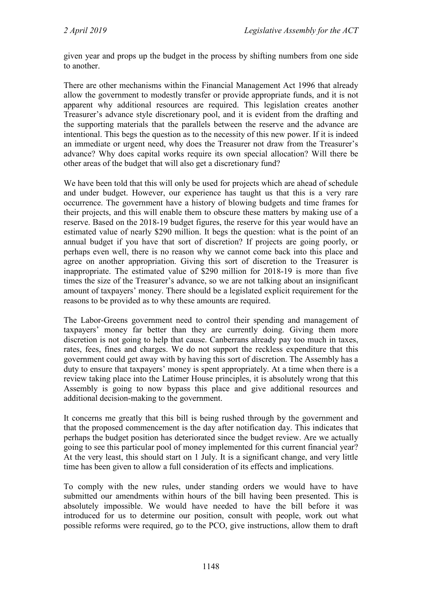given year and props up the budget in the process by shifting numbers from one side to another.

There are other mechanisms within the Financial Management Act 1996 that already allow the government to modestly transfer or provide appropriate funds, and it is not apparent why additional resources are required. This legislation creates another Treasurer's advance style discretionary pool, and it is evident from the drafting and the supporting materials that the parallels between the reserve and the advance are intentional. This begs the question as to the necessity of this new power. If it is indeed an immediate or urgent need, why does the Treasurer not draw from the Treasurer's advance? Why does capital works require its own special allocation? Will there be other areas of the budget that will also get a discretionary fund?

We have been told that this will only be used for projects which are ahead of schedule and under budget. However, our experience has taught us that this is a very rare occurrence. The government have a history of blowing budgets and time frames for their projects, and this will enable them to obscure these matters by making use of a reserve. Based on the 2018-19 budget figures, the reserve for this year would have an estimated value of nearly \$290 million. It begs the question: what is the point of an annual budget if you have that sort of discretion? If projects are going poorly, or perhaps even well, there is no reason why we cannot come back into this place and agree on another appropriation. Giving this sort of discretion to the Treasurer is inappropriate. The estimated value of \$290 million for 2018-19 is more than five times the size of the Treasurer's advance, so we are not talking about an insignificant amount of taxpayers' money. There should be a legislated explicit requirement for the reasons to be provided as to why these amounts are required.

The Labor-Greens government need to control their spending and management of taxpayers' money far better than they are currently doing. Giving them more discretion is not going to help that cause. Canberrans already pay too much in taxes, rates, fees, fines and charges. We do not support the reckless expenditure that this government could get away with by having this sort of discretion. The Assembly has a duty to ensure that taxpayers' money is spent appropriately. At a time when there is a review taking place into the Latimer House principles, it is absolutely wrong that this Assembly is going to now bypass this place and give additional resources and additional decision-making to the government.

It concerns me greatly that this bill is being rushed through by the government and that the proposed commencement is the day after notification day. This indicates that perhaps the budget position has deteriorated since the budget review. Are we actually going to see this particular pool of money implemented for this current financial year? At the very least, this should start on 1 July. It is a significant change, and very little time has been given to allow a full consideration of its effects and implications.

To comply with the new rules, under standing orders we would have to have submitted our amendments within hours of the bill having been presented. This is absolutely impossible. We would have needed to have the bill before it was introduced for us to determine our position, consult with people, work out what possible reforms were required, go to the PCO, give instructions, allow them to draft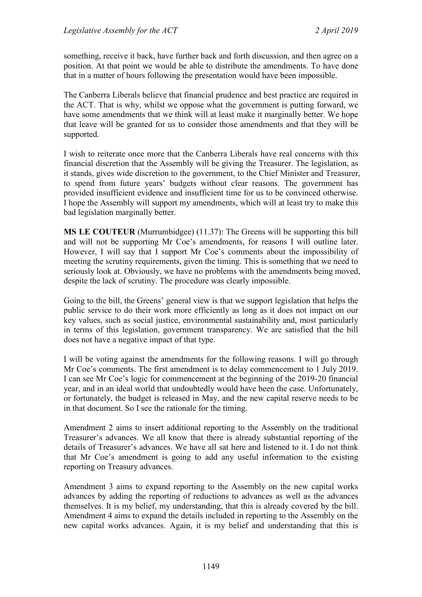something, receive it back, have further back and forth discussion, and then agree on a position. At that point we would be able to distribute the amendments. To have done that in a matter of hours following the presentation would have been impossible.

The Canberra Liberals believe that financial prudence and best practice are required in the ACT. That is why, whilst we oppose what the government is putting forward, we have some amendments that we think will at least make it marginally better. We hope that leave will be granted for us to consider those amendments and that they will be supported.

I wish to reiterate once more that the Canberra Liberals have real concerns with this financial discretion that the Assembly will be giving the Treasurer. The legislation, as it stands, gives wide discretion to the government, to the Chief Minister and Treasurer, to spend from future years' budgets without clear reasons. The government has provided insufficient evidence and insufficient time for us to be convinced otherwise. I hope the Assembly will support my amendments, which will at least try to make this bad legislation marginally better.

**MS LE COUTEUR** (Murrumbidgee) (11.37): The Greens will be supporting this bill and will not be supporting Mr Coe's amendments, for reasons I will outline later. However, I will say that I support Mr Coe's comments about the impossibility of meeting the scrutiny requirements, given the timing. This is something that we need to seriously look at. Obviously, we have no problems with the amendments being moved, despite the lack of scrutiny. The procedure was clearly impossible.

Going to the bill, the Greens' general view is that we support legislation that helps the public service to do their work more efficiently as long as it does not impact on our key values, such as social justice, environmental sustainability and, most particularly in terms of this legislation, government transparency. We are satisfied that the bill does not have a negative impact of that type.

I will be voting against the amendments for the following reasons. I will go through Mr Coe's comments. The first amendment is to delay commencement to 1 July 2019. I can see Mr Coe's logic for commencement at the beginning of the 2019-20 financial year, and in an ideal world that undoubtedly would have been the case. Unfortunately, or fortunately, the budget is released in May, and the new capital reserve needs to be in that document. So I see the rationale for the timing.

Amendment 2 aims to insert additional reporting to the Assembly on the traditional Treasurer's advances. We all know that there is already substantial reporting of the details of Treasurer's advances. We have all sat here and listened to it. I do not think that Mr Coe's amendment is going to add any useful information to the existing reporting on Treasury advances.

Amendment 3 aims to expand reporting to the Assembly on the new capital works advances by adding the reporting of reductions to advances as well as the advances themselves. It is my belief, my understanding, that this is already covered by the bill. Amendment 4 aims to expand the details included in reporting to the Assembly on the new capital works advances. Again, it is my belief and understanding that this is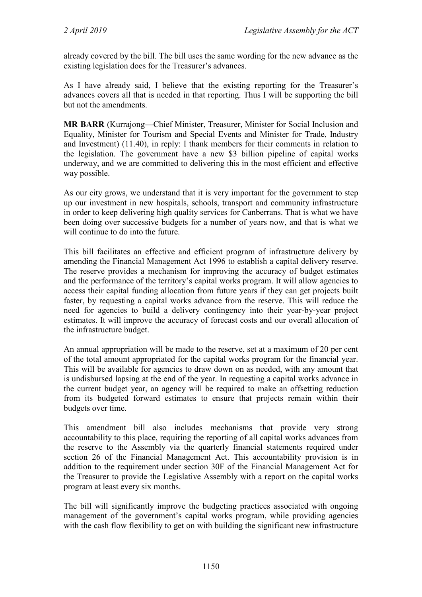already covered by the bill. The bill uses the same wording for the new advance as the existing legislation does for the Treasurer's advances.

As I have already said, I believe that the existing reporting for the Treasurer's advances covers all that is needed in that reporting. Thus I will be supporting the bill but not the amendments.

**MR BARR** (Kurrajong—Chief Minister, Treasurer, Minister for Social Inclusion and Equality, Minister for Tourism and Special Events and Minister for Trade, Industry and Investment) (11.40), in reply: I thank members for their comments in relation to the legislation. The government have a new \$3 billion pipeline of capital works underway, and we are committed to delivering this in the most efficient and effective way possible.

As our city grows, we understand that it is very important for the government to step up our investment in new hospitals, schools, transport and community infrastructure in order to keep delivering high quality services for Canberrans. That is what we have been doing over successive budgets for a number of years now, and that is what we will continue to do into the future.

This bill facilitates an effective and efficient program of infrastructure delivery by amending the Financial Management Act 1996 to establish a capital delivery reserve. The reserve provides a mechanism for improving the accuracy of budget estimates and the performance of the territory's capital works program. It will allow agencies to access their capital funding allocation from future years if they can get projects built faster, by requesting a capital works advance from the reserve. This will reduce the need for agencies to build a delivery contingency into their year-by-year project estimates. It will improve the accuracy of forecast costs and our overall allocation of the infrastructure budget.

An annual appropriation will be made to the reserve, set at a maximum of 20 per cent of the total amount appropriated for the capital works program for the financial year. This will be available for agencies to draw down on as needed, with any amount that is undisbursed lapsing at the end of the year. In requesting a capital works advance in the current budget year, an agency will be required to make an offsetting reduction from its budgeted forward estimates to ensure that projects remain within their budgets over time.

This amendment bill also includes mechanisms that provide very strong accountability to this place, requiring the reporting of all capital works advances from the reserve to the Assembly via the quarterly financial statements required under section 26 of the Financial Management Act. This accountability provision is in addition to the requirement under section 30F of the Financial Management Act for the Treasurer to provide the Legislative Assembly with a report on the capital works program at least every six months.

The bill will significantly improve the budgeting practices associated with ongoing management of the government's capital works program, while providing agencies with the cash flow flexibility to get on with building the significant new infrastructure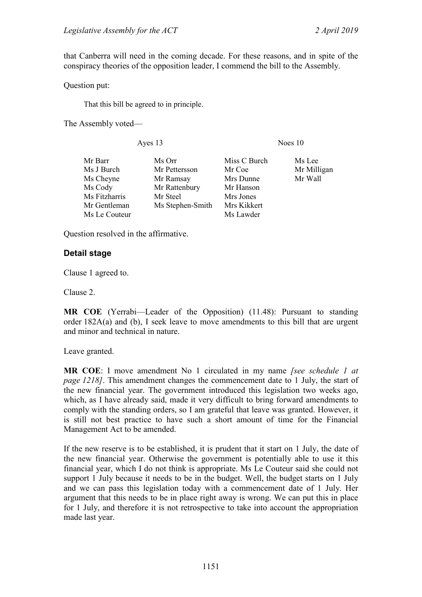that Canberra will need in the coming decade. For these reasons, and in spite of the conspiracy theories of the opposition leader, I commend the bill to the Assembly.

Question put:

That this bill be agreed to in principle.

The Assembly voted—

Ayes 13 Noes 10

| Mr Barr       | Ms Orr           | Miss C Burch | Ms Lee      |
|---------------|------------------|--------------|-------------|
| Ms J Burch    | Mr Pettersson    | Mr Coe       | Mr Milligan |
| Ms Cheyne     | Mr Ramsay        | Mrs Dunne    | Mr Wall     |
| Ms Cody       | Mr Rattenbury    | Mr Hanson    |             |
| Ms Fitzharris | Mr Steel         | Mrs Jones    |             |
| Mr Gentleman  | Ms Stephen-Smith | Mrs Kikkert  |             |
| Ms Le Couteur |                  | Ms Lawder    |             |
|               |                  |              |             |

Question resolved in the affirmative.

#### **Detail stage**

Clause 1 agreed to.

Clause 2.

**MR COE** (Yerrabi—Leader of the Opposition) (11.48): Pursuant to standing order 182A(a) and (b), I seek leave to move amendments to this bill that are urgent and minor and technical in nature.

Leave granted.

**MR COE**: I move amendment No 1 circulated in my name *[see schedule 1 at page 1218]*. This amendment changes the commencement date to 1 July, the start of the new financial year. The government introduced this legislation two weeks ago, which, as I have already said, made it very difficult to bring forward amendments to comply with the standing orders, so I am grateful that leave was granted. However, it is still not best practice to have such a short amount of time for the Financial Management Act to be amended.

If the new reserve is to be established, it is prudent that it start on 1 July, the date of the new financial year. Otherwise the government is potentially able to use it this financial year, which I do not think is appropriate. Ms Le Couteur said she could not support 1 July because it needs to be in the budget. Well, the budget starts on 1 July and we can pass this legislation today with a commencement date of 1 July. Her argument that this needs to be in place right away is wrong. We can put this in place for 1 July, and therefore it is not retrospective to take into account the appropriation made last year.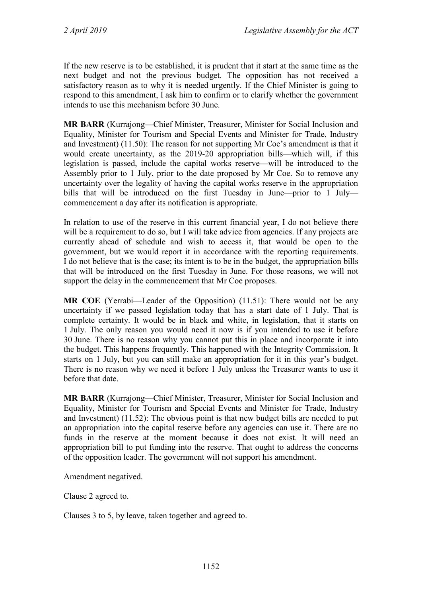If the new reserve is to be established, it is prudent that it start at the same time as the next budget and not the previous budget. The opposition has not received a satisfactory reason as to why it is needed urgently. If the Chief Minister is going to respond to this amendment, I ask him to confirm or to clarify whether the government intends to use this mechanism before 30 June.

**MR BARR** (Kurrajong—Chief Minister, Treasurer, Minister for Social Inclusion and Equality, Minister for Tourism and Special Events and Minister for Trade, Industry and Investment) (11.50): The reason for not supporting Mr Coe's amendment is that it would create uncertainty, as the 2019-20 appropriation bills—which will, if this legislation is passed, include the capital works reserve—will be introduced to the Assembly prior to 1 July, prior to the date proposed by Mr Coe. So to remove any uncertainty over the legality of having the capital works reserve in the appropriation bills that will be introduced on the first Tuesday in June—prior to 1 July commencement a day after its notification is appropriate.

In relation to use of the reserve in this current financial year, I do not believe there will be a requirement to do so, but I will take advice from agencies. If any projects are currently ahead of schedule and wish to access it, that would be open to the government, but we would report it in accordance with the reporting requirements. I do not believe that is the case; its intent is to be in the budget, the appropriation bills that will be introduced on the first Tuesday in June. For those reasons, we will not support the delay in the commencement that Mr Coe proposes.

**MR COE** (Yerrabi—Leader of the Opposition) (11.51): There would not be any uncertainty if we passed legislation today that has a start date of 1 July. That is complete certainty. It would be in black and white, in legislation, that it starts on 1 July. The only reason you would need it now is if you intended to use it before 30 June. There is no reason why you cannot put this in place and incorporate it into the budget. This happens frequently. This happened with the Integrity Commission. It starts on 1 July, but you can still make an appropriation for it in this year's budget. There is no reason why we need it before 1 July unless the Treasurer wants to use it before that date.

**MR BARR** (Kurrajong—Chief Minister, Treasurer, Minister for Social Inclusion and Equality, Minister for Tourism and Special Events and Minister for Trade, Industry and Investment) (11.52): The obvious point is that new budget bills are needed to put an appropriation into the capital reserve before any agencies can use it. There are no funds in the reserve at the moment because it does not exist. It will need an appropriation bill to put funding into the reserve. That ought to address the concerns of the opposition leader. The government will not support his amendment.

Amendment negatived.

Clause 2 agreed to.

Clauses 3 to 5, by leave, taken together and agreed to.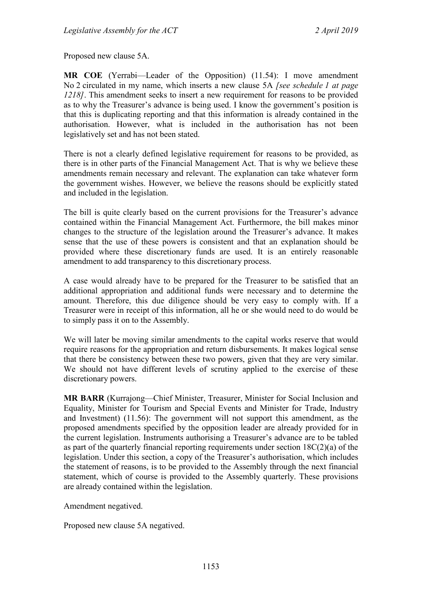Proposed new clause 5A.

**MR COE** (Yerrabi—Leader of the Opposition) (11.54): I move amendment No 2 circulated in my name, which inserts a new clause 5A *[see schedule 1 at page 1218]*. This amendment seeks to insert a new requirement for reasons to be provided as to why the Treasurer's advance is being used. I know the government's position is that this is duplicating reporting and that this information is already contained in the authorisation. However, what is included in the authorisation has not been legislatively set and has not been stated.

There is not a clearly defined legislative requirement for reasons to be provided, as there is in other parts of the Financial Management Act. That is why we believe these amendments remain necessary and relevant. The explanation can take whatever form the government wishes. However, we believe the reasons should be explicitly stated and included in the legislation.

The bill is quite clearly based on the current provisions for the Treasurer's advance contained within the Financial Management Act. Furthermore, the bill makes minor changes to the structure of the legislation around the Treasurer's advance. It makes sense that the use of these powers is consistent and that an explanation should be provided where these discretionary funds are used. It is an entirely reasonable amendment to add transparency to this discretionary process.

A case would already have to be prepared for the Treasurer to be satisfied that an additional appropriation and additional funds were necessary and to determine the amount. Therefore, this due diligence should be very easy to comply with. If a Treasurer were in receipt of this information, all he or she would need to do would be to simply pass it on to the Assembly.

We will later be moving similar amendments to the capital works reserve that would require reasons for the appropriation and return disbursements. It makes logical sense that there be consistency between these two powers, given that they are very similar. We should not have different levels of scrutiny applied to the exercise of these discretionary powers.

**MR BARR** (Kurrajong—Chief Minister, Treasurer, Minister for Social Inclusion and Equality, Minister for Tourism and Special Events and Minister for Trade, Industry and Investment) (11.56): The government will not support this amendment, as the proposed amendments specified by the opposition leader are already provided for in the current legislation. Instruments authorising a Treasurer's advance are to be tabled as part of the quarterly financial reporting requirements under section 18C(2)(a) of the legislation. Under this section, a copy of the Treasurer's authorisation, which includes the statement of reasons, is to be provided to the Assembly through the next financial statement, which of course is provided to the Assembly quarterly. These provisions are already contained within the legislation.

Amendment negatived.

Proposed new clause 5A negatived.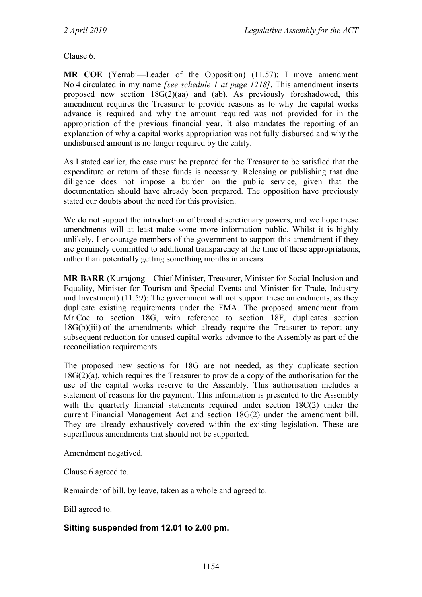Clause 6.

**MR COE** (Yerrabi—Leader of the Opposition) (11.57): I move amendment No 4 circulated in my name *[see schedule 1 at page 1218]*. This amendment inserts proposed new section 18G(2)(aa) and (ab). As previously foreshadowed, this amendment requires the Treasurer to provide reasons as to why the capital works advance is required and why the amount required was not provided for in the appropriation of the previous financial year. It also mandates the reporting of an explanation of why a capital works appropriation was not fully disbursed and why the undisbursed amount is no longer required by the entity.

As I stated earlier, the case must be prepared for the Treasurer to be satisfied that the expenditure or return of these funds is necessary. Releasing or publishing that due diligence does not impose a burden on the public service, given that the documentation should have already been prepared. The opposition have previously stated our doubts about the need for this provision.

We do not support the introduction of broad discretionary powers, and we hope these amendments will at least make some more information public. Whilst it is highly unlikely, I encourage members of the government to support this amendment if they are genuinely committed to additional transparency at the time of these appropriations, rather than potentially getting something months in arrears.

**MR BARR** (Kurrajong—Chief Minister, Treasurer, Minister for Social Inclusion and Equality, Minister for Tourism and Special Events and Minister for Trade, Industry and Investment) (11.59): The government will not support these amendments, as they duplicate existing requirements under the FMA. The proposed amendment from Mr Coe to section 18G, with reference to section 18F, duplicates section  $18G(b)(iii)$  of the amendments which already require the Treasurer to report any subsequent reduction for unused capital works advance to the Assembly as part of the reconciliation requirements.

The proposed new sections for 18G are not needed, as they duplicate section 18G(2)(a), which requires the Treasurer to provide a copy of the authorisation for the use of the capital works reserve to the Assembly. This authorisation includes a statement of reasons for the payment. This information is presented to the Assembly with the quarterly financial statements required under section 18C(2) under the current Financial Management Act and section 18G(2) under the amendment bill. They are already exhaustively covered within the existing legislation. These are superfluous amendments that should not be supported.

Amendment negatived.

Clause 6 agreed to.

Remainder of bill, by leave, taken as a whole and agreed to.

Bill agreed to.

#### **Sitting suspended from 12.01 to 2.00 pm.**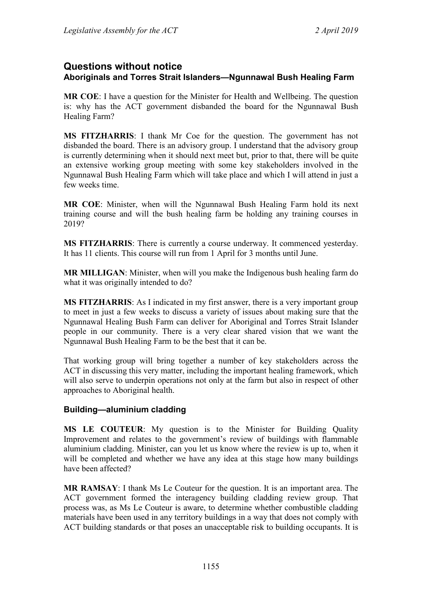# **Questions without notice Aboriginals and Torres Strait Islanders—Ngunnawal Bush Healing Farm**

**MR COE**: I have a question for the Minister for Health and Wellbeing. The question is: why has the ACT government disbanded the board for the Ngunnawal Bush Healing Farm?

**MS FITZHARRIS**: I thank Mr Coe for the question. The government has not disbanded the board. There is an advisory group. I understand that the advisory group is currently determining when it should next meet but, prior to that, there will be quite an extensive working group meeting with some key stakeholders involved in the Ngunnawal Bush Healing Farm which will take place and which I will attend in just a few weeks time.

**MR COE**: Minister, when will the Ngunnawal Bush Healing Farm hold its next training course and will the bush healing farm be holding any training courses in 2019?

**MS FITZHARRIS**: There is currently a course underway. It commenced yesterday. It has 11 clients. This course will run from 1 April for 3 months until June.

**MR MILLIGAN**: Minister, when will you make the Indigenous bush healing farm do what it was originally intended to do?

**MS FITZHARRIS**: As I indicated in my first answer, there is a very important group to meet in just a few weeks to discuss a variety of issues about making sure that the Ngunnawal Healing Bush Farm can deliver for Aboriginal and Torres Strait Islander people in our community. There is a very clear shared vision that we want the Ngunnawal Bush Healing Farm to be the best that it can be.

That working group will bring together a number of key stakeholders across the ACT in discussing this very matter, including the important healing framework, which will also serve to underpin operations not only at the farm but also in respect of other approaches to Aboriginal health.

## **Building—aluminium cladding**

**MS LE COUTEUR**: My question is to the Minister for Building Quality Improvement and relates to the government's review of buildings with flammable aluminium cladding. Minister, can you let us know where the review is up to, when it will be completed and whether we have any idea at this stage how many buildings have been affected?

**MR RAMSAY**: I thank Ms Le Couteur for the question. It is an important area. The ACT government formed the interagency building cladding review group. That process was, as Ms Le Couteur is aware, to determine whether combustible cladding materials have been used in any territory buildings in a way that does not comply with ACT building standards or that poses an unacceptable risk to building occupants. It is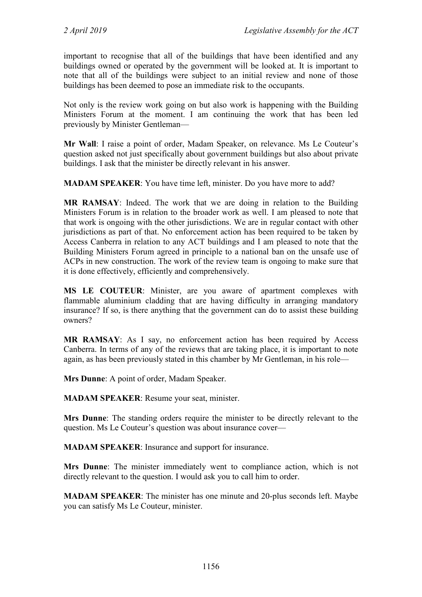important to recognise that all of the buildings that have been identified and any buildings owned or operated by the government will be looked at. It is important to note that all of the buildings were subject to an initial review and none of those buildings has been deemed to pose an immediate risk to the occupants.

Not only is the review work going on but also work is happening with the Building Ministers Forum at the moment. I am continuing the work that has been led previously by Minister Gentleman—

**Mr Wall**: I raise a point of order, Madam Speaker, on relevance. Ms Le Couteur's question asked not just specifically about government buildings but also about private buildings. I ask that the minister be directly relevant in his answer.

**MADAM SPEAKER**: You have time left, minister. Do you have more to add?

**MR RAMSAY**: Indeed. The work that we are doing in relation to the Building Ministers Forum is in relation to the broader work as well. I am pleased to note that that work is ongoing with the other jurisdictions. We are in regular contact with other jurisdictions as part of that. No enforcement action has been required to be taken by Access Canberra in relation to any ACT buildings and I am pleased to note that the Building Ministers Forum agreed in principle to a national ban on the unsafe use of ACPs in new construction. The work of the review team is ongoing to make sure that it is done effectively, efficiently and comprehensively.

**MS LE COUTEUR**: Minister, are you aware of apartment complexes with flammable aluminium cladding that are having difficulty in arranging mandatory insurance? If so, is there anything that the government can do to assist these building owners?

**MR RAMSAY**: As I say, no enforcement action has been required by Access Canberra. In terms of any of the reviews that are taking place, it is important to note again, as has been previously stated in this chamber by Mr Gentleman, in his role—

**Mrs Dunne**: A point of order, Madam Speaker.

**MADAM SPEAKER**: Resume your seat, minister.

**Mrs Dunne**: The standing orders require the minister to be directly relevant to the question. Ms Le Couteur's question was about insurance cover—

**MADAM SPEAKER**: Insurance and support for insurance.

**Mrs Dunne**: The minister immediately went to compliance action, which is not directly relevant to the question. I would ask you to call him to order.

**MADAM SPEAKER**: The minister has one minute and 20-plus seconds left. Maybe you can satisfy Ms Le Couteur, minister.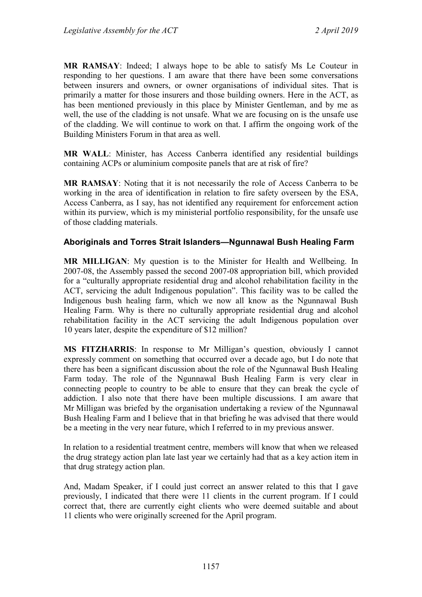**MR RAMSAY**: Indeed; I always hope to be able to satisfy Ms Le Couteur in responding to her questions. I am aware that there have been some conversations between insurers and owners, or owner organisations of individual sites. That is primarily a matter for those insurers and those building owners. Here in the ACT, as has been mentioned previously in this place by Minister Gentleman, and by me as well, the use of the cladding is not unsafe. What we are focusing on is the unsafe use of the cladding. We will continue to work on that. I affirm the ongoing work of the Building Ministers Forum in that area as well.

**MR WALL**: Minister, has Access Canberra identified any residential buildings containing ACPs or aluminium composite panels that are at risk of fire?

**MR RAMSAY**: Noting that it is not necessarily the role of Access Canberra to be working in the area of identification in relation to fire safety overseen by the ESA, Access Canberra, as I say, has not identified any requirement for enforcement action within its purview, which is my ministerial portfolio responsibility, for the unsafe use of those cladding materials.

## **Aboriginals and Torres Strait Islanders—Ngunnawal Bush Healing Farm**

**MR MILLIGAN**: My question is to the Minister for Health and Wellbeing. In 2007-08, the Assembly passed the second 2007-08 appropriation bill, which provided for a "culturally appropriate residential drug and alcohol rehabilitation facility in the ACT, servicing the adult Indigenous population". This facility was to be called the Indigenous bush healing farm, which we now all know as the Ngunnawal Bush Healing Farm. Why is there no culturally appropriate residential drug and alcohol rehabilitation facility in the ACT servicing the adult Indigenous population over 10 years later, despite the expenditure of \$12 million?

**MS FITZHARRIS**: In response to Mr Milligan's question, obviously I cannot expressly comment on something that occurred over a decade ago, but I do note that there has been a significant discussion about the role of the Ngunnawal Bush Healing Farm today. The role of the Ngunnawal Bush Healing Farm is very clear in connecting people to country to be able to ensure that they can break the cycle of addiction. I also note that there have been multiple discussions. I am aware that Mr Milligan was briefed by the organisation undertaking a review of the Ngunnawal Bush Healing Farm and I believe that in that briefing he was advised that there would be a meeting in the very near future, which I referred to in my previous answer.

In relation to a residential treatment centre, members will know that when we released the drug strategy action plan late last year we certainly had that as a key action item in that drug strategy action plan.

And, Madam Speaker, if I could just correct an answer related to this that I gave previously, I indicated that there were 11 clients in the current program. If I could correct that, there are currently eight clients who were deemed suitable and about 11 clients who were originally screened for the April program.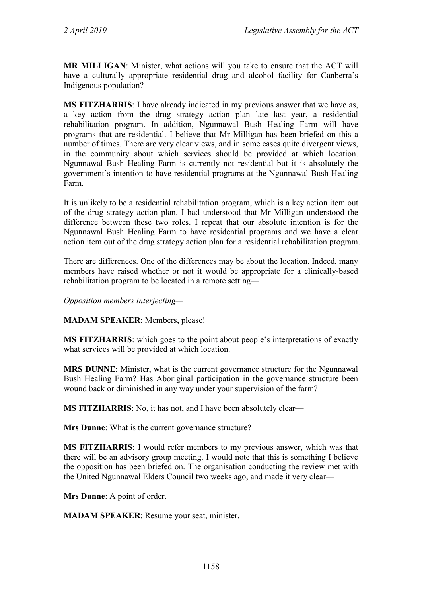**MR MILLIGAN**: Minister, what actions will you take to ensure that the ACT will have a culturally appropriate residential drug and alcohol facility for Canberra's Indigenous population?

**MS FITZHARRIS**: I have already indicated in my previous answer that we have as, a key action from the drug strategy action plan late last year, a residential rehabilitation program. In addition, Ngunnawal Bush Healing Farm will have programs that are residential. I believe that Mr Milligan has been briefed on this a number of times. There are very clear views, and in some cases quite divergent views, in the community about which services should be provided at which location. Ngunnawal Bush Healing Farm is currently not residential but it is absolutely the government's intention to have residential programs at the Ngunnawal Bush Healing Farm.

It is unlikely to be a residential rehabilitation program, which is a key action item out of the drug strategy action plan. I had understood that Mr Milligan understood the difference between these two roles. I repeat that our absolute intention is for the Ngunnawal Bush Healing Farm to have residential programs and we have a clear action item out of the drug strategy action plan for a residential rehabilitation program.

There are differences. One of the differences may be about the location. Indeed, many members have raised whether or not it would be appropriate for a clinically-based rehabilitation program to be located in a remote setting—

*Opposition members interjecting—*

**MADAM SPEAKER**: Members, please!

**MS FITZHARRIS**: which goes to the point about people's interpretations of exactly what services will be provided at which location.

**MRS DUNNE**: Minister, what is the current governance structure for the Ngunnawal Bush Healing Farm? Has Aboriginal participation in the governance structure been wound back or diminished in any way under your supervision of the farm?

**MS FITZHARRIS**: No, it has not, and I have been absolutely clear—

**Mrs Dunne**: What is the current governance structure?

**MS FITZHARRIS**: I would refer members to my previous answer, which was that there will be an advisory group meeting. I would note that this is something I believe the opposition has been briefed on. The organisation conducting the review met with the United Ngunnawal Elders Council two weeks ago, and made it very clear—

**Mrs Dunne**: A point of order.

**MADAM SPEAKER**: Resume your seat, minister.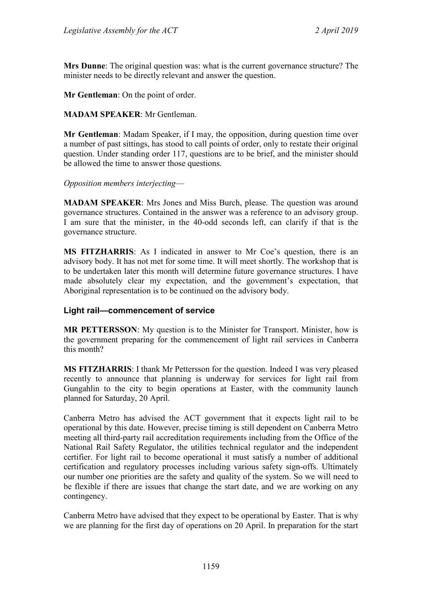**Mrs Dunne**: The original question was: what is the current governance structure? The minister needs to be directly relevant and answer the question.

**Mr Gentleman**: On the point of order.

#### **MADAM SPEAKER**: Mr Gentleman.

**Mr Gentleman**: Madam Speaker, if I may, the opposition, during question time over a number of past sittings, has stood to call points of order, only to restate their original question. Under standing order 117, questions are to be brief, and the minister should be allowed the time to answer those questions.

*Opposition members interjecting*—

**MADAM SPEAKER**: Mrs Jones and Miss Burch, please. The question was around governance structures. Contained in the answer was a reference to an advisory group. I am sure that the minister, in the 40-odd seconds left, can clarify if that is the governance structure.

**MS FITZHARRIS**: As I indicated in answer to Mr Coe's question, there is an advisory body. It has not met for some time. It will meet shortly. The workshop that is to be undertaken later this month will determine future governance structures. I have made absolutely clear my expectation, and the government's expectation, that Aboriginal representation is to be continued on the advisory body.

## **Light rail—commencement of service**

**MR PETTERSSON**: My question is to the Minister for Transport. Minister, how is the government preparing for the commencement of light rail services in Canberra this month?

**MS FITZHARRIS**: I thank Mr Pettersson for the question. Indeed I was very pleased recently to announce that planning is underway for services for light rail from Gungahlin to the city to begin operations at Easter, with the community launch planned for Saturday, 20 April.

Canberra Metro has advised the ACT government that it expects light rail to be operational by this date. However, precise timing is still dependent on Canberra Metro meeting all third-party rail accreditation requirements including from the Office of the National Rail Safety Regulator, the utilities technical regulator and the independent certifier. For light rail to become operational it must satisfy a number of additional certification and regulatory processes including various safety sign-offs. Ultimately our number one priorities are the safety and quality of the system. So we will need to be flexible if there are issues that change the start date, and we are working on any contingency.

Canberra Metro have advised that they expect to be operational by Easter. That is why we are planning for the first day of operations on 20 April. In preparation for the start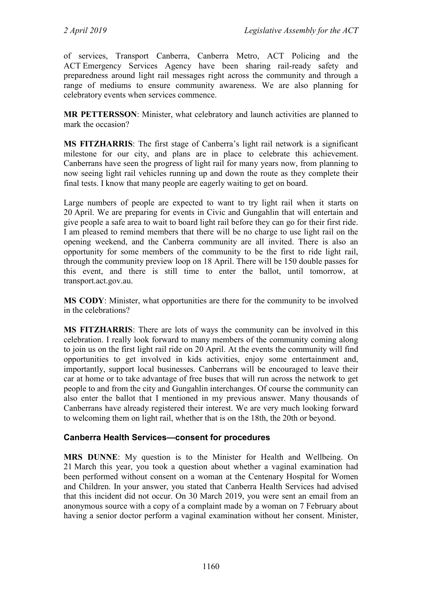of services, Transport Canberra, Canberra Metro, ACT Policing and the ACT Emergency Services Agency have been sharing rail-ready safety and preparedness around light rail messages right across the community and through a range of mediums to ensure community awareness. We are also planning for celebratory events when services commence.

**MR PETTERSSON**: Minister, what celebratory and launch activities are planned to mark the occasion?

**MS FITZHARRIS**: The first stage of Canberra's light rail network is a significant milestone for our city, and plans are in place to celebrate this achievement. Canberrans have seen the progress of light rail for many years now, from planning to now seeing light rail vehicles running up and down the route as they complete their final tests. I know that many people are eagerly waiting to get on board.

Large numbers of people are expected to want to try light rail when it starts on 20 April. We are preparing for events in Civic and Gungahlin that will entertain and give people a safe area to wait to board light rail before they can go for their first ride. I am pleased to remind members that there will be no charge to use light rail on the opening weekend, and the Canberra community are all invited. There is also an opportunity for some members of the community to be the first to ride light rail, through the community preview loop on 18 April. There will be 150 double passes for this event, and there is still time to enter the ballot, until tomorrow, at transport.act.gov.au.

**MS CODY**: Minister, what opportunities are there for the community to be involved in the celebrations?

**MS FITZHARRIS**: There are lots of ways the community can be involved in this celebration. I really look forward to many members of the community coming along to join us on the first light rail ride on 20 April. At the events the community will find opportunities to get involved in kids activities, enjoy some entertainment and, importantly, support local businesses. Canberrans will be encouraged to leave their car at home or to take advantage of free buses that will run across the network to get people to and from the city and Gungahlin interchanges. Of course the community can also enter the ballot that I mentioned in my previous answer. Many thousands of Canberrans have already registered their interest. We are very much looking forward to welcoming them on light rail, whether that is on the 18th, the 20th or beyond.

## **Canberra Health Services—consent for procedures**

**MRS DUNNE**: My question is to the Minister for Health and Wellbeing. On 21 March this year, you took a question about whether a vaginal examination had been performed without consent on a woman at the Centenary Hospital for Women and Children. In your answer, you stated that Canberra Health Services had advised that this incident did not occur. On 30 March 2019, you were sent an email from an anonymous source with a copy of a complaint made by a woman on 7 February about having a senior doctor perform a vaginal examination without her consent. Minister,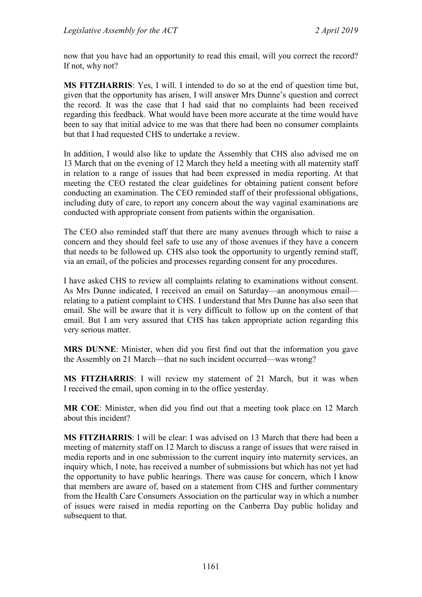now that you have had an opportunity to read this email, will you correct the record? If not, why not?

**MS FITZHARRIS**: Yes, I will. I intended to do so at the end of question time but, given that the opportunity has arisen, I will answer Mrs Dunne's question and correct the record. It was the case that I had said that no complaints had been received regarding this feedback. What would have been more accurate at the time would have been to say that initial advice to me was that there had been no consumer complaints but that I had requested CHS to undertake a review.

In addition, I would also like to update the Assembly that CHS also advised me on 13 March that on the evening of 12 March they held a meeting with all maternity staff in relation to a range of issues that had been expressed in media reporting. At that meeting the CEO restated the clear guidelines for obtaining patient consent before conducting an examination. The CEO reminded staff of their professional obligations, including duty of care, to report any concern about the way vaginal examinations are conducted with appropriate consent from patients within the organisation.

The CEO also reminded staff that there are many avenues through which to raise a concern and they should feel safe to use any of those avenues if they have a concern that needs to be followed up. CHS also took the opportunity to urgently remind staff, via an email, of the policies and processes regarding consent for any procedures.

I have asked CHS to review all complaints relating to examinations without consent. As Mrs Dunne indicated, I received an email on Saturday—an anonymous email relating to a patient complaint to CHS. I understand that Mrs Dunne has also seen that email. She will be aware that it is very difficult to follow up on the content of that email. But I am very assured that CHS has taken appropriate action regarding this very serious matter.

**MRS DUNNE**: Minister, when did you first find out that the information you gave the Assembly on 21 March—that no such incident occurred—was wrong?

**MS FITZHARRIS**: I will review my statement of 21 March, but it was when I received the email, upon coming in to the office yesterday.

**MR COE**: Minister, when did you find out that a meeting took place on 12 March about this incident?

**MS FITZHARRIS**: I will be clear: I was advised on 13 March that there had been a meeting of maternity staff on 12 March to discuss a range of issues that were raised in media reports and in one submission to the current inquiry into maternity services, an inquiry which, I note, has received a number of submissions but which has not yet had the opportunity to have public hearings. There was cause for concern, which I know that members are aware of, based on a statement from CHS and further commentary from the Health Care Consumers Association on the particular way in which a number of issues were raised in media reporting on the Canberra Day public holiday and subsequent to that.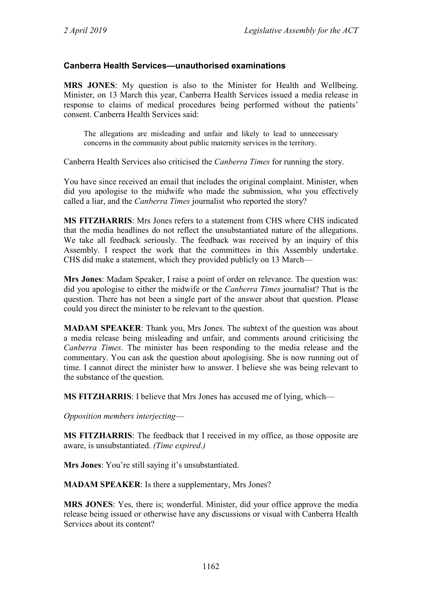## **Canberra Health Services—unauthorised examinations**

**MRS JONES**: My question is also to the Minister for Health and Wellbeing. Minister, on 13 March this year, Canberra Health Services issued a media release in response to claims of medical procedures being performed without the patients' consent. Canberra Health Services said:

The allegations are misleading and unfair and likely to lead to unnecessary concerns in the community about public maternity services in the territory.

Canberra Health Services also criticised the *Canberra Times* for running the story.

You have since received an email that includes the original complaint. Minister, when did you apologise to the midwife who made the submission, who you effectively called a liar, and the *Canberra Times* journalist who reported the story?

**MS FITZHARRIS**: Mrs Jones refers to a statement from CHS where CHS indicated that the media headlines do not reflect the unsubstantiated nature of the allegations. We take all feedback seriously. The feedback was received by an inquiry of this Assembly. I respect the work that the committees in this Assembly undertake. CHS did make a statement, which they provided publicly on 13 March—

**Mrs Jones**: Madam Speaker, I raise a point of order on relevance. The question was: did you apologise to either the midwife or the *Canberra Times* journalist? That is the question. There has not been a single part of the answer about that question. Please could you direct the minister to be relevant to the question.

**MADAM SPEAKER**: Thank you, Mrs Jones. The subtext of the question was about a media release being misleading and unfair, and comments around criticising the *Canberra Times*. The minister has been responding to the media release and the commentary. You can ask the question about apologising. She is now running out of time. I cannot direct the minister how to answer. I believe she was being relevant to the substance of the question.

**MS FITZHARRIS**: I believe that Mrs Jones has accused me of lying, which—

*Opposition members interjecting*—

**MS FITZHARRIS**: The feedback that I received in my office, as those opposite are aware, is unsubstantiated. *(Time expired.)*

**Mrs Jones**: You're still saying it's unsubstantiated.

**MADAM SPEAKER**: Is there a supplementary, Mrs Jones?

**MRS JONES**: Yes, there is; wonderful. Minister, did your office approve the media release being issued or otherwise have any discussions or visual with Canberra Health Services about its content?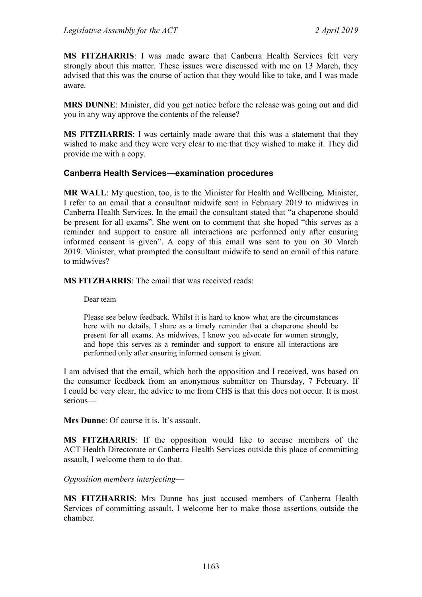**MS FITZHARRIS**: I was made aware that Canberra Health Services felt very strongly about this matter. These issues were discussed with me on 13 March, they advised that this was the course of action that they would like to take, and I was made aware.

**MRS DUNNE**: Minister, did you get notice before the release was going out and did you in any way approve the contents of the release?

**MS FITZHARRIS**: I was certainly made aware that this was a statement that they wished to make and they were very clear to me that they wished to make it. They did provide me with a copy.

#### **Canberra Health Services—examination procedures**

**MR WALL**: My question, too, is to the Minister for Health and Wellbeing. Minister, I refer to an email that a consultant midwife sent in February 2019 to midwives in Canberra Health Services. In the email the consultant stated that "a chaperone should be present for all exams". She went on to comment that she hoped "this serves as a reminder and support to ensure all interactions are performed only after ensuring informed consent is given". A copy of this email was sent to you on 30 March 2019. Minister, what prompted the consultant midwife to send an email of this nature to midwives?

**MS FITZHARRIS**: The email that was received reads:

Dear team

Please see below feedback. Whilst it is hard to know what are the circumstances here with no details, I share as a timely reminder that a chaperone should be present for all exams. As midwives, I know you advocate for women strongly, and hope this serves as a reminder and support to ensure all interactions are performed only after ensuring informed consent is given.

I am advised that the email, which both the opposition and I received, was based on the consumer feedback from an anonymous submitter on Thursday, 7 February. If I could be very clear, the advice to me from CHS is that this does not occur. It is most serious—

**Mrs Dunne**: Of course it is. It's assault.

**MS FITZHARRIS**: If the opposition would like to accuse members of the ACT Health Directorate or Canberra Health Services outside this place of committing assault, I welcome them to do that.

*Opposition members interjecting*—

**MS FITZHARRIS**: Mrs Dunne has just accused members of Canberra Health Services of committing assault. I welcome her to make those assertions outside the chamber.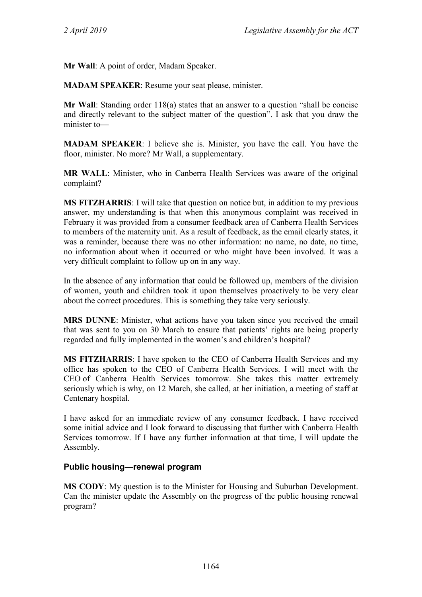**Mr Wall**: A point of order, Madam Speaker.

**MADAM SPEAKER**: Resume your seat please, minister.

**Mr Wall**: Standing order 118(a) states that an answer to a question "shall be concise and directly relevant to the subject matter of the question". I ask that you draw the minister to—

**MADAM SPEAKER**: I believe she is. Minister, you have the call. You have the floor, minister. No more? Mr Wall, a supplementary.

**MR WALL**: Minister, who in Canberra Health Services was aware of the original complaint?

**MS FITZHARRIS**: I will take that question on notice but, in addition to my previous answer, my understanding is that when this anonymous complaint was received in February it was provided from a consumer feedback area of Canberra Health Services to members of the maternity unit. As a result of feedback, as the email clearly states, it was a reminder, because there was no other information: no name, no date, no time, no information about when it occurred or who might have been involved. It was a very difficult complaint to follow up on in any way.

In the absence of any information that could be followed up, members of the division of women, youth and children took it upon themselves proactively to be very clear about the correct procedures. This is something they take very seriously.

**MRS DUNNE**: Minister, what actions have you taken since you received the email that was sent to you on 30 March to ensure that patients' rights are being properly regarded and fully implemented in the women's and children's hospital?

**MS FITZHARRIS**: I have spoken to the CEO of Canberra Health Services and my office has spoken to the CEO of Canberra Health Services. I will meet with the CEO of Canberra Health Services tomorrow. She takes this matter extremely seriously which is why, on 12 March, she called, at her initiation, a meeting of staff at Centenary hospital.

I have asked for an immediate review of any consumer feedback. I have received some initial advice and I look forward to discussing that further with Canberra Health Services tomorrow. If I have any further information at that time, I will update the Assembly.

## **Public housing—renewal program**

**MS CODY**: My question is to the Minister for Housing and Suburban Development. Can the minister update the Assembly on the progress of the public housing renewal program?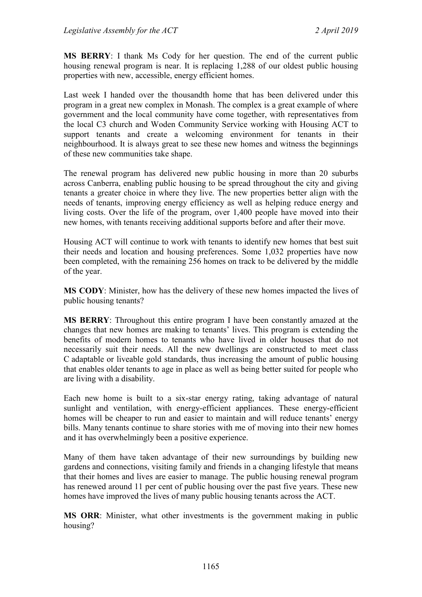**MS BERRY**: I thank Ms Cody for her question. The end of the current public housing renewal program is near. It is replacing 1,288 of our oldest public housing properties with new, accessible, energy efficient homes.

Last week I handed over the thousandth home that has been delivered under this program in a great new complex in Monash. The complex is a great example of where government and the local community have come together, with representatives from the local C3 church and Woden Community Service working with Housing ACT to support tenants and create a welcoming environment for tenants in their neighbourhood. It is always great to see these new homes and witness the beginnings of these new communities take shape.

The renewal program has delivered new public housing in more than 20 suburbs across Canberra, enabling public housing to be spread throughout the city and giving tenants a greater choice in where they live. The new properties better align with the needs of tenants, improving energy efficiency as well as helping reduce energy and living costs. Over the life of the program, over 1,400 people have moved into their new homes, with tenants receiving additional supports before and after their move.

Housing ACT will continue to work with tenants to identify new homes that best suit their needs and location and housing preferences. Some 1,032 properties have now been completed, with the remaining 256 homes on track to be delivered by the middle of the year.

**MS CODY**: Minister, how has the delivery of these new homes impacted the lives of public housing tenants?

**MS BERRY**: Throughout this entire program I have been constantly amazed at the changes that new homes are making to tenants' lives. This program is extending the benefits of modern homes to tenants who have lived in older houses that do not necessarily suit their needs. All the new dwellings are constructed to meet class C adaptable or liveable gold standards, thus increasing the amount of public housing that enables older tenants to age in place as well as being better suited for people who are living with a disability.

Each new home is built to a six-star energy rating, taking advantage of natural sunlight and ventilation, with energy-efficient appliances. These energy-efficient homes will be cheaper to run and easier to maintain and will reduce tenants' energy bills. Many tenants continue to share stories with me of moving into their new homes and it has overwhelmingly been a positive experience.

Many of them have taken advantage of their new surroundings by building new gardens and connections, visiting family and friends in a changing lifestyle that means that their homes and lives are easier to manage. The public housing renewal program has renewed around 11 per cent of public housing over the past five years. These new homes have improved the lives of many public housing tenants across the ACT.

**MS ORR**: Minister, what other investments is the government making in public housing?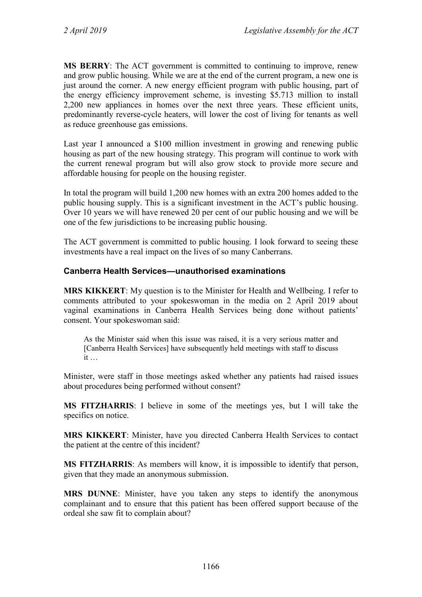**MS BERRY**: The ACT government is committed to continuing to improve, renew and grow public housing. While we are at the end of the current program, a new one is just around the corner. A new energy efficient program with public housing, part of the energy efficiency improvement scheme, is investing \$5.713 million to install 2,200 new appliances in homes over the next three years. These efficient units, predominantly reverse-cycle heaters, will lower the cost of living for tenants as well as reduce greenhouse gas emissions.

Last year I announced a \$100 million investment in growing and renewing public housing as part of the new housing strategy. This program will continue to work with the current renewal program but will also grow stock to provide more secure and affordable housing for people on the housing register.

In total the program will build 1,200 new homes with an extra 200 homes added to the public housing supply. This is a significant investment in the ACT's public housing. Over 10 years we will have renewed 20 per cent of our public housing and we will be one of the few jurisdictions to be increasing public housing.

The ACT government is committed to public housing. I look forward to seeing these investments have a real impact on the lives of so many Canberrans.

## **Canberra Health Services—unauthorised examinations**

**MRS KIKKERT**: My question is to the Minister for Health and Wellbeing. I refer to comments attributed to your spokeswoman in the media on 2 April 2019 about vaginal examinations in Canberra Health Services being done without patients' consent. Your spokeswoman said:

As the Minister said when this issue was raised, it is a very serious matter and [Canberra Health Services] have subsequently held meetings with staff to discuss it …

Minister, were staff in those meetings asked whether any patients had raised issues about procedures being performed without consent?

**MS FITZHARRIS**: I believe in some of the meetings yes, but I will take the specifics on notice.

**MRS KIKKERT**: Minister, have you directed Canberra Health Services to contact the patient at the centre of this incident?

**MS FITZHARRIS**: As members will know, it is impossible to identify that person, given that they made an anonymous submission.

**MRS DUNNE**: Minister, have you taken any steps to identify the anonymous complainant and to ensure that this patient has been offered support because of the ordeal she saw fit to complain about?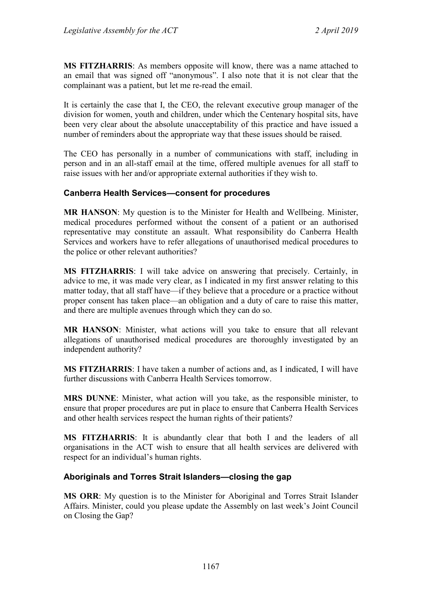**MS FITZHARRIS**: As members opposite will know, there was a name attached to an email that was signed off "anonymous". I also note that it is not clear that the complainant was a patient, but let me re-read the email.

It is certainly the case that I, the CEO, the relevant executive group manager of the division for women, youth and children, under which the Centenary hospital sits, have been very clear about the absolute unacceptability of this practice and have issued a number of reminders about the appropriate way that these issues should be raised.

The CEO has personally in a number of communications with staff, including in person and in an all-staff email at the time, offered multiple avenues for all staff to raise issues with her and/or appropriate external authorities if they wish to.

## **Canberra Health Services—consent for procedures**

**MR HANSON**: My question is to the Minister for Health and Wellbeing. Minister, medical procedures performed without the consent of a patient or an authorised representative may constitute an assault. What responsibility do Canberra Health Services and workers have to refer allegations of unauthorised medical procedures to the police or other relevant authorities?

**MS FITZHARRIS**: I will take advice on answering that precisely. Certainly, in advice to me, it was made very clear, as I indicated in my first answer relating to this matter today, that all staff have—if they believe that a procedure or a practice without proper consent has taken place—an obligation and a duty of care to raise this matter, and there are multiple avenues through which they can do so.

**MR HANSON**: Minister, what actions will you take to ensure that all relevant allegations of unauthorised medical procedures are thoroughly investigated by an independent authority?

**MS FITZHARRIS**: I have taken a number of actions and, as I indicated, I will have further discussions with Canberra Health Services tomorrow.

**MRS DUNNE**: Minister, what action will you take, as the responsible minister, to ensure that proper procedures are put in place to ensure that Canberra Health Services and other health services respect the human rights of their patients?

**MS FITZHARRIS**: It is abundantly clear that both I and the leaders of all organisations in the ACT wish to ensure that all health services are delivered with respect for an individual's human rights.

## **Aboriginals and Torres Strait Islanders—closing the gap**

**MS ORR**: My question is to the Minister for Aboriginal and Torres Strait Islander Affairs. Minister, could you please update the Assembly on last week's Joint Council on Closing the Gap?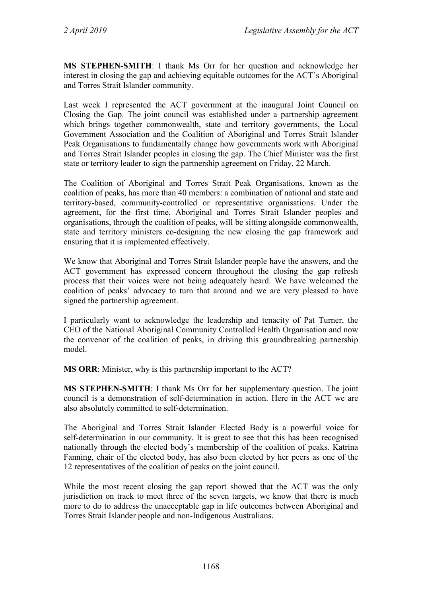**MS STEPHEN-SMITH**: I thank Ms Orr for her question and acknowledge her interest in closing the gap and achieving equitable outcomes for the ACT's Aboriginal and Torres Strait Islander community.

Last week I represented the ACT government at the inaugural Joint Council on Closing the Gap. The joint council was established under a partnership agreement which brings together commonwealth, state and territory governments, the Local Government Association and the Coalition of Aboriginal and Torres Strait Islander Peak Organisations to fundamentally change how governments work with Aboriginal and Torres Strait Islander peoples in closing the gap. The Chief Minister was the first state or territory leader to sign the partnership agreement on Friday, 22 March.

The Coalition of Aboriginal and Torres Strait Peak Organisations, known as the coalition of peaks, has more than 40 members: a combination of national and state and territory-based, community-controlled or representative organisations. Under the agreement, for the first time, Aboriginal and Torres Strait Islander peoples and organisations, through the coalition of peaks, will be sitting alongside commonwealth, state and territory ministers co-designing the new closing the gap framework and ensuring that it is implemented effectively.

We know that Aboriginal and Torres Strait Islander people have the answers, and the ACT government has expressed concern throughout the closing the gap refresh process that their voices were not being adequately heard. We have welcomed the coalition of peaks' advocacy to turn that around and we are very pleased to have signed the partnership agreement.

I particularly want to acknowledge the leadership and tenacity of Pat Turner, the CEO of the National Aboriginal Community Controlled Health Organisation and now the convenor of the coalition of peaks, in driving this groundbreaking partnership model.

**MS ORR**: Minister, why is this partnership important to the ACT?

**MS STEPHEN-SMITH**: I thank Ms Orr for her supplementary question. The joint council is a demonstration of self-determination in action. Here in the ACT we are also absolutely committed to self-determination.

The Aboriginal and Torres Strait Islander Elected Body is a powerful voice for self-determination in our community. It is great to see that this has been recognised nationally through the elected body's membership of the coalition of peaks. Katrina Fanning, chair of the elected body, has also been elected by her peers as one of the 12 representatives of the coalition of peaks on the joint council.

While the most recent closing the gap report showed that the ACT was the only jurisdiction on track to meet three of the seven targets, we know that there is much more to do to address the unacceptable gap in life outcomes between Aboriginal and Torres Strait Islander people and non-Indigenous Australians.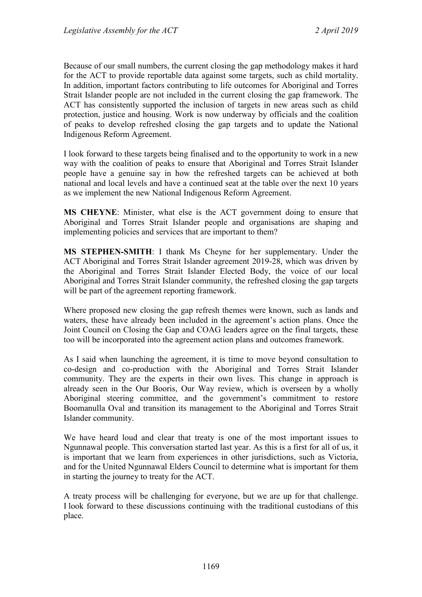Because of our small numbers, the current closing the gap methodology makes it hard for the ACT to provide reportable data against some targets, such as child mortality. In addition, important factors contributing to life outcomes for Aboriginal and Torres Strait Islander people are not included in the current closing the gap framework. The ACT has consistently supported the inclusion of targets in new areas such as child protection, justice and housing. Work is now underway by officials and the coalition of peaks to develop refreshed closing the gap targets and to update the National Indigenous Reform Agreement.

I look forward to these targets being finalised and to the opportunity to work in a new way with the coalition of peaks to ensure that Aboriginal and Torres Strait Islander people have a genuine say in how the refreshed targets can be achieved at both national and local levels and have a continued seat at the table over the next 10 years as we implement the new National Indigenous Reform Agreement.

**MS CHEYNE**: Minister, what else is the ACT government doing to ensure that Aboriginal and Torres Strait Islander people and organisations are shaping and implementing policies and services that are important to them?

**MS STEPHEN-SMITH**: I thank Ms Cheyne for her supplementary. Under the ACT Aboriginal and Torres Strait Islander agreement 2019-28, which was driven by the Aboriginal and Torres Strait Islander Elected Body, the voice of our local Aboriginal and Torres Strait Islander community, the refreshed closing the gap targets will be part of the agreement reporting framework.

Where proposed new closing the gap refresh themes were known, such as lands and waters, these have already been included in the agreement's action plans. Once the Joint Council on Closing the Gap and COAG leaders agree on the final targets, these too will be incorporated into the agreement action plans and outcomes framework.

As I said when launching the agreement, it is time to move beyond consultation to co-design and co-production with the Aboriginal and Torres Strait Islander community. They are the experts in their own lives. This change in approach is already seen in the Our Booris, Our Way review, which is overseen by a wholly Aboriginal steering committee, and the government's commitment to restore Boomanulla Oval and transition its management to the Aboriginal and Torres Strait Islander community.

We have heard loud and clear that treaty is one of the most important issues to Ngunnawal people. This conversation started last year. As this is a first for all of us, it is important that we learn from experiences in other jurisdictions, such as Victoria, and for the United Ngunnawal Elders Council to determine what is important for them in starting the journey to treaty for the ACT.

A treaty process will be challenging for everyone, but we are up for that challenge. I look forward to these discussions continuing with the traditional custodians of this place.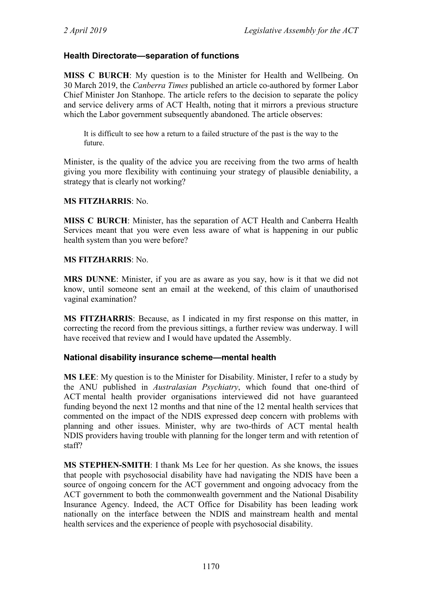## **Health Directorate—separation of functions**

**MISS C BURCH**: My question is to the Minister for Health and Wellbeing. On 30 March 2019, the *Canberra Times* published an article co-authored by former Labor Chief Minister Jon Stanhope. The article refers to the decision to separate the policy and service delivery arms of ACT Health, noting that it mirrors a previous structure which the Labor government subsequently abandoned. The article observes:

It is difficult to see how a return to a failed structure of the past is the way to the future.

Minister, is the quality of the advice you are receiving from the two arms of health giving you more flexibility with continuing your strategy of plausible deniability, a strategy that is clearly not working?

#### **MS FITZHARRIS**: No.

**MISS C BURCH**: Minister, has the separation of ACT Health and Canberra Health Services meant that you were even less aware of what is happening in our public health system than you were before?

#### **MS FITZHARRIS**: No.

**MRS DUNNE**: Minister, if you are as aware as you say, how is it that we did not know, until someone sent an email at the weekend, of this claim of unauthorised vaginal examination?

**MS FITZHARRIS**: Because, as I indicated in my first response on this matter, in correcting the record from the previous sittings, a further review was underway. I will have received that review and I would have updated the Assembly.

## **National disability insurance scheme—mental health**

**MS LEE**: My question is to the Minister for Disability. Minister, I refer to a study by the ANU published in *Australasian Psychiatry*, which found that one-third of ACT mental health provider organisations interviewed did not have guaranteed funding beyond the next 12 months and that nine of the 12 mental health services that commented on the impact of the NDIS expressed deep concern with problems with planning and other issues. Minister, why are two-thirds of ACT mental health NDIS providers having trouble with planning for the longer term and with retention of staff?

**MS STEPHEN-SMITH**: I thank Ms Lee for her question. As she knows, the issues that people with psychosocial disability have had navigating the NDIS have been a source of ongoing concern for the ACT government and ongoing advocacy from the ACT government to both the commonwealth government and the National Disability Insurance Agency. Indeed, the ACT Office for Disability has been leading work nationally on the interface between the NDIS and mainstream health and mental health services and the experience of people with psychosocial disability.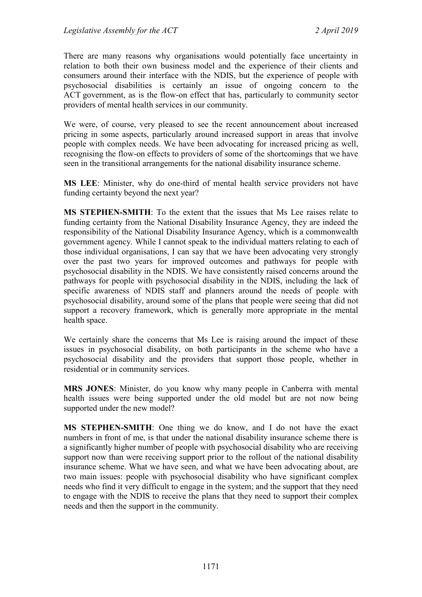There are many reasons why organisations would potentially face uncertainty in relation to both their own business model and the experience of their clients and consumers around their interface with the NDIS, but the experience of people with psychosocial disabilities is certainly an issue of ongoing concern to the ACT government, as is the flow-on effect that has, particularly to community sector providers of mental health services in our community.

We were, of course, very pleased to see the recent announcement about increased pricing in some aspects, particularly around increased support in areas that involve people with complex needs. We have been advocating for increased pricing as well, recognising the flow-on effects to providers of some of the shortcomings that we have seen in the transitional arrangements for the national disability insurance scheme.

**MS LEE**: Minister, why do one-third of mental health service providers not have funding certainty beyond the next year?

**MS STEPHEN-SMITH**: To the extent that the issues that Ms Lee raises relate to funding certainty from the National Disability Insurance Agency, they are indeed the responsibility of the National Disability Insurance Agency, which is a commonwealth government agency. While I cannot speak to the individual matters relating to each of those individual organisations, I can say that we have been advocating very strongly over the past two years for improved outcomes and pathways for people with psychosocial disability in the NDIS. We have consistently raised concerns around the pathways for people with psychosocial disability in the NDIS, including the lack of specific awareness of NDIS staff and planners around the needs of people with psychosocial disability, around some of the plans that people were seeing that did not support a recovery framework, which is generally more appropriate in the mental health space.

We certainly share the concerns that Ms Lee is raising around the impact of these issues in psychosocial disability, on both participants in the scheme who have a psychosocial disability and the providers that support those people, whether in residential or in community services.

**MRS JONES**: Minister, do you know why many people in Canberra with mental health issues were being supported under the old model but are not now being supported under the new model?

**MS STEPHEN-SMITH**: One thing we do know, and I do not have the exact numbers in front of me, is that under the national disability insurance scheme there is a significantly higher number of people with psychosocial disability who are receiving support now than were receiving support prior to the rollout of the national disability insurance scheme. What we have seen, and what we have been advocating about, are two main issues: people with psychosocial disability who have significant complex needs who find it very difficult to engage in the system; and the support that they need to engage with the NDIS to receive the plans that they need to support their complex needs and then the support in the community.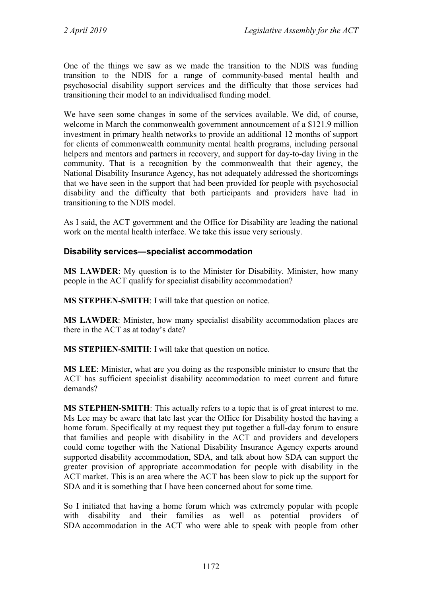One of the things we saw as we made the transition to the NDIS was funding transition to the NDIS for a range of community-based mental health and psychosocial disability support services and the difficulty that those services had transitioning their model to an individualised funding model.

We have seen some changes in some of the services available. We did, of course, welcome in March the commonwealth government announcement of a \$121.9 million investment in primary health networks to provide an additional 12 months of support for clients of commonwealth community mental health programs, including personal helpers and mentors and partners in recovery, and support for day-to-day living in the community. That is a recognition by the commonwealth that their agency, the National Disability Insurance Agency, has not adequately addressed the shortcomings that we have seen in the support that had been provided for people with psychosocial disability and the difficulty that both participants and providers have had in transitioning to the NDIS model.

As I said, the ACT government and the Office for Disability are leading the national work on the mental health interface. We take this issue very seriously.

## **Disability services—specialist accommodation**

**MS LAWDER**: My question is to the Minister for Disability. Minister, how many people in the ACT qualify for specialist disability accommodation?

**MS STEPHEN-SMITH**: I will take that question on notice.

**MS LAWDER**: Minister, how many specialist disability accommodation places are there in the ACT as at today's date?

**MS STEPHEN-SMITH**: I will take that question on notice.

**MS LEE**: Minister, what are you doing as the responsible minister to ensure that the ACT has sufficient specialist disability accommodation to meet current and future demands?

**MS STEPHEN-SMITH**: This actually refers to a topic that is of great interest to me. Ms Lee may be aware that late last year the Office for Disability hosted the having a home forum. Specifically at my request they put together a full-day forum to ensure that families and people with disability in the ACT and providers and developers could come together with the National Disability Insurance Agency experts around supported disability accommodation, SDA, and talk about how SDA can support the greater provision of appropriate accommodation for people with disability in the ACT market. This is an area where the ACT has been slow to pick up the support for SDA and it is something that I have been concerned about for some time.

So I initiated that having a home forum which was extremely popular with people with disability and their families as well as potential providers of SDA accommodation in the ACT who were able to speak with people from other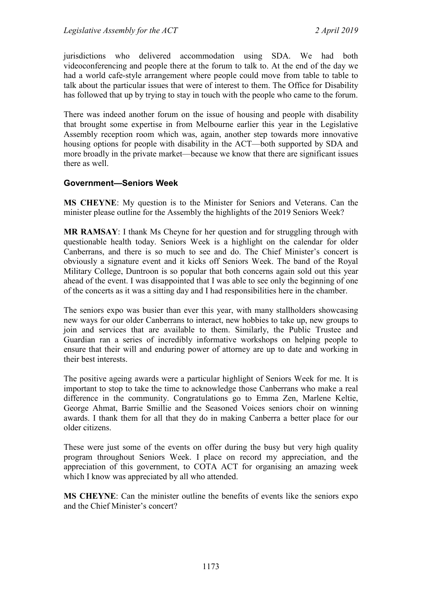jurisdictions who delivered accommodation using SDA. We had both videoconferencing and people there at the forum to talk to. At the end of the day we had a world cafe-style arrangement where people could move from table to table to talk about the particular issues that were of interest to them. The Office for Disability has followed that up by trying to stay in touch with the people who came to the forum.

There was indeed another forum on the issue of housing and people with disability that brought some expertise in from Melbourne earlier this year in the Legislative Assembly reception room which was, again, another step towards more innovative housing options for people with disability in the ACT—both supported by SDA and more broadly in the private market—because we know that there are significant issues there as well.

## **Government—Seniors Week**

**MS CHEYNE**: My question is to the Minister for Seniors and Veterans. Can the minister please outline for the Assembly the highlights of the 2019 Seniors Week?

**MR RAMSAY**: I thank Ms Cheyne for her question and for struggling through with questionable health today. Seniors Week is a highlight on the calendar for older Canberrans, and there is so much to see and do. The Chief Minister's concert is obviously a signature event and it kicks off Seniors Week. The band of the Royal Military College, Duntroon is so popular that both concerns again sold out this year ahead of the event. I was disappointed that I was able to see only the beginning of one of the concerts as it was a sitting day and I had responsibilities here in the chamber.

The seniors expo was busier than ever this year, with many stallholders showcasing new ways for our older Canberrans to interact, new hobbies to take up, new groups to join and services that are available to them. Similarly, the Public Trustee and Guardian ran a series of incredibly informative workshops on helping people to ensure that their will and enduring power of attorney are up to date and working in their best interests.

The positive ageing awards were a particular highlight of Seniors Week for me. It is important to stop to take the time to acknowledge those Canberrans who make a real difference in the community. Congratulations go to Emma Zen, Marlene Keltie, George Ahmat, Barrie Smillie and the Seasoned Voices seniors choir on winning awards. I thank them for all that they do in making Canberra a better place for our older citizens.

These were just some of the events on offer during the busy but very high quality program throughout Seniors Week. I place on record my appreciation, and the appreciation of this government, to COTA ACT for organising an amazing week which I know was appreciated by all who attended.

**MS CHEYNE**: Can the minister outline the benefits of events like the seniors expo and the Chief Minister's concert?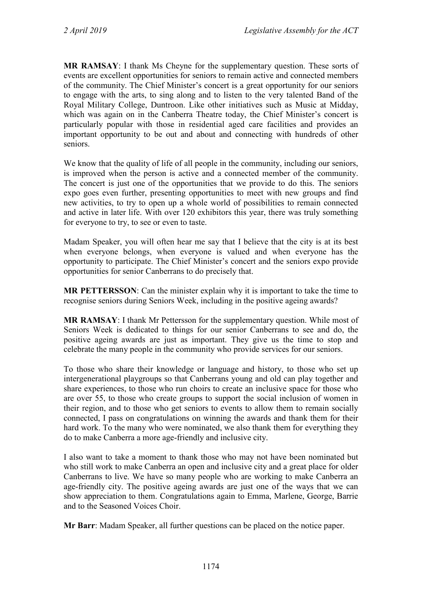**MR RAMSAY**: I thank Ms Cheyne for the supplementary question. These sorts of events are excellent opportunities for seniors to remain active and connected members of the community. The Chief Minister's concert is a great opportunity for our seniors to engage with the arts, to sing along and to listen to the very talented Band of the Royal Military College, Duntroon. Like other initiatives such as Music at Midday, which was again on in the Canberra Theatre today, the Chief Minister's concert is particularly popular with those in residential aged care facilities and provides an important opportunity to be out and about and connecting with hundreds of other seniors.

We know that the quality of life of all people in the community, including our seniors, is improved when the person is active and a connected member of the community. The concert is just one of the opportunities that we provide to do this. The seniors expo goes even further, presenting opportunities to meet with new groups and find new activities, to try to open up a whole world of possibilities to remain connected and active in later life. With over 120 exhibitors this year, there was truly something for everyone to try, to see or even to taste.

Madam Speaker, you will often hear me say that I believe that the city is at its best when everyone belongs, when everyone is valued and when everyone has the opportunity to participate. The Chief Minister's concert and the seniors expo provide opportunities for senior Canberrans to do precisely that.

**MR PETTERSSON**: Can the minister explain why it is important to take the time to recognise seniors during Seniors Week, including in the positive ageing awards?

**MR RAMSAY**: I thank Mr Pettersson for the supplementary question. While most of Seniors Week is dedicated to things for our senior Canberrans to see and do, the positive ageing awards are just as important. They give us the time to stop and celebrate the many people in the community who provide services for our seniors.

To those who share their knowledge or language and history, to those who set up intergenerational playgroups so that Canberrans young and old can play together and share experiences, to those who run choirs to create an inclusive space for those who are over 55, to those who create groups to support the social inclusion of women in their region, and to those who get seniors to events to allow them to remain socially connected, I pass on congratulations on winning the awards and thank them for their hard work. To the many who were nominated, we also thank them for everything they do to make Canberra a more age-friendly and inclusive city.

I also want to take a moment to thank those who may not have been nominated but who still work to make Canberra an open and inclusive city and a great place for older Canberrans to live. We have so many people who are working to make Canberra an age-friendly city. The positive ageing awards are just one of the ways that we can show appreciation to them. Congratulations again to Emma, Marlene, George, Barrie and to the Seasoned Voices Choir.

**Mr Barr**: Madam Speaker, all further questions can be placed on the notice paper.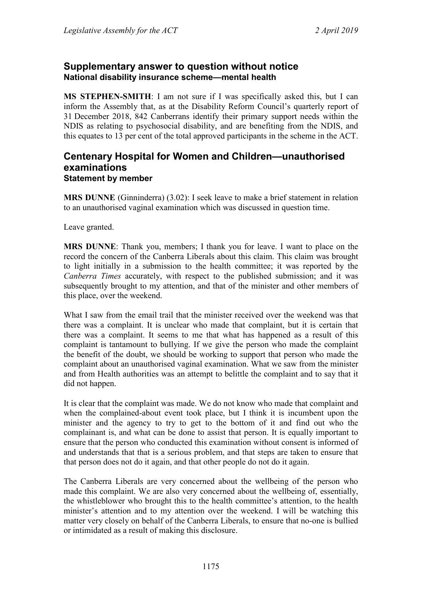## **Supplementary answer to question without notice National disability insurance scheme—mental health**

**MS STEPHEN-SMITH**: I am not sure if I was specifically asked this, but I can inform the Assembly that, as at the Disability Reform Council's quarterly report of 31 December 2018, 842 Canberrans identify their primary support needs within the NDIS as relating to psychosocial disability, and are benefiting from the NDIS, and this equates to 13 per cent of the total approved participants in the scheme in the ACT.

## **Centenary Hospital for Women and Children—unauthorised examinations Statement by member**

**MRS DUNNE** (Ginninderra) (3.02): I seek leave to make a brief statement in relation to an unauthorised vaginal examination which was discussed in question time.

Leave granted.

**MRS DUNNE**: Thank you, members; I thank you for leave. I want to place on the record the concern of the Canberra Liberals about this claim. This claim was brought to light initially in a submission to the health committee; it was reported by the *Canberra Times* accurately, with respect to the published submission; and it was subsequently brought to my attention, and that of the minister and other members of this place, over the weekend.

What I saw from the email trail that the minister received over the weekend was that there was a complaint. It is unclear who made that complaint, but it is certain that there was a complaint. It seems to me that what has happened as a result of this complaint is tantamount to bullying. If we give the person who made the complaint the benefit of the doubt, we should be working to support that person who made the complaint about an unauthorised vaginal examination. What we saw from the minister and from Health authorities was an attempt to belittle the complaint and to say that it did not happen.

It is clear that the complaint was made. We do not know who made that complaint and when the complained-about event took place, but I think it is incumbent upon the minister and the agency to try to get to the bottom of it and find out who the complainant is, and what can be done to assist that person. It is equally important to ensure that the person who conducted this examination without consent is informed of and understands that that is a serious problem, and that steps are taken to ensure that that person does not do it again, and that other people do not do it again.

The Canberra Liberals are very concerned about the wellbeing of the person who made this complaint. We are also very concerned about the wellbeing of, essentially, the whistleblower who brought this to the health committee's attention, to the health minister's attention and to my attention over the weekend. I will be watching this matter very closely on behalf of the Canberra Liberals, to ensure that no-one is bullied or intimidated as a result of making this disclosure.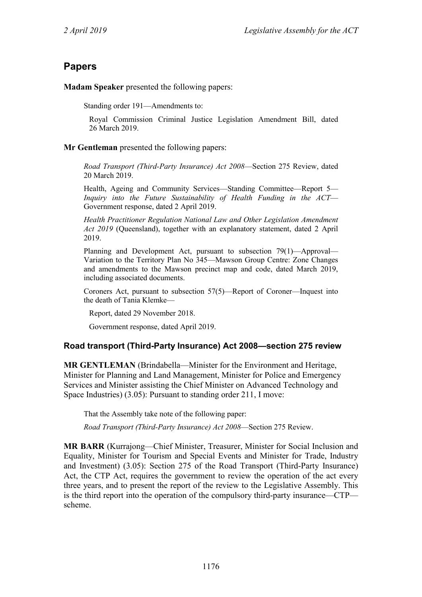# **Papers**

**Madam Speaker** presented the following papers:

Standing order 191—Amendments to:

Royal Commission Criminal Justice Legislation Amendment Bill, dated 26 March 2019.

#### **Mr Gentleman** presented the following papers:

*Road Transport (Third-Party Insurance) Act 2008*—Section 275 Review, dated 20 March 2019.

Health, Ageing and Community Services—Standing Committee—Report 5— *Inquiry into the Future Sustainability of Health Funding in the ACT*— Government response, dated 2 April 2019.

*Health Practitioner Regulation National Law and Other Legislation Amendment Act 2019* (Queensland), together with an explanatory statement, dated 2 April 2019.

Planning and Development Act, pursuant to subsection 79(1)—Approval— Variation to the Territory Plan No 345—Mawson Group Centre: Zone Changes and amendments to the Mawson precinct map and code, dated March 2019, including associated documents.

Coroners Act, pursuant to subsection 57(5)—Report of Coroner—Inquest into the death of Tania Klemke—

Report, dated 29 November 2018.

Government response, dated April 2019.

## **Road transport (Third-Party Insurance) Act 2008—section 275 review**

**MR GENTLEMAN** (Brindabella—Minister for the Environment and Heritage, Minister for Planning and Land Management, Minister for Police and Emergency Services and Minister assisting the Chief Minister on Advanced Technology and Space Industries) (3.05): Pursuant to standing order 211, I move:

That the Assembly take note of the following paper:

*Road Transport (Third-Party Insurance) Act 2008*—Section 275 Review.

**MR BARR** (Kurrajong—Chief Minister, Treasurer, Minister for Social Inclusion and Equality, Minister for Tourism and Special Events and Minister for Trade, Industry and Investment) (3.05): Section 275 of the Road Transport (Third-Party Insurance) Act, the CTP Act, requires the government to review the operation of the act every three years, and to present the report of the review to the Legislative Assembly. This is the third report into the operation of the compulsory third-party insurance—CTP scheme.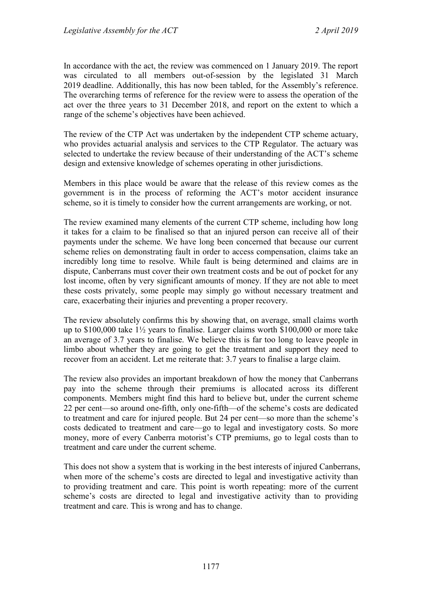In accordance with the act, the review was commenced on 1 January 2019. The report was circulated to all members out-of-session by the legislated 31 March 2019 deadline. Additionally, this has now been tabled, for the Assembly's reference. The overarching terms of reference for the review were to assess the operation of the act over the three years to 31 December 2018, and report on the extent to which a range of the scheme's objectives have been achieved.

The review of the CTP Act was undertaken by the independent CTP scheme actuary, who provides actuarial analysis and services to the CTP Regulator. The actuary was selected to undertake the review because of their understanding of the ACT's scheme design and extensive knowledge of schemes operating in other jurisdictions.

Members in this place would be aware that the release of this review comes as the government is in the process of reforming the ACT's motor accident insurance scheme, so it is timely to consider how the current arrangements are working, or not.

The review examined many elements of the current CTP scheme, including how long it takes for a claim to be finalised so that an injured person can receive all of their payments under the scheme. We have long been concerned that because our current scheme relies on demonstrating fault in order to access compensation, claims take an incredibly long time to resolve. While fault is being determined and claims are in dispute, Canberrans must cover their own treatment costs and be out of pocket for any lost income, often by very significant amounts of money. If they are not able to meet these costs privately, some people may simply go without necessary treatment and care, exacerbating their injuries and preventing a proper recovery.

The review absolutely confirms this by showing that, on average, small claims worth up to \$100,000 take 1½ years to finalise. Larger claims worth \$100,000 or more take an average of 3.7 years to finalise. We believe this is far too long to leave people in limbo about whether they are going to get the treatment and support they need to recover from an accident. Let me reiterate that: 3.7 years to finalise a large claim.

The review also provides an important breakdown of how the money that Canberrans pay into the scheme through their premiums is allocated across its different components. Members might find this hard to believe but, under the current scheme 22 per cent—so around one-fifth, only one-fifth—of the scheme's costs are dedicated to treatment and care for injured people. But 24 per cent—so more than the scheme's costs dedicated to treatment and care—go to legal and investigatory costs. So more money, more of every Canberra motorist's CTP premiums, go to legal costs than to treatment and care under the current scheme.

This does not show a system that is working in the best interests of injured Canberrans, when more of the scheme's costs are directed to legal and investigative activity than to providing treatment and care. This point is worth repeating: more of the current scheme's costs are directed to legal and investigative activity than to providing treatment and care. This is wrong and has to change.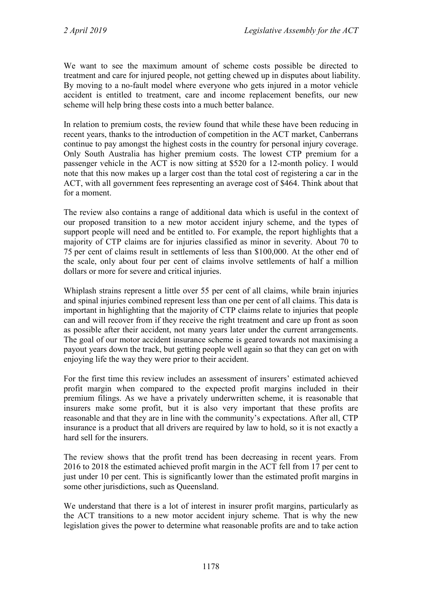We want to see the maximum amount of scheme costs possible be directed to treatment and care for injured people, not getting chewed up in disputes about liability. By moving to a no-fault model where everyone who gets injured in a motor vehicle accident is entitled to treatment, care and income replacement benefits, our new scheme will help bring these costs into a much better balance.

In relation to premium costs, the review found that while these have been reducing in recent years, thanks to the introduction of competition in the ACT market, Canberrans continue to pay amongst the highest costs in the country for personal injury coverage. Only South Australia has higher premium costs. The lowest CTP premium for a passenger vehicle in the ACT is now sitting at \$520 for a 12-month policy. I would note that this now makes up a larger cost than the total cost of registering a car in the ACT, with all government fees representing an average cost of \$464. Think about that for a moment.

The review also contains a range of additional data which is useful in the context of our proposed transition to a new motor accident injury scheme, and the types of support people will need and be entitled to. For example, the report highlights that a majority of CTP claims are for injuries classified as minor in severity. About 70 to 75 per cent of claims result in settlements of less than \$100,000. At the other end of the scale, only about four per cent of claims involve settlements of half a million dollars or more for severe and critical injuries.

Whiplash strains represent a little over 55 per cent of all claims, while brain injuries and spinal injuries combined represent less than one per cent of all claims. This data is important in highlighting that the majority of CTP claims relate to injuries that people can and will recover from if they receive the right treatment and care up front as soon as possible after their accident, not many years later under the current arrangements. The goal of our motor accident insurance scheme is geared towards not maximising a payout years down the track, but getting people well again so that they can get on with enjoying life the way they were prior to their accident.

For the first time this review includes an assessment of insurers' estimated achieved profit margin when compared to the expected profit margins included in their premium filings. As we have a privately underwritten scheme, it is reasonable that insurers make some profit, but it is also very important that these profits are reasonable and that they are in line with the community's expectations. After all, CTP insurance is a product that all drivers are required by law to hold, so it is not exactly a hard sell for the insurers.

The review shows that the profit trend has been decreasing in recent years. From 2016 to 2018 the estimated achieved profit margin in the ACT fell from 17 per cent to just under 10 per cent. This is significantly lower than the estimated profit margins in some other jurisdictions, such as Queensland.

We understand that there is a lot of interest in insurer profit margins, particularly as the ACT transitions to a new motor accident injury scheme. That is why the new legislation gives the power to determine what reasonable profits are and to take action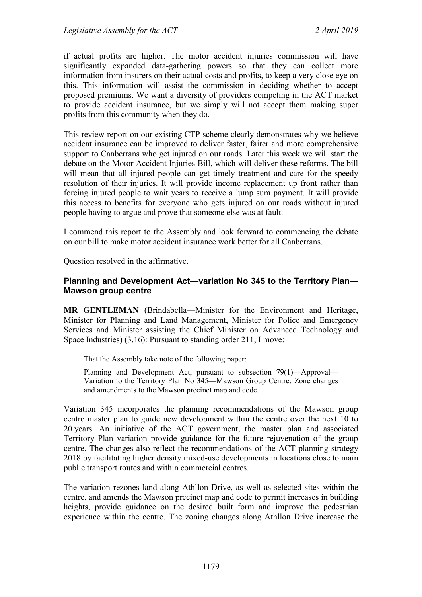if actual profits are higher. The motor accident injuries commission will have significantly expanded data-gathering powers so that they can collect more information from insurers on their actual costs and profits, to keep a very close eye on this. This information will assist the commission in deciding whether to accept proposed premiums. We want a diversity of providers competing in the ACT market to provide accident insurance, but we simply will not accept them making super profits from this community when they do.

This review report on our existing CTP scheme clearly demonstrates why we believe accident insurance can be improved to deliver faster, fairer and more comprehensive support to Canberrans who get injured on our roads. Later this week we will start the debate on the Motor Accident Injuries Bill, which will deliver these reforms. The bill will mean that all injured people can get timely treatment and care for the speedy resolution of their injuries. It will provide income replacement up front rather than forcing injured people to wait years to receive a lump sum payment. It will provide this access to benefits for everyone who gets injured on our roads without injured people having to argue and prove that someone else was at fault.

I commend this report to the Assembly and look forward to commencing the debate on our bill to make motor accident insurance work better for all Canberrans.

Question resolved in the affirmative.

#### **Planning and Development Act—variation No 345 to the Territory Plan— Mawson group centre**

**MR GENTLEMAN** (Brindabella—Minister for the Environment and Heritage, Minister for Planning and Land Management, Minister for Police and Emergency Services and Minister assisting the Chief Minister on Advanced Technology and Space Industries) (3.16): Pursuant to standing order 211, I move:

That the Assembly take note of the following paper:

Planning and Development Act, pursuant to subsection 79(1)—Approval— Variation to the Territory Plan No 345—Mawson Group Centre: Zone changes and amendments to the Mawson precinct map and code.

Variation 345 incorporates the planning recommendations of the Mawson group centre master plan to guide new development within the centre over the next 10 to 20 years. An initiative of the ACT government, the master plan and associated Territory Plan variation provide guidance for the future rejuvenation of the group centre. The changes also reflect the recommendations of the ACT planning strategy 2018 by facilitating higher density mixed-use developments in locations close to main public transport routes and within commercial centres.

The variation rezones land along Athllon Drive, as well as selected sites within the centre, and amends the Mawson precinct map and code to permit increases in building heights, provide guidance on the desired built form and improve the pedestrian experience within the centre. The zoning changes along Athllon Drive increase the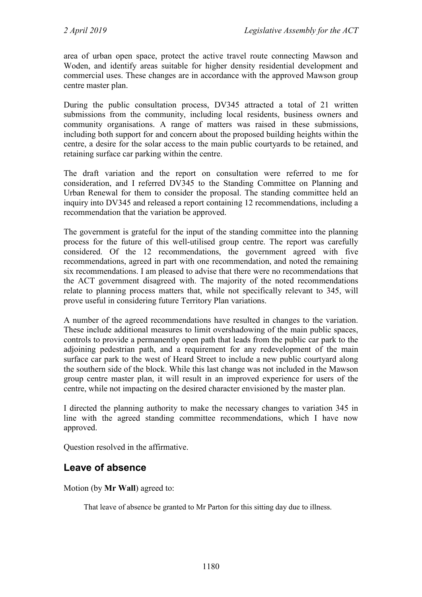area of urban open space, protect the active travel route connecting Mawson and Woden, and identify areas suitable for higher density residential development and commercial uses. These changes are in accordance with the approved Mawson group centre master plan.

During the public consultation process, DV345 attracted a total of 21 written submissions from the community, including local residents, business owners and community organisations. A range of matters was raised in these submissions, including both support for and concern about the proposed building heights within the centre, a desire for the solar access to the main public courtyards to be retained, and retaining surface car parking within the centre.

The draft variation and the report on consultation were referred to me for consideration, and I referred DV345 to the Standing Committee on Planning and Urban Renewal for them to consider the proposal. The standing committee held an inquiry into DV345 and released a report containing 12 recommendations, including a recommendation that the variation be approved.

The government is grateful for the input of the standing committee into the planning process for the future of this well-utilised group centre. The report was carefully considered. Of the 12 recommendations, the government agreed with five recommendations, agreed in part with one recommendation, and noted the remaining six recommendations. I am pleased to advise that there were no recommendations that the ACT government disagreed with. The majority of the noted recommendations relate to planning process matters that, while not specifically relevant to 345, will prove useful in considering future Territory Plan variations.

A number of the agreed recommendations have resulted in changes to the variation. These include additional measures to limit overshadowing of the main public spaces, controls to provide a permanently open path that leads from the public car park to the adjoining pedestrian path, and a requirement for any redevelopment of the main surface car park to the west of Heard Street to include a new public courtyard along the southern side of the block. While this last change was not included in the Mawson group centre master plan, it will result in an improved experience for users of the centre, while not impacting on the desired character envisioned by the master plan.

I directed the planning authority to make the necessary changes to variation 345 in line with the agreed standing committee recommendations, which I have now approved.

Question resolved in the affirmative.

# **Leave of absence**

Motion (by **Mr Wall**) agreed to:

That leave of absence be granted to Mr Parton for this sitting day due to illness.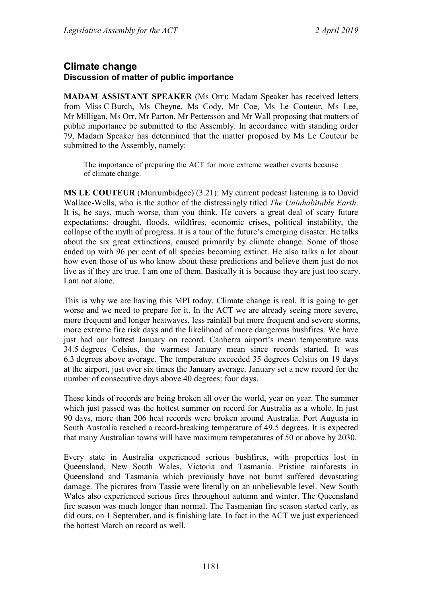## **Climate change Discussion of matter of public importance**

**MADAM ASSISTANT SPEAKER** (Ms Orr): Madam Speaker has received letters from Miss C Burch, Ms Cheyne, Ms Cody, Mr Coe, Ms Le Couteur, Ms Lee, Mr Milligan, Ms Orr, Mr Parton, Mr Pettersson and Mr Wall proposing that matters of public importance be submitted to the Assembly. In accordance with standing order 79, Madam Speaker has determined that the matter proposed by Ms Le Couteur be submitted to the Assembly, namely:

The importance of preparing the ACT for more extreme weather events because of climate change.

**MS LE COUTEUR** (Murrumbidgee) (3.21): My current podcast listening is to David Wallace-Wells, who is the author of the distressingly titled *The Uninhabitable Earth*. It is, he says, much worse, than you think. He covers a great deal of scary future expectations: drought, floods, wildfires, economic crises, political instability, the collapse of the myth of progress. It is a tour of the future's emerging disaster. He talks about the six great extinctions, caused primarily by climate change. Some of those ended up with 96 per cent of all species becoming extinct. He also talks a lot about how even those of us who know about these predictions and believe them just do not live as if they are true. I am one of them. Basically it is because they are just too scary. I am not alone.

This is why we are having this MPI today. Climate change is real. It is going to get worse and we need to prepare for it. In the ACT we are already seeing more severe, more frequent and longer heatwaves, less rainfall but more frequent and severe storms, more extreme fire risk days and the likelihood of more dangerous bushfires. We have just had our hottest January on record. Canberra airport's mean temperature was 34.5 degrees Celsius, the warmest January mean since records started. It was 6.3 degrees above average. The temperature exceeded 35 degrees Celsius on 19 days at the airport, just over six times the January average. January set a new record for the number of consecutive days above 40 degrees: four days.

These kinds of records are being broken all over the world, year on year. The summer which just passed was the hottest summer on record for Australia as a whole. In just 90 days, more than 206 heat records were broken around Australia. Port Augusta in South Australia reached a record-breaking temperature of 49.5 degrees. It is expected that many Australian towns will have maximum temperatures of 50 or above by 2030.

Every state in Australia experienced serious bushfires, with properties lost in Queensland, New South Wales, Victoria and Tasmania. Pristine rainforests in Queensland and Tasmania which previously have not burnt suffered devastating damage. The pictures from Tassie were literally on an unbelievable level. New South Wales also experienced serious fires throughout autumn and winter. The Queensland fire season was much longer than normal. The Tasmanian fire season started early, as did ours, on 1 September, and is finishing late. In fact in the ACT we just experienced the hottest March on record as well.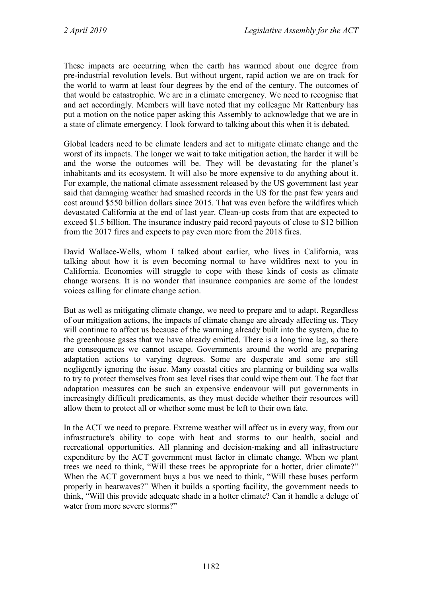These impacts are occurring when the earth has warmed about one degree from pre-industrial revolution levels. But without urgent, rapid action we are on track for the world to warm at least four degrees by the end of the century. The outcomes of that would be catastrophic. We are in a climate emergency. We need to recognise that and act accordingly. Members will have noted that my colleague Mr Rattenbury has put a motion on the notice paper asking this Assembly to acknowledge that we are in a state of climate emergency. I look forward to talking about this when it is debated.

Global leaders need to be climate leaders and act to mitigate climate change and the worst of its impacts. The longer we wait to take mitigation action, the harder it will be and the worse the outcomes will be. They will be devastating for the planet's inhabitants and its ecosystem. It will also be more expensive to do anything about it. For example, the national climate assessment released by the US government last year said that damaging weather had smashed records in the US for the past few years and cost around \$550 billion dollars since 2015. That was even before the wildfires which devastated California at the end of last year. Clean-up costs from that are expected to exceed \$1.5 billion. The insurance industry paid record payouts of close to \$12 billion from the 2017 fires and expects to pay even more from the 2018 fires.

David Wallace-Wells, whom I talked about earlier, who lives in California, was talking about how it is even becoming normal to have wildfires next to you in California. Economies will struggle to cope with these kinds of costs as climate change worsens. It is no wonder that insurance companies are some of the loudest voices calling for climate change action.

But as well as mitigating climate change, we need to prepare and to adapt. Regardless of our mitigation actions, the impacts of climate change are already affecting us. They will continue to affect us because of the warming already built into the system, due to the greenhouse gases that we have already emitted. There is a long time lag, so there are consequences we cannot escape. Governments around the world are preparing adaptation actions to varying degrees. Some are desperate and some are still negligently ignoring the issue. Many coastal cities are planning or building sea walls to try to protect themselves from sea level rises that could wipe them out. The fact that adaptation measures can be such an expensive endeavour will put governments in increasingly difficult predicaments, as they must decide whether their resources will allow them to protect all or whether some must be left to their own fate.

In the ACT we need to prepare. Extreme weather will affect us in every way, from our infrastructure's ability to cope with heat and storms to our health, social and recreational opportunities. All planning and decision-making and all infrastructure expenditure by the ACT government must factor in climate change. When we plant trees we need to think, "Will these trees be appropriate for a hotter, drier climate?" When the ACT government buys a bus we need to think, "Will these buses perform properly in heatwaves?" When it builds a sporting facility, the government needs to think, "Will this provide adequate shade in a hotter climate? Can it handle a deluge of water from more severe storms?"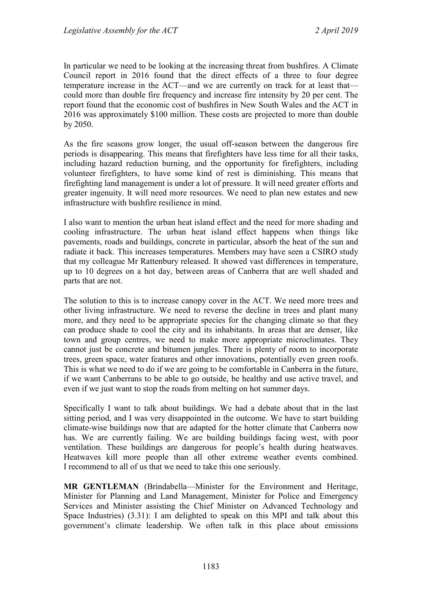In particular we need to be looking at the increasing threat from bushfires. A Climate Council report in 2016 found that the direct effects of a three to four degree temperature increase in the ACT—and we are currently on track for at least that could more than double fire frequency and increase fire intensity by 20 per cent. The report found that the economic cost of bushfires in New South Wales and the ACT in 2016 was approximately \$100 million. These costs are projected to more than double by 2050.

As the fire seasons grow longer, the usual off-season between the dangerous fire periods is disappearing. This means that firefighters have less time for all their tasks, including hazard reduction burning, and the opportunity for firefighters, including volunteer firefighters, to have some kind of rest is diminishing. This means that firefighting land management is under a lot of pressure. It will need greater efforts and greater ingenuity. It will need more resources. We need to plan new estates and new infrastructure with bushfire resilience in mind.

I also want to mention the urban heat island effect and the need for more shading and cooling infrastructure. The urban heat island effect happens when things like pavements, roads and buildings, concrete in particular, absorb the heat of the sun and radiate it back. This increases temperatures. Members may have seen a CSIRO study that my colleague Mr Rattenbury released. It showed vast differences in temperature, up to 10 degrees on a hot day, between areas of Canberra that are well shaded and parts that are not.

The solution to this is to increase canopy cover in the ACT. We need more trees and other living infrastructure. We need to reverse the decline in trees and plant many more, and they need to be appropriate species for the changing climate so that they can produce shade to cool the city and its inhabitants. In areas that are denser, like town and group centres, we need to make more appropriate microclimates. They cannot just be concrete and bitumen jungles. There is plenty of room to incorporate trees, green space, water features and other innovations, potentially even green roofs. This is what we need to do if we are going to be comfortable in Canberra in the future, if we want Canberrans to be able to go outside, be healthy and use active travel, and even if we just want to stop the roads from melting on hot summer days.

Specifically I want to talk about buildings. We had a debate about that in the last sitting period, and I was very disappointed in the outcome. We have to start building climate-wise buildings now that are adapted for the hotter climate that Canberra now has. We are currently failing. We are building buildings facing west, with poor ventilation. These buildings are dangerous for people's health during heatwaves. Heatwaves kill more people than all other extreme weather events combined. I recommend to all of us that we need to take this one seriously.

**MR GENTLEMAN** (Brindabella—Minister for the Environment and Heritage, Minister for Planning and Land Management, Minister for Police and Emergency Services and Minister assisting the Chief Minister on Advanced Technology and Space Industries) (3.31): I am delighted to speak on this MPI and talk about this government's climate leadership. We often talk in this place about emissions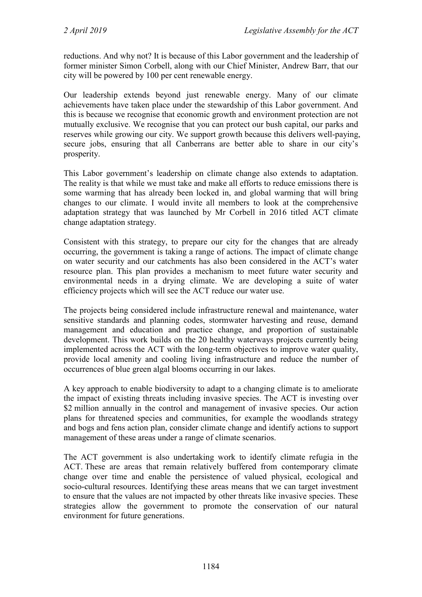reductions. And why not? It is because of this Labor government and the leadership of former minister Simon Corbell, along with our Chief Minister, Andrew Barr, that our city will be powered by 100 per cent renewable energy.

Our leadership extends beyond just renewable energy. Many of our climate achievements have taken place under the stewardship of this Labor government. And this is because we recognise that economic growth and environment protection are not mutually exclusive. We recognise that you can protect our bush capital, our parks and reserves while growing our city. We support growth because this delivers well-paying, secure jobs, ensuring that all Canberrans are better able to share in our city's prosperity.

This Labor government's leadership on climate change also extends to adaptation. The reality is that while we must take and make all efforts to reduce emissions there is some warming that has already been locked in, and global warming that will bring changes to our climate. I would invite all members to look at the comprehensive adaptation strategy that was launched by Mr Corbell in 2016 titled ACT climate change adaptation strategy.

Consistent with this strategy, to prepare our city for the changes that are already occurring, the government is taking a range of actions. The impact of climate change on water security and our catchments has also been considered in the ACT's water resource plan. This plan provides a mechanism to meet future water security and environmental needs in a drying climate. We are developing a suite of water efficiency projects which will see the ACT reduce our water use.

The projects being considered include infrastructure renewal and maintenance, water sensitive standards and planning codes, stormwater harvesting and reuse, demand management and education and practice change, and proportion of sustainable development. This work builds on the 20 healthy waterways projects currently being implemented across the ACT with the long-term objectives to improve water quality, provide local amenity and cooling living infrastructure and reduce the number of occurrences of blue green algal blooms occurring in our lakes.

A key approach to enable biodiversity to adapt to a changing climate is to ameliorate the impact of existing threats including invasive species. The ACT is investing over \$2 million annually in the control and management of invasive species. Our action plans for threatened species and communities, for example the woodlands strategy and bogs and fens action plan, consider climate change and identify actions to support management of these areas under a range of climate scenarios.

The ACT government is also undertaking work to identify climate refugia in the ACT. These are areas that remain relatively buffered from contemporary climate change over time and enable the persistence of valued physical, ecological and socio-cultural resources. Identifying these areas means that we can target investment to ensure that the values are not impacted by other threats like invasive species. These strategies allow the government to promote the conservation of our natural environment for future generations.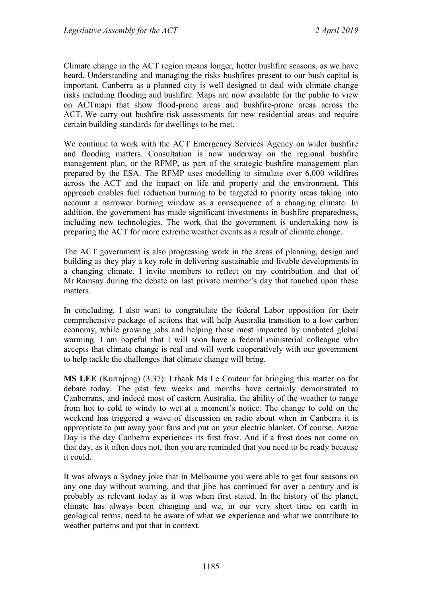Climate change in the ACT region means longer, hotter bushfire seasons, as we have heard. Understanding and managing the risks bushfires present to our bush capital is important. Canberra as a planned city is well designed to deal with climate change risks including flooding and bushfire. Maps are now available for the public to view on ACTmapi that show flood-prone areas and bushfire-prone areas across the ACT. We carry out bushfire risk assessments for new residential areas and require certain building standards for dwellings to be met.

We continue to work with the ACT Emergency Services Agency on wider bushfire and flooding matters. Consultation is now underway on the regional bushfire management plan, or the RFMP, as part of the strategic bushfire management plan prepared by the ESA. The RFMP uses modelling to simulate over 6,000 wildfires across the ACT and the impact on life and property and the environment. This approach enables fuel reduction burning to be targeted to priority areas taking into account a narrower burning window as a consequence of a changing climate. In addition, the government has made significant investments in bushfire preparedness, including new technologies. The work that the government is undertaking now is preparing the ACT for more extreme weather events as a result of climate change.

The ACT government is also progressing work in the areas of planning, design and building as they play a key role in delivering sustainable and livable developments in a changing climate. I invite members to reflect on my contribution and that of Mr Ramsay during the debate on last private member's day that touched upon these matters.

In concluding, I also want to congratulate the federal Labor opposition for their comprehensive package of actions that will help Australia transition to a low carbon economy, while growing jobs and helping those most impacted by unabated global warming. I am hopeful that I will soon have a federal ministerial colleague who accepts that climate change is real and will work cooperatively with our government to help tackle the challenges that climate change will bring.

**MS LEE** (Kurrajong) (3.37): I thank Ms Le Couteur for bringing this matter on for debate today. The past few weeks and months have certainly demonstrated to Canberrans, and indeed most of eastern Australia, the ability of the weather to range from hot to cold to windy to wet at a moment's notice. The change to cold on the weekend has triggered a wave of discussion on radio about when in Canberra it is appropriate to put away your fans and put on your electric blanket. Of course, Anzac Day is the day Canberra experiences its first frost. And if a frost does not come on that day, as it often does not, then you are reminded that you need to be ready because it could.

It was always a Sydney joke that in Melbourne you were able to get four seasons on any one day without warning, and that jibe has continued for over a century and is probably as relevant today as it was when first stated. In the history of the planet, climate has always been changing and we, in our very short time on earth in geological terms, need to be aware of what we experience and what we contribute to weather patterns and put that in context.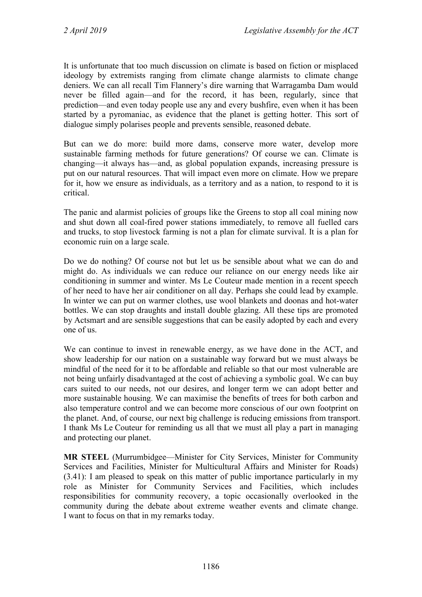It is unfortunate that too much discussion on climate is based on fiction or misplaced ideology by extremists ranging from climate change alarmists to climate change deniers. We can all recall Tim Flannery's dire warning that Warragamba Dam would never be filled again—and for the record, it has been, regularly, since that prediction—and even today people use any and every bushfire, even when it has been started by a pyromaniac, as evidence that the planet is getting hotter. This sort of dialogue simply polarises people and prevents sensible, reasoned debate.

But can we do more: build more dams, conserve more water, develop more sustainable farming methods for future generations? Of course we can. Climate is changing—it always has—and, as global population expands, increasing pressure is put on our natural resources. That will impact even more on climate. How we prepare for it, how we ensure as individuals, as a territory and as a nation, to respond to it is critical.

The panic and alarmist policies of groups like the Greens to stop all coal mining now and shut down all coal-fired power stations immediately, to remove all fuelled cars and trucks, to stop livestock farming is not a plan for climate survival. It is a plan for economic ruin on a large scale.

Do we do nothing? Of course not but let us be sensible about what we can do and might do. As individuals we can reduce our reliance on our energy needs like air conditioning in summer and winter. Ms Le Couteur made mention in a recent speech of her need to have her air conditioner on all day. Perhaps she could lead by example. In winter we can put on warmer clothes, use wool blankets and doonas and hot-water bottles. We can stop draughts and install double glazing. All these tips are promoted by Actsmart and are sensible suggestions that can be easily adopted by each and every one of us.

We can continue to invest in renewable energy, as we have done in the ACT, and show leadership for our nation on a sustainable way forward but we must always be mindful of the need for it to be affordable and reliable so that our most vulnerable are not being unfairly disadvantaged at the cost of achieving a symbolic goal. We can buy cars suited to our needs, not our desires, and longer term we can adopt better and more sustainable housing. We can maximise the benefits of trees for both carbon and also temperature control and we can become more conscious of our own footprint on the planet. And, of course, our next big challenge is reducing emissions from transport. I thank Ms Le Couteur for reminding us all that we must all play a part in managing and protecting our planet.

**MR STEEL** (Murrumbidgee—Minister for City Services, Minister for Community Services and Facilities, Minister for Multicultural Affairs and Minister for Roads) (3.41): I am pleased to speak on this matter of public importance particularly in my role as Minister for Community Services and Facilities, which includes responsibilities for community recovery, a topic occasionally overlooked in the community during the debate about extreme weather events and climate change. I want to focus on that in my remarks today.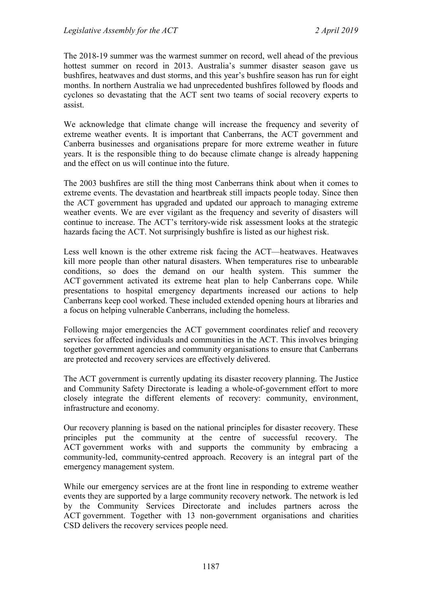The 2018-19 summer was the warmest summer on record, well ahead of the previous hottest summer on record in 2013. Australia's summer disaster season gave us bushfires, heatwaves and dust storms, and this year's bushfire season has run for eight months. In northern Australia we had unprecedented bushfires followed by floods and cyclones so devastating that the ACT sent two teams of social recovery experts to assist.

We acknowledge that climate change will increase the frequency and severity of extreme weather events. It is important that Canberrans, the ACT government and Canberra businesses and organisations prepare for more extreme weather in future years. It is the responsible thing to do because climate change is already happening and the effect on us will continue into the future.

The 2003 bushfires are still the thing most Canberrans think about when it comes to extreme events. The devastation and heartbreak still impacts people today. Since then the ACT government has upgraded and updated our approach to managing extreme weather events. We are ever vigilant as the frequency and severity of disasters will continue to increase. The ACT's territory-wide risk assessment looks at the strategic hazards facing the ACT. Not surprisingly bushfire is listed as our highest risk.

Less well known is the other extreme risk facing the ACT—heatwaves. Heatwaves kill more people than other natural disasters. When temperatures rise to unbearable conditions, so does the demand on our health system. This summer the ACT government activated its extreme heat plan to help Canberrans cope. While presentations to hospital emergency departments increased our actions to help Canberrans keep cool worked. These included extended opening hours at libraries and a focus on helping vulnerable Canberrans, including the homeless.

Following major emergencies the ACT government coordinates relief and recovery services for affected individuals and communities in the ACT. This involves bringing together government agencies and community organisations to ensure that Canberrans are protected and recovery services are effectively delivered.

The ACT government is currently updating its disaster recovery planning. The Justice and Community Safety Directorate is leading a whole-of-government effort to more closely integrate the different elements of recovery: community, environment, infrastructure and economy.

Our recovery planning is based on the national principles for disaster recovery. These principles put the community at the centre of successful recovery. The ACT government works with and supports the community by embracing a community-led, community-centred approach. Recovery is an integral part of the emergency management system.

While our emergency services are at the front line in responding to extreme weather events they are supported by a large community recovery network. The network is led by the Community Services Directorate and includes partners across the ACT government. Together with 13 non-government organisations and charities CSD delivers the recovery services people need.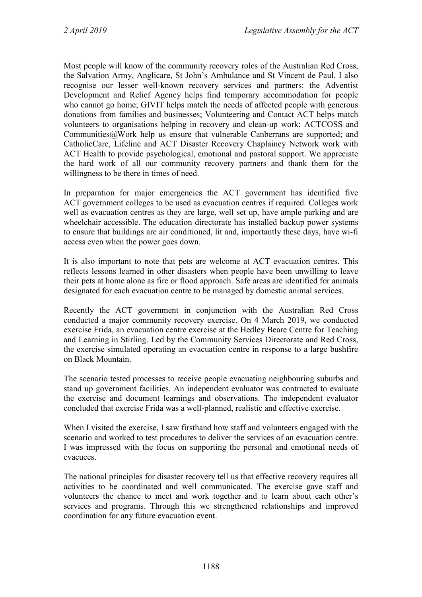Most people will know of the community recovery roles of the Australian Red Cross, the Salvation Army, Anglicare, St John's Ambulance and St Vincent de Paul. I also recognise our lesser well-known recovery services and partners: the Adventist Development and Relief Agency helps find temporary accommodation for people who cannot go home; GIVIT helps match the needs of affected people with generous donations from families and businesses; Volunteering and Contact ACT helps match volunteers to organisations helping in recovery and clean-up work; ACTCOSS and Communities@Work help us ensure that vulnerable Canberrans are supported; and CatholicCare, Lifeline and ACT Disaster Recovery Chaplaincy Network work with ACT Health to provide psychological, emotional and pastoral support. We appreciate the hard work of all our community recovery partners and thank them for the willingness to be there in times of need.

In preparation for major emergencies the ACT government has identified five ACT government colleges to be used as evacuation centres if required. Colleges work well as evacuation centres as they are large, well set up, have ample parking and are wheelchair accessible. The education directorate has installed backup power systems to ensure that buildings are air conditioned, lit and, importantly these days, have wi-fi access even when the power goes down.

It is also important to note that pets are welcome at ACT evacuation centres. This reflects lessons learned in other disasters when people have been unwilling to leave their pets at home alone as fire or flood approach. Safe areas are identified for animals designated for each evacuation centre to be managed by domestic animal services.

Recently the ACT government in conjunction with the Australian Red Cross conducted a major community recovery exercise. On 4 March 2019, we conducted exercise Frida, an evacuation centre exercise at the Hedley Beare Centre for Teaching and Learning in Stirling. Led by the Community Services Directorate and Red Cross, the exercise simulated operating an evacuation centre in response to a large bushfire on Black Mountain.

The scenario tested processes to receive people evacuating neighbouring suburbs and stand up government facilities. An independent evaluator was contracted to evaluate the exercise and document learnings and observations. The independent evaluator concluded that exercise Frida was a well-planned, realistic and effective exercise.

When I visited the exercise, I saw firsthand how staff and volunteers engaged with the scenario and worked to test procedures to deliver the services of an evacuation centre. I was impressed with the focus on supporting the personal and emotional needs of evacuees.

The national principles for disaster recovery tell us that effective recovery requires all activities to be coordinated and well communicated. The exercise gave staff and volunteers the chance to meet and work together and to learn about each other's services and programs. Through this we strengthened relationships and improved coordination for any future evacuation event.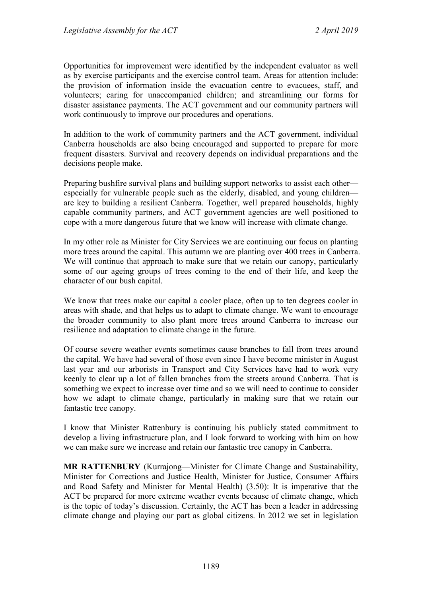Opportunities for improvement were identified by the independent evaluator as well as by exercise participants and the exercise control team. Areas for attention include: the provision of information inside the evacuation centre to evacuees, staff, and volunteers; caring for unaccompanied children; and streamlining our forms for disaster assistance payments. The ACT government and our community partners will work continuously to improve our procedures and operations.

In addition to the work of community partners and the ACT government, individual Canberra households are also being encouraged and supported to prepare for more frequent disasters. Survival and recovery depends on individual preparations and the decisions people make.

Preparing bushfire survival plans and building support networks to assist each other especially for vulnerable people such as the elderly, disabled, and young children are key to building a resilient Canberra. Together, well prepared households, highly capable community partners, and ACT government agencies are well positioned to cope with a more dangerous future that we know will increase with climate change.

In my other role as Minister for City Services we are continuing our focus on planting more trees around the capital. This autumn we are planting over 400 trees in Canberra. We will continue that approach to make sure that we retain our canopy, particularly some of our ageing groups of trees coming to the end of their life, and keep the character of our bush capital.

We know that trees make our capital a cooler place, often up to ten degrees cooler in areas with shade, and that helps us to adapt to climate change. We want to encourage the broader community to also plant more trees around Canberra to increase our resilience and adaptation to climate change in the future.

Of course severe weather events sometimes cause branches to fall from trees around the capital. We have had several of those even since I have become minister in August last year and our arborists in Transport and City Services have had to work very keenly to clear up a lot of fallen branches from the streets around Canberra. That is something we expect to increase over time and so we will need to continue to consider how we adapt to climate change, particularly in making sure that we retain our fantastic tree canopy.

I know that Minister Rattenbury is continuing his publicly stated commitment to develop a living infrastructure plan, and I look forward to working with him on how we can make sure we increase and retain our fantastic tree canopy in Canberra.

**MR RATTENBURY** (Kurrajong—Minister for Climate Change and Sustainability, Minister for Corrections and Justice Health, Minister for Justice, Consumer Affairs and Road Safety and Minister for Mental Health) (3.50): It is imperative that the ACT be prepared for more extreme weather events because of climate change, which is the topic of today's discussion. Certainly, the ACT has been a leader in addressing climate change and playing our part as global citizens. In 2012 we set in legislation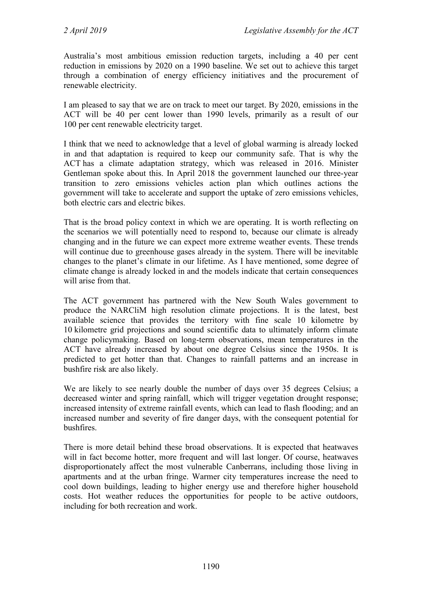Australia's most ambitious emission reduction targets, including a 40 per cent reduction in emissions by 2020 on a 1990 baseline. We set out to achieve this target through a combination of energy efficiency initiatives and the procurement of renewable electricity.

I am pleased to say that we are on track to meet our target. By 2020, emissions in the ACT will be 40 per cent lower than 1990 levels, primarily as a result of our 100 per cent renewable electricity target.

I think that we need to acknowledge that a level of global warming is already locked in and that adaptation is required to keep our community safe. That is why the ACT has a climate adaptation strategy, which was released in 2016. Minister Gentleman spoke about this. In April 2018 the government launched our three-year transition to zero emissions vehicles action plan which outlines actions the government will take to accelerate and support the uptake of zero emissions vehicles, both electric cars and electric bikes.

That is the broad policy context in which we are operating. It is worth reflecting on the scenarios we will potentially need to respond to, because our climate is already changing and in the future we can expect more extreme weather events. These trends will continue due to greenhouse gases already in the system. There will be inevitable changes to the planet's climate in our lifetime. As I have mentioned, some degree of climate change is already locked in and the models indicate that certain consequences will arise from that.

The ACT government has partnered with the New South Wales government to produce the NARCliM high resolution climate projections. It is the latest, best available science that provides the territory with fine scale 10 kilometre by 10 kilometre grid projections and sound scientific data to ultimately inform climate change policymaking. Based on long-term observations, mean temperatures in the ACT have already increased by about one degree Celsius since the 1950s. It is predicted to get hotter than that. Changes to rainfall patterns and an increase in bushfire risk are also likely.

We are likely to see nearly double the number of days over 35 degrees Celsius; a decreased winter and spring rainfall, which will trigger vegetation drought response; increased intensity of extreme rainfall events, which can lead to flash flooding; and an increased number and severity of fire danger days, with the consequent potential for bushfires.

There is more detail behind these broad observations. It is expected that heatwaves will in fact become hotter, more frequent and will last longer. Of course, heatwaves disproportionately affect the most vulnerable Canberrans, including those living in apartments and at the urban fringe. Warmer city temperatures increase the need to cool down buildings, leading to higher energy use and therefore higher household costs. Hot weather reduces the opportunities for people to be active outdoors, including for both recreation and work.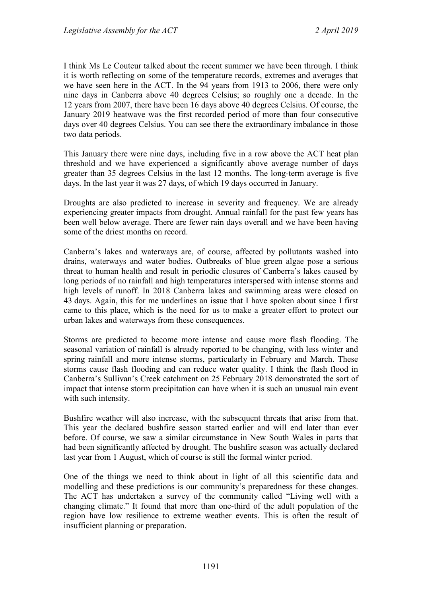I think Ms Le Couteur talked about the recent summer we have been through. I think it is worth reflecting on some of the temperature records, extremes and averages that we have seen here in the ACT. In the 94 years from 1913 to 2006, there were only nine days in Canberra above 40 degrees Celsius; so roughly one a decade. In the 12 years from 2007, there have been 16 days above 40 degrees Celsius. Of course, the January 2019 heatwave was the first recorded period of more than four consecutive days over 40 degrees Celsius. You can see there the extraordinary imbalance in those two data periods.

This January there were nine days, including five in a row above the ACT heat plan threshold and we have experienced a significantly above average number of days greater than 35 degrees Celsius in the last 12 months. The long-term average is five days. In the last year it was 27 days, of which 19 days occurred in January.

Droughts are also predicted to increase in severity and frequency. We are already experiencing greater impacts from drought. Annual rainfall for the past few years has been well below average. There are fewer rain days overall and we have been having some of the driest months on record.

Canberra's lakes and waterways are, of course, affected by pollutants washed into drains, waterways and water bodies. Outbreaks of blue green algae pose a serious threat to human health and result in periodic closures of Canberra's lakes caused by long periods of no rainfall and high temperatures interspersed with intense storms and high levels of runoff. In 2018 Canberra lakes and swimming areas were closed on 43 days. Again, this for me underlines an issue that I have spoken about since I first came to this place, which is the need for us to make a greater effort to protect our urban lakes and waterways from these consequences.

Storms are predicted to become more intense and cause more flash flooding. The seasonal variation of rainfall is already reported to be changing, with less winter and spring rainfall and more intense storms, particularly in February and March. These storms cause flash flooding and can reduce water quality. I think the flash flood in Canberra's Sullivan's Creek catchment on 25 February 2018 demonstrated the sort of impact that intense storm precipitation can have when it is such an unusual rain event with such intensity.

Bushfire weather will also increase, with the subsequent threats that arise from that. This year the declared bushfire season started earlier and will end later than ever before. Of course, we saw a similar circumstance in New South Wales in parts that had been significantly affected by drought. The bushfire season was actually declared last year from 1 August, which of course is still the formal winter period.

One of the things we need to think about in light of all this scientific data and modelling and these predictions is our community's preparedness for these changes. The ACT has undertaken a survey of the community called "Living well with a changing climate." It found that more than one-third of the adult population of the region have low resilience to extreme weather events. This is often the result of insufficient planning or preparation.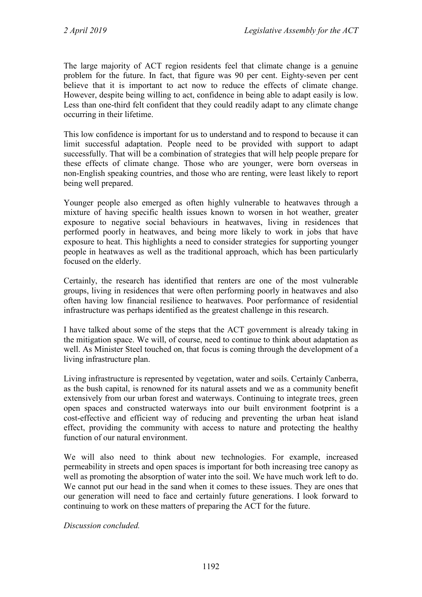The large majority of ACT region residents feel that climate change is a genuine problem for the future. In fact, that figure was 90 per cent. Eighty-seven per cent believe that it is important to act now to reduce the effects of climate change. However, despite being willing to act, confidence in being able to adapt easily is low. Less than one-third felt confident that they could readily adapt to any climate change occurring in their lifetime.

This low confidence is important for us to understand and to respond to because it can limit successful adaptation. People need to be provided with support to adapt successfully. That will be a combination of strategies that will help people prepare for these effects of climate change. Those who are younger, were born overseas in non-English speaking countries, and those who are renting, were least likely to report being well prepared.

Younger people also emerged as often highly vulnerable to heatwaves through a mixture of having specific health issues known to worsen in hot weather, greater exposure to negative social behaviours in heatwaves, living in residences that performed poorly in heatwaves, and being more likely to work in jobs that have exposure to heat. This highlights a need to consider strategies for supporting younger people in heatwaves as well as the traditional approach, which has been particularly focused on the elderly.

Certainly, the research has identified that renters are one of the most vulnerable groups, living in residences that were often performing poorly in heatwaves and also often having low financial resilience to heatwaves. Poor performance of residential infrastructure was perhaps identified as the greatest challenge in this research.

I have talked about some of the steps that the ACT government is already taking in the mitigation space. We will, of course, need to continue to think about adaptation as well. As Minister Steel touched on, that focus is coming through the development of a living infrastructure plan.

Living infrastructure is represented by vegetation, water and soils. Certainly Canberra, as the bush capital, is renowned for its natural assets and we as a community benefit extensively from our urban forest and waterways. Continuing to integrate trees, green open spaces and constructed waterways into our built environment footprint is a cost-effective and efficient way of reducing and preventing the urban heat island effect, providing the community with access to nature and protecting the healthy function of our natural environment.

We will also need to think about new technologies. For example, increased permeability in streets and open spaces is important for both increasing tree canopy as well as promoting the absorption of water into the soil. We have much work left to do. We cannot put our head in the sand when it comes to these issues. They are ones that our generation will need to face and certainly future generations. I look forward to continuing to work on these matters of preparing the ACT for the future.

*Discussion concluded.*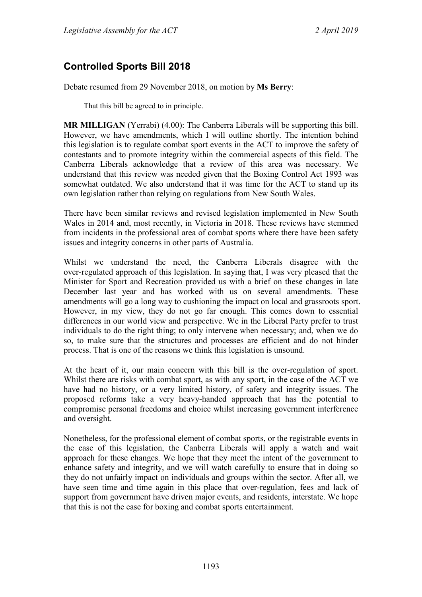# **Controlled Sports Bill 2018**

Debate resumed from 29 November 2018, on motion by **Ms Berry**:

That this bill be agreed to in principle.

**MR MILLIGAN** (Yerrabi) (4.00): The Canberra Liberals will be supporting this bill. However, we have amendments, which I will outline shortly. The intention behind this legislation is to regulate combat sport events in the ACT to improve the safety of contestants and to promote integrity within the commercial aspects of this field. The Canberra Liberals acknowledge that a review of this area was necessary. We understand that this review was needed given that the Boxing Control Act 1993 was somewhat outdated. We also understand that it was time for the ACT to stand up its own legislation rather than relying on regulations from New South Wales.

There have been similar reviews and revised legislation implemented in New South Wales in 2014 and, most recently, in Victoria in 2018. These reviews have stemmed from incidents in the professional area of combat sports where there have been safety issues and integrity concerns in other parts of Australia.

Whilst we understand the need, the Canberra Liberals disagree with the over-regulated approach of this legislation. In saying that, I was very pleased that the Minister for Sport and Recreation provided us with a brief on these changes in late December last year and has worked with us on several amendments. These amendments will go a long way to cushioning the impact on local and grassroots sport. However, in my view, they do not go far enough. This comes down to essential differences in our world view and perspective. We in the Liberal Party prefer to trust individuals to do the right thing; to only intervene when necessary; and, when we do so, to make sure that the structures and processes are efficient and do not hinder process. That is one of the reasons we think this legislation is unsound.

At the heart of it, our main concern with this bill is the over-regulation of sport. Whilst there are risks with combat sport, as with any sport, in the case of the ACT we have had no history, or a very limited history, of safety and integrity issues. The proposed reforms take a very heavy-handed approach that has the potential to compromise personal freedoms and choice whilst increasing government interference and oversight.

Nonetheless, for the professional element of combat sports, or the registrable events in the case of this legislation, the Canberra Liberals will apply a watch and wait approach for these changes. We hope that they meet the intent of the government to enhance safety and integrity, and we will watch carefully to ensure that in doing so they do not unfairly impact on individuals and groups within the sector. After all, we have seen time and time again in this place that over-regulation, fees and lack of support from government have driven major events, and residents, interstate. We hope that this is not the case for boxing and combat sports entertainment.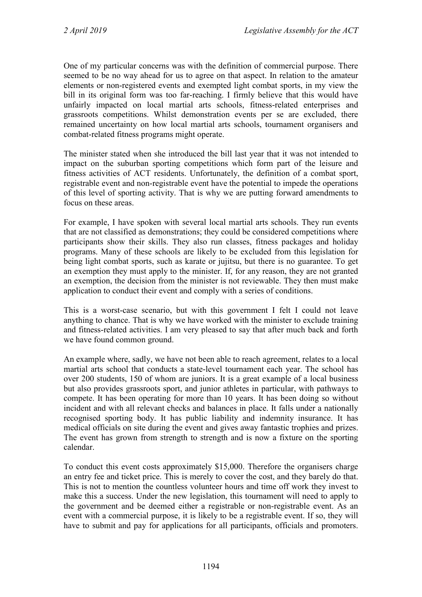One of my particular concerns was with the definition of commercial purpose. There seemed to be no way ahead for us to agree on that aspect. In relation to the amateur elements or non-registered events and exempted light combat sports, in my view the bill in its original form was too far-reaching. I firmly believe that this would have unfairly impacted on local martial arts schools, fitness-related enterprises and grassroots competitions. Whilst demonstration events per se are excluded, there remained uncertainty on how local martial arts schools, tournament organisers and combat-related fitness programs might operate.

The minister stated when she introduced the bill last year that it was not intended to impact on the suburban sporting competitions which form part of the leisure and fitness activities of ACT residents. Unfortunately, the definition of a combat sport, registrable event and non-registrable event have the potential to impede the operations of this level of sporting activity. That is why we are putting forward amendments to focus on these areas.

For example, I have spoken with several local martial arts schools. They run events that are not classified as demonstrations; they could be considered competitions where participants show their skills. They also run classes, fitness packages and holiday programs. Many of these schools are likely to be excluded from this legislation for being light combat sports, such as karate or jujitsu, but there is no guarantee. To get an exemption they must apply to the minister. If, for any reason, they are not granted an exemption, the decision from the minister is not reviewable. They then must make application to conduct their event and comply with a series of conditions.

This is a worst-case scenario, but with this government I felt I could not leave anything to chance. That is why we have worked with the minister to exclude training and fitness-related activities. I am very pleased to say that after much back and forth we have found common ground.

An example where, sadly, we have not been able to reach agreement, relates to a local martial arts school that conducts a state-level tournament each year. The school has over 200 students, 150 of whom are juniors. It is a great example of a local business but also provides grassroots sport, and junior athletes in particular, with pathways to compete. It has been operating for more than 10 years. It has been doing so without incident and with all relevant checks and balances in place. It falls under a nationally recognised sporting body. It has public liability and indemnity insurance. It has medical officials on site during the event and gives away fantastic trophies and prizes. The event has grown from strength to strength and is now a fixture on the sporting calendar.

To conduct this event costs approximately \$15,000. Therefore the organisers charge an entry fee and ticket price. This is merely to cover the cost, and they barely do that. This is not to mention the countless volunteer hours and time off work they invest to make this a success. Under the new legislation, this tournament will need to apply to the government and be deemed either a registrable or non-registrable event. As an event with a commercial purpose, it is likely to be a registrable event. If so, they will have to submit and pay for applications for all participants, officials and promoters.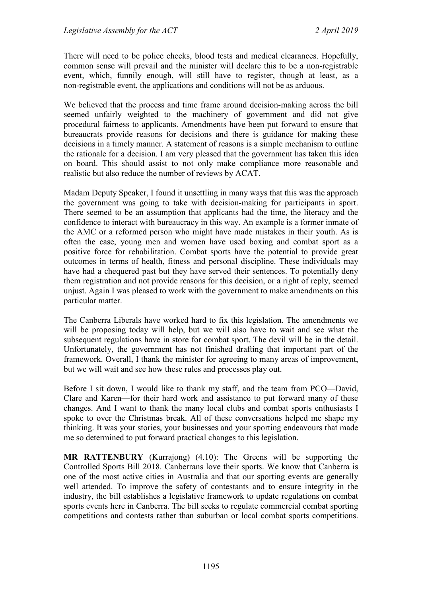There will need to be police checks, blood tests and medical clearances. Hopefully, common sense will prevail and the minister will declare this to be a non-registrable event, which, funnily enough, will still have to register, though at least, as a non-registrable event, the applications and conditions will not be as arduous.

We believed that the process and time frame around decision-making across the bill seemed unfairly weighted to the machinery of government and did not give procedural fairness to applicants. Amendments have been put forward to ensure that bureaucrats provide reasons for decisions and there is guidance for making these decisions in a timely manner. A statement of reasons is a simple mechanism to outline the rationale for a decision. I am very pleased that the government has taken this idea on board. This should assist to not only make compliance more reasonable and realistic but also reduce the number of reviews by ACAT.

Madam Deputy Speaker, I found it unsettling in many ways that this was the approach the government was going to take with decision-making for participants in sport. There seemed to be an assumption that applicants had the time, the literacy and the confidence to interact with bureaucracy in this way. An example is a former inmate of the AMC or a reformed person who might have made mistakes in their youth. As is often the case, young men and women have used boxing and combat sport as a positive force for rehabilitation. Combat sports have the potential to provide great outcomes in terms of health, fitness and personal discipline. These individuals may have had a chequered past but they have served their sentences. To potentially deny them registration and not provide reasons for this decision, or a right of reply, seemed unjust. Again I was pleased to work with the government to make amendments on this particular matter.

The Canberra Liberals have worked hard to fix this legislation. The amendments we will be proposing today will help, but we will also have to wait and see what the subsequent regulations have in store for combat sport. The devil will be in the detail. Unfortunately, the government has not finished drafting that important part of the framework. Overall, I thank the minister for agreeing to many areas of improvement, but we will wait and see how these rules and processes play out.

Before I sit down, I would like to thank my staff, and the team from PCO—David, Clare and Karen—for their hard work and assistance to put forward many of these changes. And I want to thank the many local clubs and combat sports enthusiasts I spoke to over the Christmas break. All of these conversations helped me shape my thinking. It was your stories, your businesses and your sporting endeavours that made me so determined to put forward practical changes to this legislation.

**MR RATTENBURY** (Kurrajong) (4.10): The Greens will be supporting the Controlled Sports Bill 2018. Canberrans love their sports. We know that Canberra is one of the most active cities in Australia and that our sporting events are generally well attended. To improve the safety of contestants and to ensure integrity in the industry, the bill establishes a legislative framework to update regulations on combat sports events here in Canberra. The bill seeks to regulate commercial combat sporting competitions and contests rather than suburban or local combat sports competitions.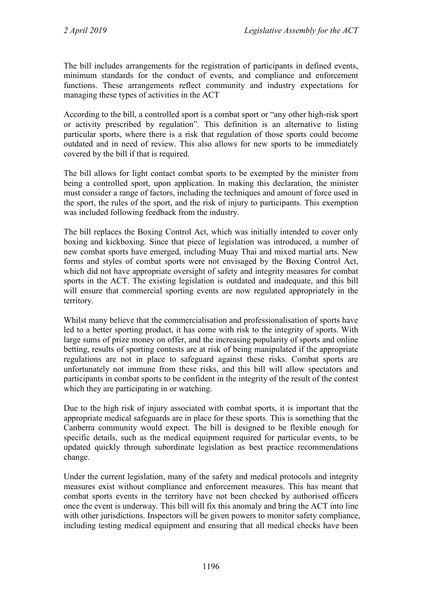The bill includes arrangements for the registration of participants in defined events, minimum standards for the conduct of events, and compliance and enforcement functions. These arrangements reflect community and industry expectations for managing these types of activities in the ACT

According to the bill, a controlled sport is a combat sport or "any other high-risk sport or activity prescribed by regulation". This definition is an alternative to listing particular sports, where there is a risk that regulation of those sports could become outdated and in need of review. This also allows for new sports to be immediately covered by the bill if that is required.

The bill allows for light contact combat sports to be exempted by the minister from being a controlled sport, upon application. In making this declaration, the minister must consider a range of factors, including the techniques and amount of force used in the sport, the rules of the sport, and the risk of injury to participants. This exemption was included following feedback from the industry.

The bill replaces the Boxing Control Act, which was initially intended to cover only boxing and kickboxing. Since that piece of legislation was introduced, a number of new combat sports have emerged, including Muay Thai and mixed martial arts. New forms and styles of combat sports were not envisaged by the Boxing Control Act, which did not have appropriate oversight of safety and integrity measures for combat sports in the ACT. The existing legislation is outdated and inadequate, and this bill will ensure that commercial sporting events are now regulated appropriately in the territory.

Whilst many believe that the commercialisation and professionalisation of sports have led to a better sporting product, it has come with risk to the integrity of sports. With large sums of prize money on offer, and the increasing popularity of sports and online betting, results of sporting contests are at risk of being manipulated if the appropriate regulations are not in place to safeguard against these risks. Combat sports are unfortunately not immune from these risks, and this bill will allow spectators and participants in combat sports to be confident in the integrity of the result of the contest which they are participating in or watching.

Due to the high risk of injury associated with combat sports, it is important that the appropriate medical safeguards are in place for these sports. This is something that the Canberra community would expect. The bill is designed to be flexible enough for specific details, such as the medical equipment required for particular events, to be updated quickly through subordinate legislation as best practice recommendations change.

Under the current legislation, many of the safety and medical protocols and integrity measures exist without compliance and enforcement measures. This has meant that combat sports events in the territory have not been checked by authorised officers once the event is underway. This bill will fix this anomaly and bring the ACT into line with other jurisdictions. Inspectors will be given powers to monitor safety compliance, including testing medical equipment and ensuring that all medical checks have been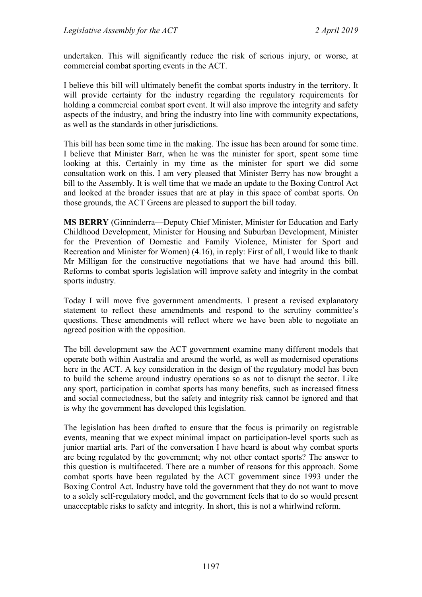undertaken. This will significantly reduce the risk of serious injury, or worse, at commercial combat sporting events in the ACT.

I believe this bill will ultimately benefit the combat sports industry in the territory. It will provide certainty for the industry regarding the regulatory requirements for holding a commercial combat sport event. It will also improve the integrity and safety aspects of the industry, and bring the industry into line with community expectations, as well as the standards in other jurisdictions.

This bill has been some time in the making. The issue has been around for some time. I believe that Minister Barr, when he was the minister for sport, spent some time looking at this. Certainly in my time as the minister for sport we did some consultation work on this. I am very pleased that Minister Berry has now brought a bill to the Assembly. It is well time that we made an update to the Boxing Control Act and looked at the broader issues that are at play in this space of combat sports. On those grounds, the ACT Greens are pleased to support the bill today.

**MS BERRY** (Ginninderra—Deputy Chief Minister, Minister for Education and Early Childhood Development, Minister for Housing and Suburban Development, Minister for the Prevention of Domestic and Family Violence, Minister for Sport and Recreation and Minister for Women) (4.16), in reply: First of all, I would like to thank Mr Milligan for the constructive negotiations that we have had around this bill. Reforms to combat sports legislation will improve safety and integrity in the combat sports industry.

Today I will move five government amendments. I present a revised explanatory statement to reflect these amendments and respond to the scrutiny committee's questions. These amendments will reflect where we have been able to negotiate an agreed position with the opposition.

The bill development saw the ACT government examine many different models that operate both within Australia and around the world, as well as modernised operations here in the ACT. A key consideration in the design of the regulatory model has been to build the scheme around industry operations so as not to disrupt the sector. Like any sport, participation in combat sports has many benefits, such as increased fitness and social connectedness, but the safety and integrity risk cannot be ignored and that is why the government has developed this legislation.

The legislation has been drafted to ensure that the focus is primarily on registrable events, meaning that we expect minimal impact on participation-level sports such as junior martial arts. Part of the conversation I have heard is about why combat sports are being regulated by the government; why not other contact sports? The answer to this question is multifaceted. There are a number of reasons for this approach. Some combat sports have been regulated by the ACT government since 1993 under the Boxing Control Act. Industry have told the government that they do not want to move to a solely self-regulatory model, and the government feels that to do so would present unacceptable risks to safety and integrity. In short, this is not a whirlwind reform.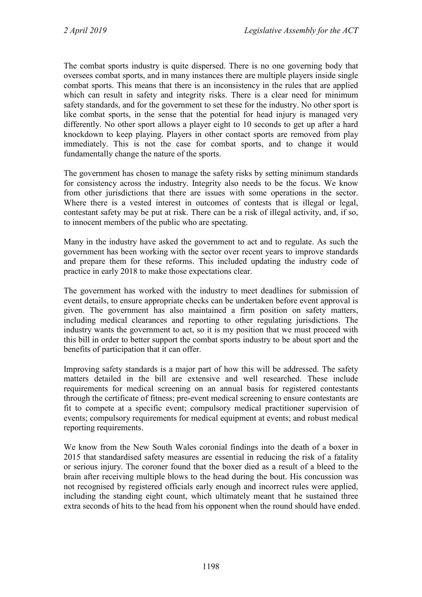The combat sports industry is quite dispersed. There is no one governing body that oversees combat sports, and in many instances there are multiple players inside single combat sports. This means that there is an inconsistency in the rules that are applied which can result in safety and integrity risks. There is a clear need for minimum safety standards, and for the government to set these for the industry. No other sport is like combat sports, in the sense that the potential for head injury is managed very differently. No other sport allows a player eight to 10 seconds to get up after a hard knockdown to keep playing. Players in other contact sports are removed from play immediately. This is not the case for combat sports, and to change it would fundamentally change the nature of the sports.

The government has chosen to manage the safety risks by setting minimum standards for consistency across the industry. Integrity also needs to be the focus. We know from other jurisdictions that there are issues with some operations in the sector. Where there is a vested interest in outcomes of contests that is illegal or legal, contestant safety may be put at risk. There can be a risk of illegal activity, and, if so, to innocent members of the public who are spectating.

Many in the industry have asked the government to act and to regulate. As such the government has been working with the sector over recent years to improve standards and prepare them for these reforms. This included updating the industry code of practice in early 2018 to make those expectations clear.

The government has worked with the industry to meet deadlines for submission of event details, to ensure appropriate checks can be undertaken before event approval is given. The government has also maintained a firm position on safety matters, including medical clearances and reporting to other regulating jurisdictions. The industry wants the government to act, so it is my position that we must proceed with this bill in order to better support the combat sports industry to be about sport and the benefits of participation that it can offer.

Improving safety standards is a major part of how this will be addressed. The safety matters detailed in the bill are extensive and well researched. These include requirements for medical screening on an annual basis for registered contestants through the certificate of fitness; pre-event medical screening to ensure contestants are fit to compete at a specific event; compulsory medical practitioner supervision of events; compulsory requirements for medical equipment at events; and robust medical reporting requirements.

We know from the New South Wales coronial findings into the death of a boxer in 2015 that standardised safety measures are essential in reducing the risk of a fatality or serious injury. The coroner found that the boxer died as a result of a bleed to the brain after receiving multiple blows to the head during the bout. His concussion was not recognised by registered officials early enough and incorrect rules were applied, including the standing eight count, which ultimately meant that he sustained three extra seconds of hits to the head from his opponent when the round should have ended.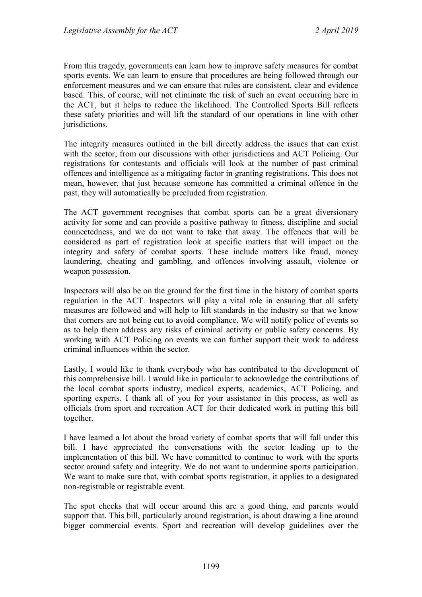From this tragedy, governments can learn how to improve safety measures for combat sports events. We can learn to ensure that procedures are being followed through our enforcement measures and we can ensure that rules are consistent, clear and evidence based. This, of course, will not eliminate the risk of such an event occurring here in the ACT, but it helps to reduce the likelihood. The Controlled Sports Bill reflects these safety priorities and will lift the standard of our operations in line with other jurisdictions.

The integrity measures outlined in the bill directly address the issues that can exist with the sector, from our discussions with other jurisdictions and ACT Policing. Our registrations for contestants and officials will look at the number of past criminal offences and intelligence as a mitigating factor in granting registrations. This does not mean, however, that just because someone has committed a criminal offence in the past, they will automatically be precluded from registration.

The ACT government recognises that combat sports can be a great diversionary activity for some and can provide a positive pathway to fitness, discipline and social connectedness, and we do not want to take that away. The offences that will be considered as part of registration look at specific matters that will impact on the integrity and safety of combat sports. These include matters like fraud, money laundering, cheating and gambling, and offences involving assault, violence or weapon possession.

Inspectors will also be on the ground for the first time in the history of combat sports regulation in the ACT. Inspectors will play a vital role in ensuring that all safety measures are followed and will help to lift standards in the industry so that we know that corners are not being cut to avoid compliance. We will notify police of events so as to help them address any risks of criminal activity or public safety concerns. By working with ACT Policing on events we can further support their work to address criminal influences within the sector.

Lastly, I would like to thank everybody who has contributed to the development of this comprehensive bill. I would like in particular to acknowledge the contributions of the local combat sports industry, medical experts, academics, ACT Policing, and sporting experts. I thank all of you for your assistance in this process, as well as officials from sport and recreation ACT for their dedicated work in putting this bill together.

I have learned a lot about the broad variety of combat sports that will fall under this bill. I have appreciated the conversations with the sector leading up to the implementation of this bill. We have committed to continue to work with the sports sector around safety and integrity. We do not want to undermine sports participation. We want to make sure that, with combat sports registration, it applies to a designated non-registrable or registrable event.

The spot checks that will occur around this are a good thing, and parents would support that. This bill, particularly around registration, is about drawing a line around bigger commercial events. Sport and recreation will develop guidelines over the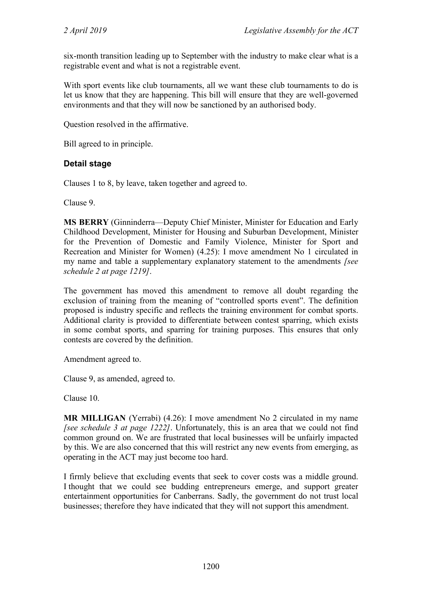six-month transition leading up to September with the industry to make clear what is a registrable event and what is not a registrable event.

With sport events like club tournaments, all we want these club tournaments to do is let us know that they are happening. This bill will ensure that they are well-governed environments and that they will now be sanctioned by an authorised body.

Question resolved in the affirmative.

Bill agreed to in principle.

## **Detail stage**

Clauses 1 to 8, by leave, taken together and agreed to.

Clause 9.

**MS BERRY** (Ginninderra—Deputy Chief Minister, Minister for Education and Early Childhood Development, Minister for Housing and Suburban Development, Minister for the Prevention of Domestic and Family Violence, Minister for Sport and Recreation and Minister for Women) (4.25): I move amendment No 1 circulated in my name and table a supplementary explanatory statement to the amendments *[see schedule 2 at page 1219]*.

The government has moved this amendment to remove all doubt regarding the exclusion of training from the meaning of "controlled sports event". The definition proposed is industry specific and reflects the training environment for combat sports. Additional clarity is provided to differentiate between contest sparring, which exists in some combat sports, and sparring for training purposes. This ensures that only contests are covered by the definition.

Amendment agreed to.

Clause 9, as amended, agreed to.

Clause 10.

**MR MILLIGAN** (Yerrabi) (4.26): I move amendment No 2 circulated in my name *[see schedule 3 at page 1222]*. Unfortunately, this is an area that we could not find common ground on. We are frustrated that local businesses will be unfairly impacted by this. We are also concerned that this will restrict any new events from emerging, as operating in the ACT may just become too hard.

I firmly believe that excluding events that seek to cover costs was a middle ground. I thought that we could see budding entrepreneurs emerge, and support greater entertainment opportunities for Canberrans. Sadly, the government do not trust local businesses; therefore they have indicated that they will not support this amendment.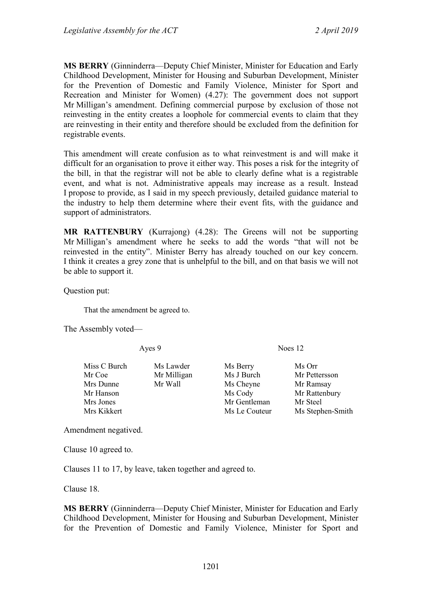**MS BERRY** (Ginninderra—Deputy Chief Minister, Minister for Education and Early Childhood Development, Minister for Housing and Suburban Development, Minister for the Prevention of Domestic and Family Violence, Minister for Sport and Recreation and Minister for Women) (4.27): The government does not support Mr Milligan's amendment. Defining commercial purpose by exclusion of those not reinvesting in the entity creates a loophole for commercial events to claim that they are reinvesting in their entity and therefore should be excluded from the definition for registrable events.

This amendment will create confusion as to what reinvestment is and will make it difficult for an organisation to prove it either way. This poses a risk for the integrity of the bill, in that the registrar will not be able to clearly define what is a registrable event, and what is not. Administrative appeals may increase as a result. Instead I propose to provide, as I said in my speech previously, detailed guidance material to the industry to help them determine where their event fits, with the guidance and support of administrators.

**MR RATTENBURY** (Kurrajong) (4.28): The Greens will not be supporting Mr Milligan's amendment where he seeks to add the words "that will not be reinvested in the entity". Minister Berry has already touched on our key concern. I think it creates a grey zone that is unhelpful to the bill, and on that basis we will not be able to support it.

Question put:

That the amendment be agreed to.

The Assembly voted—

Mr Coe Mr Milligan Ms J Burch Mr Pettersson Mrs Dunne Mr Wall Ms Cheyne Mr Ramsay<br>
Mr Hanson Ms Cody Mr Rattenbu Mrs Jones Mr Gentleman Mr Steel Mrs Kikkert Ms Le Couteur Ms Stephen-Smith

Ayes 9 Noes 12

Miss C Burch Ms Lawder Ms Berry Ms Orr

Mr Rattenbury

Amendment negatived.

Clause 10 agreed to.

Clauses 11 to 17, by leave, taken together and agreed to.

Clause 18.

**MS BERRY** (Ginninderra—Deputy Chief Minister, Minister for Education and Early Childhood Development, Minister for Housing and Suburban Development, Minister for the Prevention of Domestic and Family Violence, Minister for Sport and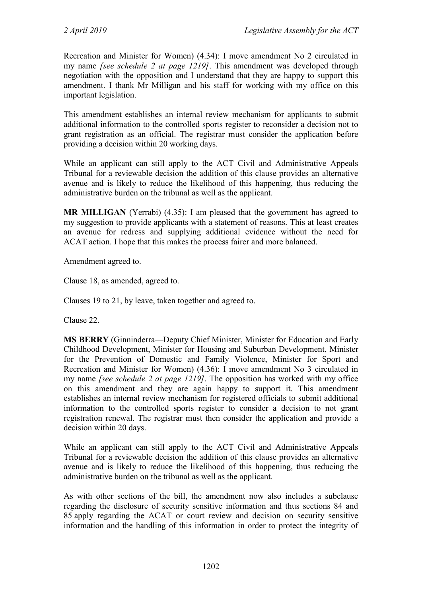Recreation and Minister for Women) (4.34): I move amendment No 2 circulated in my name *[see schedule 2 at page 1219]*. This amendment was developed through negotiation with the opposition and I understand that they are happy to support this amendment. I thank Mr Milligan and his staff for working with my office on this important legislation.

This amendment establishes an internal review mechanism for applicants to submit additional information to the controlled sports register to reconsider a decision not to grant registration as an official. The registrar must consider the application before providing a decision within 20 working days.

While an applicant can still apply to the ACT Civil and Administrative Appeals Tribunal for a reviewable decision the addition of this clause provides an alternative avenue and is likely to reduce the likelihood of this happening, thus reducing the administrative burden on the tribunal as well as the applicant.

**MR MILLIGAN** (Yerrabi) (4.35): I am pleased that the government has agreed to my suggestion to provide applicants with a statement of reasons. This at least creates an avenue for redress and supplying additional evidence without the need for ACAT action. I hope that this makes the process fairer and more balanced.

Amendment agreed to.

Clause 18, as amended, agreed to.

Clauses 19 to 21, by leave, taken together and agreed to.

Clause 22.

**MS BERRY** (Ginninderra—Deputy Chief Minister, Minister for Education and Early Childhood Development, Minister for Housing and Suburban Development, Minister for the Prevention of Domestic and Family Violence, Minister for Sport and Recreation and Minister for Women) (4.36): I move amendment No 3 circulated in my name *[see schedule 2 at page 1219]*. The opposition has worked with my office on this amendment and they are again happy to support it. This amendment establishes an internal review mechanism for registered officials to submit additional information to the controlled sports register to consider a decision to not grant registration renewal. The registrar must then consider the application and provide a decision within 20 days.

While an applicant can still apply to the ACT Civil and Administrative Appeals Tribunal for a reviewable decision the addition of this clause provides an alternative avenue and is likely to reduce the likelihood of this happening, thus reducing the administrative burden on the tribunal as well as the applicant.

As with other sections of the bill, the amendment now also includes a subclause regarding the disclosure of security sensitive information and thus sections 84 and 85 apply regarding the ACAT or court review and decision on security sensitive information and the handling of this information in order to protect the integrity of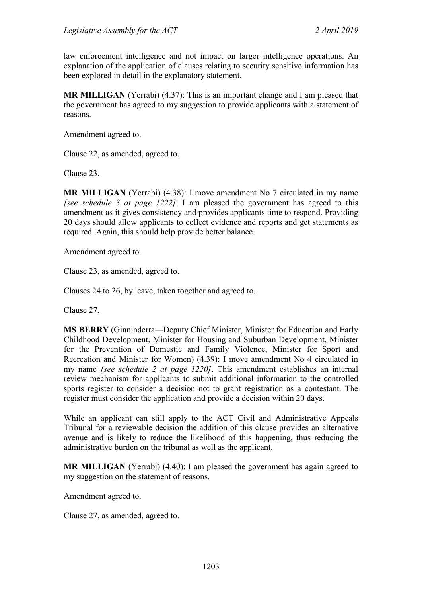law enforcement intelligence and not impact on larger intelligence operations. An explanation of the application of clauses relating to security sensitive information has been explored in detail in the explanatory statement.

**MR MILLIGAN** (Yerrabi) (4.37): This is an important change and I am pleased that the government has agreed to my suggestion to provide applicants with a statement of reasons.

Amendment agreed to.

Clause 22, as amended, agreed to.

Clause 23.

**MR MILLIGAN** (Yerrabi) (4.38): I move amendment No 7 circulated in my name *[see schedule 3 at page 1222]*. I am pleased the government has agreed to this amendment as it gives consistency and provides applicants time to respond. Providing 20 days should allow applicants to collect evidence and reports and get statements as required. Again, this should help provide better balance.

Amendment agreed to.

Clause 23, as amended, agreed to.

Clauses 24 to 26, by leave, taken together and agreed to.

Clause 27.

**MS BERRY** (Ginninderra—Deputy Chief Minister, Minister for Education and Early Childhood Development, Minister for Housing and Suburban Development, Minister for the Prevention of Domestic and Family Violence, Minister for Sport and Recreation and Minister for Women) (4.39): I move amendment No 4 circulated in my name *[see schedule 2 at page 1220]*. This amendment establishes an internal review mechanism for applicants to submit additional information to the controlled sports register to consider a decision not to grant registration as a contestant. The register must consider the application and provide a decision within 20 days.

While an applicant can still apply to the ACT Civil and Administrative Appeals Tribunal for a reviewable decision the addition of this clause provides an alternative avenue and is likely to reduce the likelihood of this happening, thus reducing the administrative burden on the tribunal as well as the applicant.

**MR MILLIGAN** (Yerrabi) (4.40): I am pleased the government has again agreed to my suggestion on the statement of reasons.

Amendment agreed to.

Clause 27, as amended, agreed to.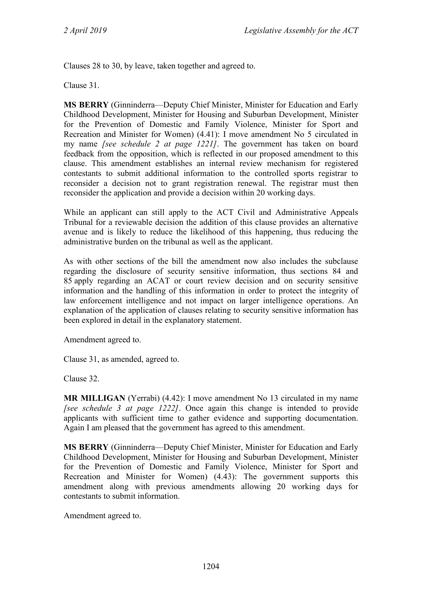Clauses 28 to 30, by leave, taken together and agreed to.

Clause 31.

**MS BERRY** (Ginninderra—Deputy Chief Minister, Minister for Education and Early Childhood Development, Minister for Housing and Suburban Development, Minister for the Prevention of Domestic and Family Violence, Minister for Sport and Recreation and Minister for Women) (4.41): I move amendment No 5 circulated in my name *[see schedule 2 at page 1221]*. The government has taken on board feedback from the opposition, which is reflected in our proposed amendment to this clause. This amendment establishes an internal review mechanism for registered contestants to submit additional information to the controlled sports registrar to reconsider a decision not to grant registration renewal. The registrar must then reconsider the application and provide a decision within 20 working days.

While an applicant can still apply to the ACT Civil and Administrative Appeals Tribunal for a reviewable decision the addition of this clause provides an alternative avenue and is likely to reduce the likelihood of this happening, thus reducing the administrative burden on the tribunal as well as the applicant.

As with other sections of the bill the amendment now also includes the subclause regarding the disclosure of security sensitive information, thus sections 84 and 85 apply regarding an ACAT or court review decision and on security sensitive information and the handling of this information in order to protect the integrity of law enforcement intelligence and not impact on larger intelligence operations. An explanation of the application of clauses relating to security sensitive information has been explored in detail in the explanatory statement.

Amendment agreed to.

Clause 31, as amended, agreed to.

Clause 32.

**MR MILLIGAN** (Yerrabi) (4.42): I move amendment No 13 circulated in my name *[see schedule 3 at page 1222]*. Once again this change is intended to provide applicants with sufficient time to gather evidence and supporting documentation. Again I am pleased that the government has agreed to this amendment.

**MS BERRY** (Ginninderra—Deputy Chief Minister, Minister for Education and Early Childhood Development, Minister for Housing and Suburban Development, Minister for the Prevention of Domestic and Family Violence, Minister for Sport and Recreation and Minister for Women) (4.43): The government supports this amendment along with previous amendments allowing 20 working days for contestants to submit information.

Amendment agreed to.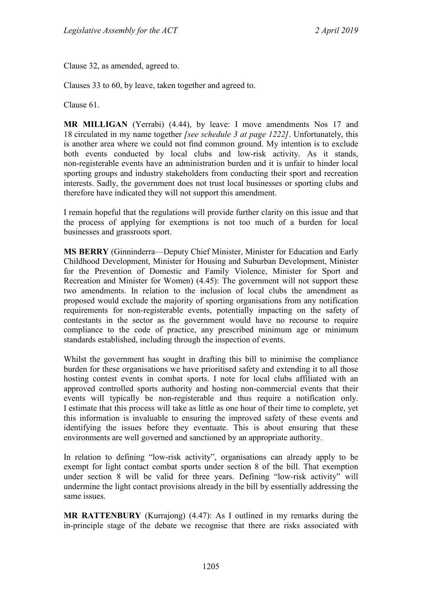Clause 32, as amended, agreed to.

Clauses 33 to 60, by leave, taken together and agreed to.

Clause 61.

**MR MILLIGAN** (Yerrabi) (4.44), by leave: I move amendments Nos 17 and 18 circulated in my name together *[see schedule 3 at page 1222]*. Unfortunately, this is another area where we could not find common ground. My intention is to exclude both events conducted by local clubs and low-risk activity. As it stands, non-registerable events have an administration burden and it is unfair to hinder local sporting groups and industry stakeholders from conducting their sport and recreation interests. Sadly, the government does not trust local businesses or sporting clubs and therefore have indicated they will not support this amendment.

I remain hopeful that the regulations will provide further clarity on this issue and that the process of applying for exemptions is not too much of a burden for local businesses and grassroots sport.

**MS BERRY** (Ginninderra—Deputy Chief Minister, Minister for Education and Early Childhood Development, Minister for Housing and Suburban Development, Minister for the Prevention of Domestic and Family Violence, Minister for Sport and Recreation and Minister for Women) (4.45): The government will not support these two amendments. In relation to the inclusion of local clubs the amendment as proposed would exclude the majority of sporting organisations from any notification requirements for non-registerable events, potentially impacting on the safety of contestants in the sector as the government would have no recourse to require compliance to the code of practice, any prescribed minimum age or minimum standards established, including through the inspection of events.

Whilst the government has sought in drafting this bill to minimise the compliance burden for these organisations we have prioritised safety and extending it to all those hosting contest events in combat sports. I note for local clubs affiliated with an approved controlled sports authority and hosting non-commercial events that their events will typically be non-registerable and thus require a notification only. I estimate that this process will take as little as one hour of their time to complete, yet this information is invaluable to ensuring the improved safety of these events and identifying the issues before they eventuate. This is about ensuring that these environments are well governed and sanctioned by an appropriate authority.

In relation to defining "low-risk activity", organisations can already apply to be exempt for light contact combat sports under section 8 of the bill. That exemption under section 8 will be valid for three years. Defining "low-risk activity" will undermine the light contact provisions already in the bill by essentially addressing the same issues.

**MR RATTENBURY** (Kurrajong) (4.47): As I outlined in my remarks during the in-principle stage of the debate we recognise that there are risks associated with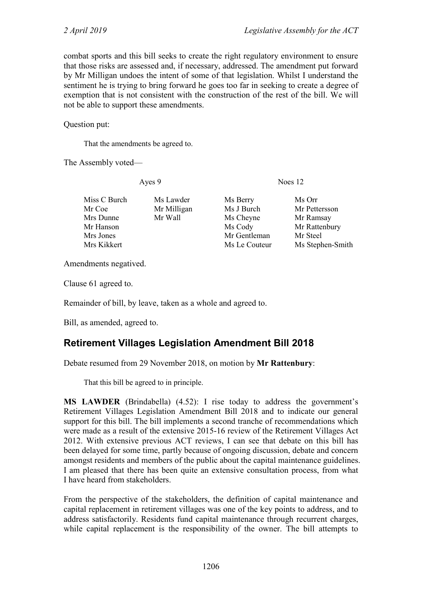combat sports and this bill seeks to create the right regulatory environment to ensure that those risks are assessed and, if necessary, addressed. The amendment put forward by Mr Milligan undoes the intent of some of that legislation. Whilst I understand the sentiment he is trying to bring forward he goes too far in seeking to create a degree of exemption that is not consistent with the construction of the rest of the bill. We will not be able to support these amendments.

Question put:

That the amendments be agreed to.

The Assembly voted—

Ayes 9 Noes 12

| Miss C Burch | Ms Lawder   | Ms Berry      | Ms Orr           |
|--------------|-------------|---------------|------------------|
| Mr Coe       | Mr Milligan | Ms J Burch    | Mr Pettersson    |
| Mrs Dunne    | Mr Wall     | Ms Cheyne     | Mr Ramsay        |
| Mr Hanson    |             | Ms Cody       | Mr Rattenbury    |
| Mrs Jones    |             | Mr Gentleman  | Mr Steel         |
| Mrs Kikkert  |             | Ms Le Couteur | Ms Stephen-Smith |

Amendments negatived.

Clause 61 agreed to.

Remainder of bill, by leave, taken as a whole and agreed to.

Bill, as amended, agreed to.

# **Retirement Villages Legislation Amendment Bill 2018**

Debate resumed from 29 November 2018, on motion by **Mr Rattenbury**:

That this bill be agreed to in principle.

**MS LAWDER** (Brindabella) (4.52): I rise today to address the government's Retirement Villages Legislation Amendment Bill 2018 and to indicate our general support for this bill. The bill implements a second tranche of recommendations which were made as a result of the extensive 2015-16 review of the Retirement Villages Act 2012. With extensive previous ACT reviews, I can see that debate on this bill has been delayed for some time, partly because of ongoing discussion, debate and concern amongst residents and members of the public about the capital maintenance guidelines. I am pleased that there has been quite an extensive consultation process, from what I have heard from stakeholders.

From the perspective of the stakeholders, the definition of capital maintenance and capital replacement in retirement villages was one of the key points to address, and to address satisfactorily. Residents fund capital maintenance through recurrent charges, while capital replacement is the responsibility of the owner. The bill attempts to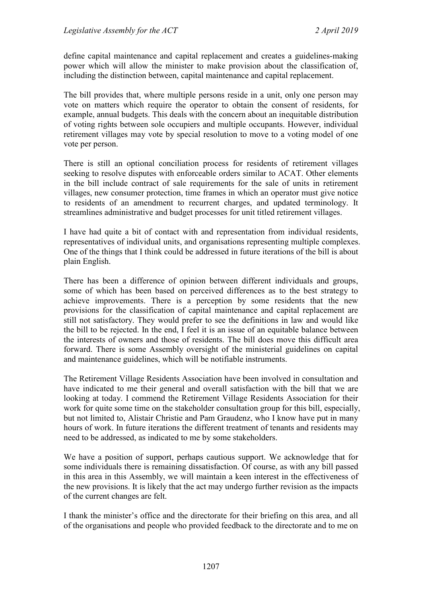define capital maintenance and capital replacement and creates a guidelines-making power which will allow the minister to make provision about the classification of, including the distinction between, capital maintenance and capital replacement.

The bill provides that, where multiple persons reside in a unit, only one person may vote on matters which require the operator to obtain the consent of residents, for example, annual budgets. This deals with the concern about an inequitable distribution of voting rights between sole occupiers and multiple occupants. However, individual retirement villages may vote by special resolution to move to a voting model of one vote per person.

There is still an optional conciliation process for residents of retirement villages seeking to resolve disputes with enforceable orders similar to ACAT. Other elements in the bill include contract of sale requirements for the sale of units in retirement villages, new consumer protection, time frames in which an operator must give notice to residents of an amendment to recurrent charges, and updated terminology. It streamlines administrative and budget processes for unit titled retirement villages.

I have had quite a bit of contact with and representation from individual residents, representatives of individual units, and organisations representing multiple complexes. One of the things that I think could be addressed in future iterations of the bill is about plain English.

There has been a difference of opinion between different individuals and groups, some of which has been based on perceived differences as to the best strategy to achieve improvements. There is a perception by some residents that the new provisions for the classification of capital maintenance and capital replacement are still not satisfactory. They would prefer to see the definitions in law and would like the bill to be rejected. In the end, I feel it is an issue of an equitable balance between the interests of owners and those of residents. The bill does move this difficult area forward. There is some Assembly oversight of the ministerial guidelines on capital and maintenance guidelines, which will be notifiable instruments.

The Retirement Village Residents Association have been involved in consultation and have indicated to me their general and overall satisfaction with the bill that we are looking at today. I commend the Retirement Village Residents Association for their work for quite some time on the stakeholder consultation group for this bill, especially, but not limited to, Alistair Christie and Pam Graudenz, who I know have put in many hours of work. In future iterations the different treatment of tenants and residents may need to be addressed, as indicated to me by some stakeholders.

We have a position of support, perhaps cautious support. We acknowledge that for some individuals there is remaining dissatisfaction. Of course, as with any bill passed in this area in this Assembly, we will maintain a keen interest in the effectiveness of the new provisions. It is likely that the act may undergo further revision as the impacts of the current changes are felt.

I thank the minister's office and the directorate for their briefing on this area, and all of the organisations and people who provided feedback to the directorate and to me on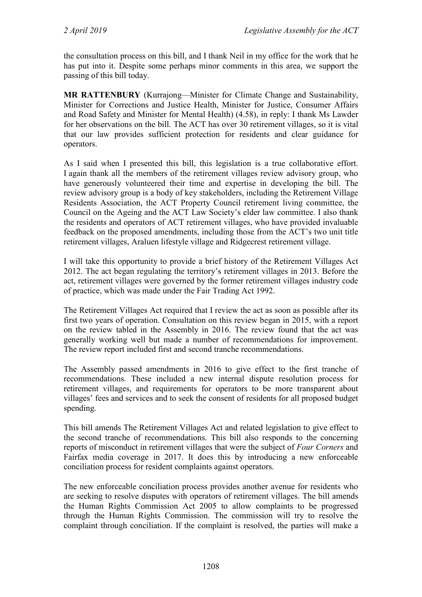the consultation process on this bill, and I thank Neil in my office for the work that he has put into it. Despite some perhaps minor comments in this area, we support the passing of this bill today.

**MR RATTENBURY** (Kurrajong—Minister for Climate Change and Sustainability, Minister for Corrections and Justice Health, Minister for Justice, Consumer Affairs and Road Safety and Minister for Mental Health) (4.58), in reply: I thank Ms Lawder for her observations on the bill. The ACT has over 30 retirement villages, so it is vital that our law provides sufficient protection for residents and clear guidance for operators.

As I said when I presented this bill, this legislation is a true collaborative effort. I again thank all the members of the retirement villages review advisory group, who have generously volunteered their time and expertise in developing the bill. The review advisory group is a body of key stakeholders, including the Retirement Village Residents Association, the ACT Property Council retirement living committee, the Council on the Ageing and the ACT Law Society's elder law committee. I also thank the residents and operators of ACT retirement villages, who have provided invaluable feedback on the proposed amendments, including those from the ACT's two unit title retirement villages, Araluen lifestyle village and Ridgecrest retirement village.

I will take this opportunity to provide a brief history of the Retirement Villages Act 2012. The act began regulating the territory's retirement villages in 2013. Before the act, retirement villages were governed by the former retirement villages industry code of practice, which was made under the Fair Trading Act 1992.

The Retirement Villages Act required that I review the act as soon as possible after its first two years of operation. Consultation on this review began in 2015, with a report on the review tabled in the Assembly in 2016. The review found that the act was generally working well but made a number of recommendations for improvement. The review report included first and second tranche recommendations.

The Assembly passed amendments in 2016 to give effect to the first tranche of recommendations. These included a new internal dispute resolution process for retirement villages, and requirements for operators to be more transparent about villages' fees and services and to seek the consent of residents for all proposed budget spending.

This bill amends The Retirement Villages Act and related legislation to give effect to the second tranche of recommendations. This bill also responds to the concerning reports of misconduct in retirement villages that were the subject of *Four Corners* and Fairfax media coverage in 2017. It does this by introducing a new enforceable conciliation process for resident complaints against operators.

The new enforceable conciliation process provides another avenue for residents who are seeking to resolve disputes with operators of retirement villages. The bill amends the Human Rights Commission Act 2005 to allow complaints to be progressed through the Human Rights Commission. The commission will try to resolve the complaint through conciliation. If the complaint is resolved, the parties will make a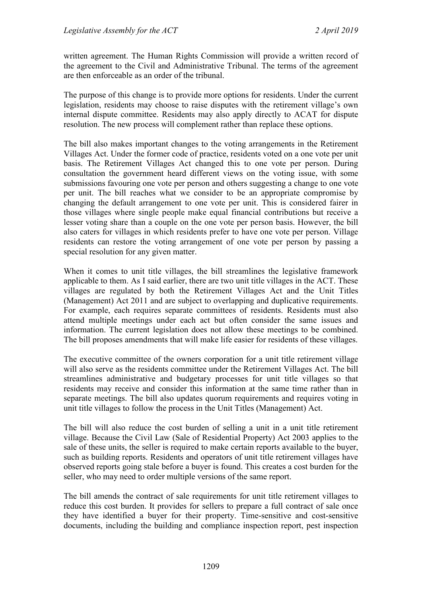written agreement. The Human Rights Commission will provide a written record of the agreement to the Civil and Administrative Tribunal. The terms of the agreement are then enforceable as an order of the tribunal.

The purpose of this change is to provide more options for residents. Under the current legislation, residents may choose to raise disputes with the retirement village's own internal dispute committee. Residents may also apply directly to ACAT for dispute resolution. The new process will complement rather than replace these options.

The bill also makes important changes to the voting arrangements in the Retirement Villages Act. Under the former code of practice, residents voted on a one vote per unit basis. The Retirement Villages Act changed this to one vote per person. During consultation the government heard different views on the voting issue, with some submissions favouring one vote per person and others suggesting a change to one vote per unit. The bill reaches what we consider to be an appropriate compromise by changing the default arrangement to one vote per unit. This is considered fairer in those villages where single people make equal financial contributions but receive a lesser voting share than a couple on the one vote per person basis. However, the bill also caters for villages in which residents prefer to have one vote per person. Village residents can restore the voting arrangement of one vote per person by passing a special resolution for any given matter.

When it comes to unit title villages, the bill streamlines the legislative framework applicable to them. As I said earlier, there are two unit title villages in the ACT. These villages are regulated by both the Retirement Villages Act and the Unit Titles (Management) Act 2011 and are subject to overlapping and duplicative requirements. For example, each requires separate committees of residents. Residents must also attend multiple meetings under each act but often consider the same issues and information. The current legislation does not allow these meetings to be combined. The bill proposes amendments that will make life easier for residents of these villages.

The executive committee of the owners corporation for a unit title retirement village will also serve as the residents committee under the Retirement Villages Act. The bill streamlines administrative and budgetary processes for unit title villages so that residents may receive and consider this information at the same time rather than in separate meetings. The bill also updates quorum requirements and requires voting in unit title villages to follow the process in the Unit Titles (Management) Act.

The bill will also reduce the cost burden of selling a unit in a unit title retirement village. Because the Civil Law (Sale of Residential Property) Act 2003 applies to the sale of these units, the seller is required to make certain reports available to the buyer, such as building reports. Residents and operators of unit title retirement villages have observed reports going stale before a buyer is found. This creates a cost burden for the seller, who may need to order multiple versions of the same report.

The bill amends the contract of sale requirements for unit title retirement villages to reduce this cost burden. It provides for sellers to prepare a full contract of sale once they have identified a buyer for their property. Time-sensitive and cost-sensitive documents, including the building and compliance inspection report, pest inspection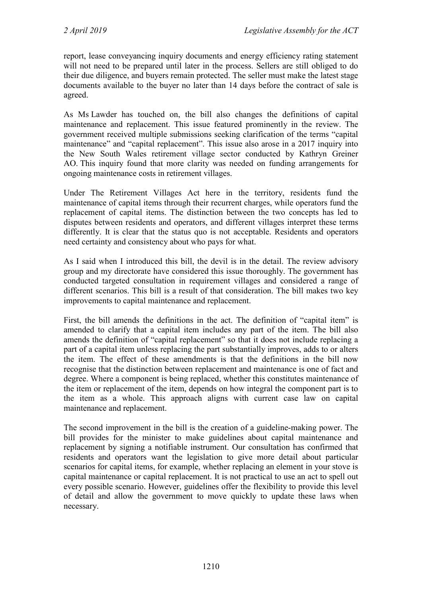report, lease conveyancing inquiry documents and energy efficiency rating statement will not need to be prepared until later in the process. Sellers are still obliged to do their due diligence, and buyers remain protected. The seller must make the latest stage documents available to the buyer no later than 14 days before the contract of sale is agreed.

As Ms Lawder has touched on, the bill also changes the definitions of capital maintenance and replacement. This issue featured prominently in the review. The government received multiple submissions seeking clarification of the terms "capital maintenance" and "capital replacement". This issue also arose in a 2017 inquiry into the New South Wales retirement village sector conducted by Kathryn Greiner AO. This inquiry found that more clarity was needed on funding arrangements for ongoing maintenance costs in retirement villages.

Under The Retirement Villages Act here in the territory, residents fund the maintenance of capital items through their recurrent charges, while operators fund the replacement of capital items. The distinction between the two concepts has led to disputes between residents and operators, and different villages interpret these terms differently. It is clear that the status quo is not acceptable. Residents and operators need certainty and consistency about who pays for what.

As I said when I introduced this bill, the devil is in the detail. The review advisory group and my directorate have considered this issue thoroughly. The government has conducted targeted consultation in requirement villages and considered a range of different scenarios. This bill is a result of that consideration. The bill makes two key improvements to capital maintenance and replacement.

First, the bill amends the definitions in the act. The definition of "capital item" is amended to clarify that a capital item includes any part of the item. The bill also amends the definition of "capital replacement" so that it does not include replacing a part of a capital item unless replacing the part substantially improves, adds to or alters the item. The effect of these amendments is that the definitions in the bill now recognise that the distinction between replacement and maintenance is one of fact and degree. Where a component is being replaced, whether this constitutes maintenance of the item or replacement of the item, depends on how integral the component part is to the item as a whole. This approach aligns with current case law on capital maintenance and replacement.

The second improvement in the bill is the creation of a guideline-making power. The bill provides for the minister to make guidelines about capital maintenance and replacement by signing a notifiable instrument. Our consultation has confirmed that residents and operators want the legislation to give more detail about particular scenarios for capital items, for example, whether replacing an element in your stove is capital maintenance or capital replacement. It is not practical to use an act to spell out every possible scenario. However, guidelines offer the flexibility to provide this level of detail and allow the government to move quickly to update these laws when necessary.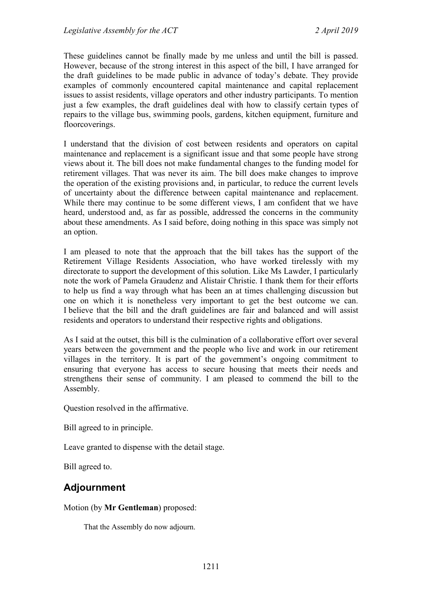These guidelines cannot be finally made by me unless and until the bill is passed. However, because of the strong interest in this aspect of the bill, I have arranged for the draft guidelines to be made public in advance of today's debate. They provide examples of commonly encountered capital maintenance and capital replacement issues to assist residents, village operators and other industry participants. To mention just a few examples, the draft guidelines deal with how to classify certain types of repairs to the village bus, swimming pools, gardens, kitchen equipment, furniture and floorcoverings.

I understand that the division of cost between residents and operators on capital maintenance and replacement is a significant issue and that some people have strong views about it. The bill does not make fundamental changes to the funding model for retirement villages. That was never its aim. The bill does make changes to improve the operation of the existing provisions and, in particular, to reduce the current levels of uncertainty about the difference between capital maintenance and replacement. While there may continue to be some different views, I am confident that we have heard, understood and, as far as possible, addressed the concerns in the community about these amendments. As I said before, doing nothing in this space was simply not an option.

I am pleased to note that the approach that the bill takes has the support of the Retirement Village Residents Association, who have worked tirelessly with my directorate to support the development of this solution. Like Ms Lawder, I particularly note the work of Pamela Graudenz and Alistair Christie. I thank them for their efforts to help us find a way through what has been an at times challenging discussion but one on which it is nonetheless very important to get the best outcome we can. I believe that the bill and the draft guidelines are fair and balanced and will assist residents and operators to understand their respective rights and obligations.

As I said at the outset, this bill is the culmination of a collaborative effort over several years between the government and the people who live and work in our retirement villages in the territory. It is part of the government's ongoing commitment to ensuring that everyone has access to secure housing that meets their needs and strengthens their sense of community. I am pleased to commend the bill to the Assembly.

Question resolved in the affirmative.

Bill agreed to in principle.

Leave granted to dispense with the detail stage.

Bill agreed to.

# **Adjournment**

### Motion (by **Mr Gentleman**) proposed:

That the Assembly do now adjourn.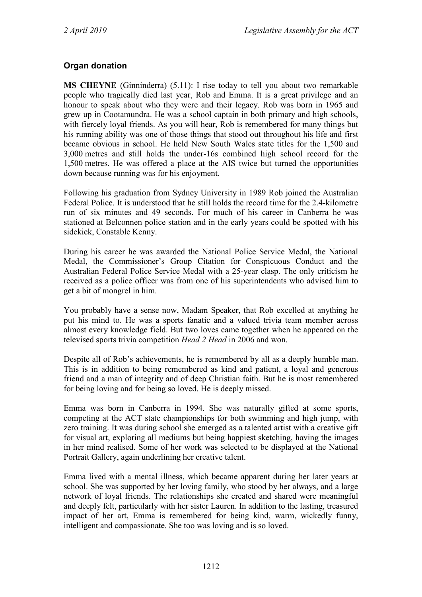## **Organ donation**

**MS CHEYNE** (Ginninderra) (5.11): I rise today to tell you about two remarkable people who tragically died last year, Rob and Emma. It is a great privilege and an honour to speak about who they were and their legacy. Rob was born in 1965 and grew up in Cootamundra. He was a school captain in both primary and high schools, with fiercely loyal friends. As you will hear, Rob is remembered for many things but his running ability was one of those things that stood out throughout his life and first became obvious in school. He held New South Wales state titles for the 1,500 and 3,000 metres and still holds the under-16s combined high school record for the 1,500 metres. He was offered a place at the AIS twice but turned the opportunities down because running was for his enjoyment.

Following his graduation from Sydney University in 1989 Rob joined the Australian Federal Police. It is understood that he still holds the record time for the 2.4-kilometre run of six minutes and 49 seconds. For much of his career in Canberra he was stationed at Belconnen police station and in the early years could be spotted with his sidekick, Constable Kenny.

During his career he was awarded the National Police Service Medal, the National Medal, the Commissioner's Group Citation for Conspicuous Conduct and the Australian Federal Police Service Medal with a 25-year clasp. The only criticism he received as a police officer was from one of his superintendents who advised him to get a bit of mongrel in him.

You probably have a sense now, Madam Speaker, that Rob excelled at anything he put his mind to. He was a sports fanatic and a valued trivia team member across almost every knowledge field. But two loves came together when he appeared on the televised sports trivia competition *Head 2 Head* in 2006 and won.

Despite all of Rob's achievements, he is remembered by all as a deeply humble man. This is in addition to being remembered as kind and patient, a loyal and generous friend and a man of integrity and of deep Christian faith. But he is most remembered for being loving and for being so loved. He is deeply missed.

Emma was born in Canberra in 1994. She was naturally gifted at some sports, competing at the ACT state championships for both swimming and high jump, with zero training. It was during school she emerged as a talented artist with a creative gift for visual art, exploring all mediums but being happiest sketching, having the images in her mind realised. Some of her work was selected to be displayed at the National Portrait Gallery, again underlining her creative talent.

Emma lived with a mental illness, which became apparent during her later years at school. She was supported by her loving family, who stood by her always, and a large network of loyal friends. The relationships she created and shared were meaningful and deeply felt, particularly with her sister Lauren. In addition to the lasting, treasured impact of her art, Emma is remembered for being kind, warm, wickedly funny, intelligent and compassionate. She too was loving and is so loved.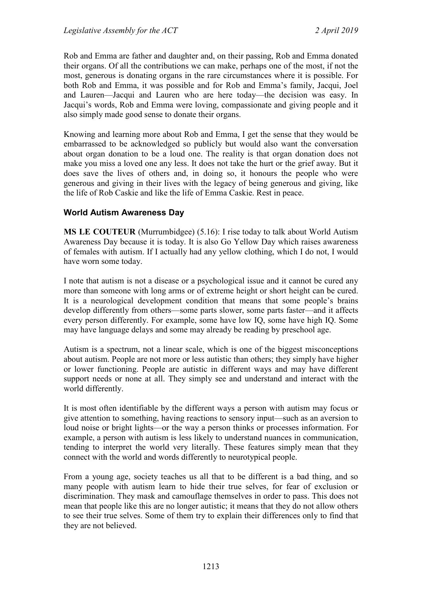Rob and Emma are father and daughter and, on their passing, Rob and Emma donated their organs. Of all the contributions we can make, perhaps one of the most, if not the most, generous is donating organs in the rare circumstances where it is possible. For both Rob and Emma, it was possible and for Rob and Emma's family, Jacqui, Joel and Lauren—Jacqui and Lauren who are here today—the decision was easy. In Jacqui's words, Rob and Emma were loving, compassionate and giving people and it also simply made good sense to donate their organs.

Knowing and learning more about Rob and Emma, I get the sense that they would be embarrassed to be acknowledged so publicly but would also want the conversation about organ donation to be a loud one. The reality is that organ donation does not make you miss a loved one any less. It does not take the hurt or the grief away. But it does save the lives of others and, in doing so, it honours the people who were generous and giving in their lives with the legacy of being generous and giving, like the life of Rob Caskie and like the life of Emma Caskie. Rest in peace.

## **World Autism Awareness Day**

**MS LE COUTEUR** (Murrumbidgee) (5.16): I rise today to talk about World Autism Awareness Day because it is today. It is also Go Yellow Day which raises awareness of females with autism. If I actually had any yellow clothing, which I do not, I would have worn some today.

I note that autism is not a disease or a psychological issue and it cannot be cured any more than someone with long arms or of extreme height or short height can be cured. It is a neurological development condition that means that some people's brains develop differently from others—some parts slower, some parts faster—and it affects every person differently. For example, some have low IQ, some have high IQ. Some may have language delays and some may already be reading by preschool age.

Autism is a spectrum, not a linear scale, which is one of the biggest misconceptions about autism. People are not more or less autistic than others; they simply have higher or lower functioning. People are autistic in different ways and may have different support needs or none at all. They simply see and understand and interact with the world differently.

It is most often identifiable by the different ways a person with autism may focus or give attention to something, having reactions to sensory input—such as an aversion to loud noise or bright lights—or the way a person thinks or processes information. For example, a person with autism is less likely to understand nuances in communication, tending to interpret the world very literally. These features simply mean that they connect with the world and words differently to neurotypical people.

From a young age, society teaches us all that to be different is a bad thing, and so many people with autism learn to hide their true selves, for fear of exclusion or discrimination. They mask and camouflage themselves in order to pass. This does not mean that people like this are no longer autistic; it means that they do not allow others to see their true selves. Some of them try to explain their differences only to find that they are not believed.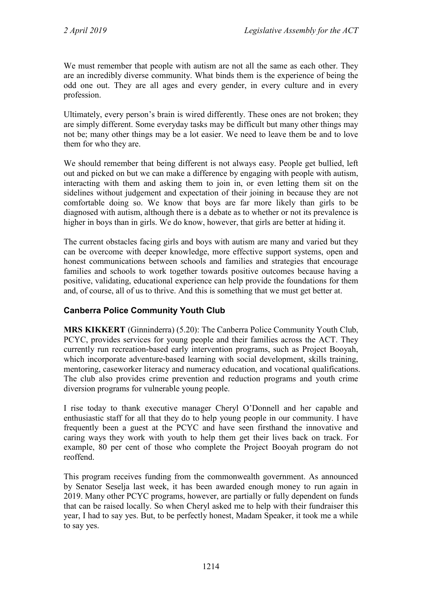We must remember that people with autism are not all the same as each other. They are an incredibly diverse community. What binds them is the experience of being the odd one out. They are all ages and every gender, in every culture and in every profession.

Ultimately, every person's brain is wired differently. These ones are not broken; they are simply different. Some everyday tasks may be difficult but many other things may not be; many other things may be a lot easier. We need to leave them be and to love them for who they are.

We should remember that being different is not always easy. People get bullied, left out and picked on but we can make a difference by engaging with people with autism, interacting with them and asking them to join in, or even letting them sit on the sidelines without judgement and expectation of their joining in because they are not comfortable doing so. We know that boys are far more likely than girls to be diagnosed with autism, although there is a debate as to whether or not its prevalence is higher in boys than in girls. We do know, however, that girls are better at hiding it.

The current obstacles facing girls and boys with autism are many and varied but they can be overcome with deeper knowledge, more effective support systems, open and honest communications between schools and families and strategies that encourage families and schools to work together towards positive outcomes because having a positive, validating, educational experience can help provide the foundations for them and, of course, all of us to thrive. And this is something that we must get better at.

## **Canberra Police Community Youth Club**

**MRS KIKKERT** (Ginninderra) (5.20): The Canberra Police Community Youth Club, PCYC, provides services for young people and their families across the ACT. They currently run recreation-based early intervention programs, such as Project Booyah, which incorporate adventure-based learning with social development, skills training, mentoring, caseworker literacy and numeracy education, and vocational qualifications. The club also provides crime prevention and reduction programs and youth crime diversion programs for vulnerable young people.

I rise today to thank executive manager Cheryl O'Donnell and her capable and enthusiastic staff for all that they do to help young people in our community. I have frequently been a guest at the PCYC and have seen firsthand the innovative and caring ways they work with youth to help them get their lives back on track. For example, 80 per cent of those who complete the Project Booyah program do not reoffend.

This program receives funding from the commonwealth government. As announced by Senator Seselja last week, it has been awarded enough money to run again in 2019. Many other PCYC programs, however, are partially or fully dependent on funds that can be raised locally. So when Cheryl asked me to help with their fundraiser this year, I had to say yes. But, to be perfectly honest, Madam Speaker, it took me a while to say yes.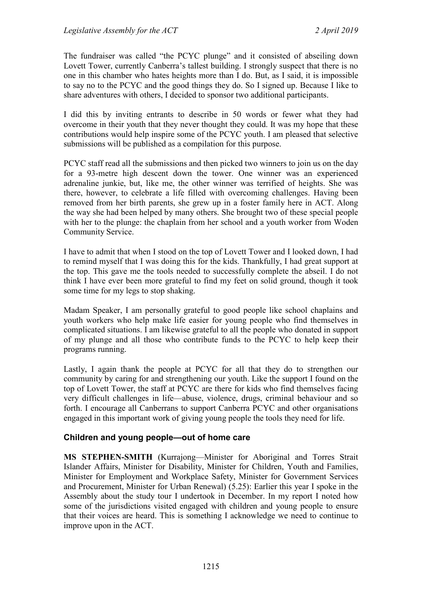The fundraiser was called "the PCYC plunge" and it consisted of abseiling down Lovett Tower, currently Canberra's tallest building. I strongly suspect that there is no one in this chamber who hates heights more than I do. But, as I said, it is impossible to say no to the PCYC and the good things they do. So I signed up. Because I like to share adventures with others, I decided to sponsor two additional participants.

I did this by inviting entrants to describe in 50 words or fewer what they had overcome in their youth that they never thought they could. It was my hope that these contributions would help inspire some of the PCYC youth. I am pleased that selective submissions will be published as a compilation for this purpose.

PCYC staff read all the submissions and then picked two winners to join us on the day for a 93-metre high descent down the tower. One winner was an experienced adrenaline junkie, but, like me, the other winner was terrified of heights. She was there, however, to celebrate a life filled with overcoming challenges. Having been removed from her birth parents, she grew up in a foster family here in ACT. Along the way she had been helped by many others. She brought two of these special people with her to the plunge: the chaplain from her school and a youth worker from Woden Community Service.

I have to admit that when I stood on the top of Lovett Tower and I looked down, I had to remind myself that I was doing this for the kids. Thankfully, I had great support at the top. This gave me the tools needed to successfully complete the abseil. I do not think I have ever been more grateful to find my feet on solid ground, though it took some time for my legs to stop shaking.

Madam Speaker, I am personally grateful to good people like school chaplains and youth workers who help make life easier for young people who find themselves in complicated situations. I am likewise grateful to all the people who donated in support of my plunge and all those who contribute funds to the PCYC to help keep their programs running.

Lastly, I again thank the people at PCYC for all that they do to strengthen our community by caring for and strengthening our youth. Like the support I found on the top of Lovett Tower, the staff at PCYC are there for kids who find themselves facing very difficult challenges in life—abuse, violence, drugs, criminal behaviour and so forth. I encourage all Canberrans to support Canberra PCYC and other organisations engaged in this important work of giving young people the tools they need for life.

## **Children and young people—out of home care**

**MS STEPHEN-SMITH** (Kurrajong—Minister for Aboriginal and Torres Strait Islander Affairs, Minister for Disability, Minister for Children, Youth and Families, Minister for Employment and Workplace Safety, Minister for Government Services and Procurement, Minister for Urban Renewal) (5.25): Earlier this year I spoke in the Assembly about the study tour I undertook in December. In my report I noted how some of the jurisdictions visited engaged with children and young people to ensure that their voices are heard. This is something I acknowledge we need to continue to improve upon in the ACT.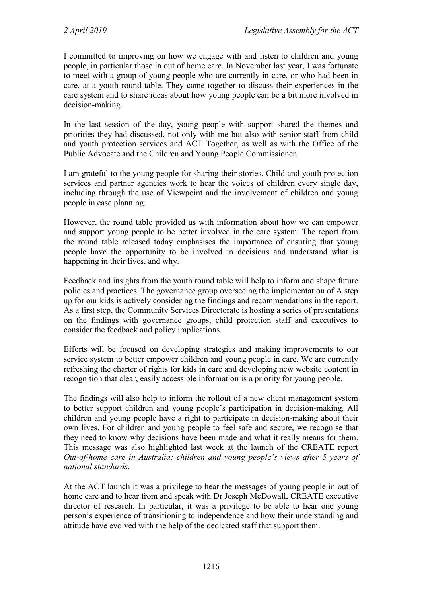I committed to improving on how we engage with and listen to children and young people, in particular those in out of home care. In November last year, I was fortunate to meet with a group of young people who are currently in care, or who had been in care, at a youth round table. They came together to discuss their experiences in the care system and to share ideas about how young people can be a bit more involved in decision-making.

In the last session of the day, young people with support shared the themes and priorities they had discussed, not only with me but also with senior staff from child and youth protection services and ACT Together, as well as with the Office of the Public Advocate and the Children and Young People Commissioner.

I am grateful to the young people for sharing their stories. Child and youth protection services and partner agencies work to hear the voices of children every single day, including through the use of Viewpoint and the involvement of children and young people in case planning.

However, the round table provided us with information about how we can empower and support young people to be better involved in the care system. The report from the round table released today emphasises the importance of ensuring that young people have the opportunity to be involved in decisions and understand what is happening in their lives, and why.

Feedback and insights from the youth round table will help to inform and shape future policies and practices. The governance group overseeing the implementation of A step up for our kids is actively considering the findings and recommendations in the report. As a first step, the Community Services Directorate is hosting a series of presentations on the findings with governance groups, child protection staff and executives to consider the feedback and policy implications.

Efforts will be focused on developing strategies and making improvements to our service system to better empower children and young people in care. We are currently refreshing the charter of rights for kids in care and developing new website content in recognition that clear, easily accessible information is a priority for young people.

The findings will also help to inform the rollout of a new client management system to better support children and young people's participation in decision-making. All children and young people have a right to participate in decision-making about their own lives. For children and young people to feel safe and secure, we recognise that they need to know why decisions have been made and what it really means for them. This message was also highlighted last week at the launch of the CREATE report *Out-of-home care in Australia: children and young people's views after 5 years of national standards*.

At the ACT launch it was a privilege to hear the messages of young people in out of home care and to hear from and speak with Dr Joseph McDowall, CREATE executive director of research. In particular, it was a privilege to be able to hear one young person's experience of transitioning to independence and how their understanding and attitude have evolved with the help of the dedicated staff that support them.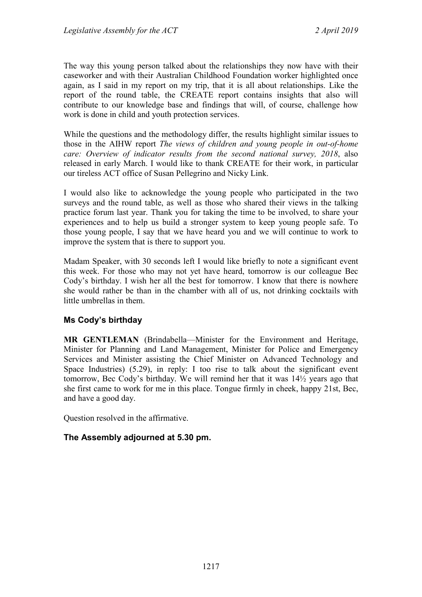The way this young person talked about the relationships they now have with their caseworker and with their Australian Childhood Foundation worker highlighted once again, as I said in my report on my trip, that it is all about relationships. Like the report of the round table, the CREATE report contains insights that also will contribute to our knowledge base and findings that will, of course, challenge how work is done in child and youth protection services.

While the questions and the methodology differ, the results highlight similar issues to those in the AIHW report *The views of children and young people in out-of-home care: Overview of indicator results from the second national survey, 2018*, also released in early March. I would like to thank CREATE for their work, in particular our tireless ACT office of Susan Pellegrino and Nicky Link.

I would also like to acknowledge the young people who participated in the two surveys and the round table, as well as those who shared their views in the talking practice forum last year. Thank you for taking the time to be involved, to share your experiences and to help us build a stronger system to keep young people safe. To those young people, I say that we have heard you and we will continue to work to improve the system that is there to support you.

Madam Speaker, with 30 seconds left I would like briefly to note a significant event this week. For those who may not yet have heard, tomorrow is our colleague Bec Cody's birthday. I wish her all the best for tomorrow. I know that there is nowhere she would rather be than in the chamber with all of us, not drinking cocktails with little umbrellas in them.

## **Ms Cody's birthday**

**MR GENTLEMAN** (Brindabella—Minister for the Environment and Heritage, Minister for Planning and Land Management, Minister for Police and Emergency Services and Minister assisting the Chief Minister on Advanced Technology and Space Industries) (5.29), in reply: I too rise to talk about the significant event tomorrow, Bec Cody's birthday. We will remind her that it was 14½ years ago that she first came to work for me in this place. Tongue firmly in cheek, happy 21st, Bec, and have a good day.

Question resolved in the affirmative.

## **The Assembly adjourned at 5.30 pm.**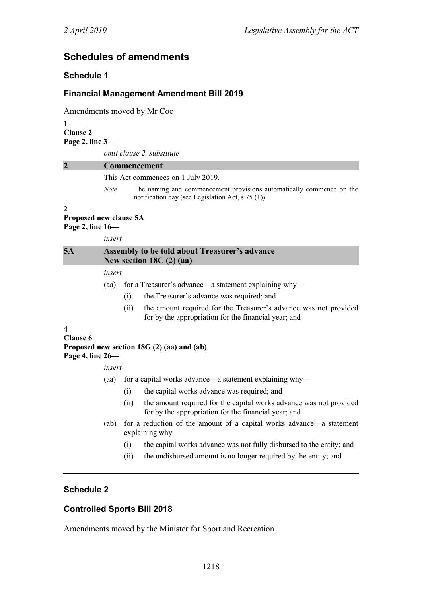# **Schedules of amendments**

## **Schedule 1**

## **Financial Management Amendment Bill 2019**

Amendments moved by Mr Coe

**1 Clause 2 Page 2, line 3—**

*omit clause 2, substitute*

#### **2 Commencement**

This Act commences on 1 July 2019.

*Note* The naming and commencement provisions automatically commence on the notification day (see Legislation Act, s 75 (1)).

#### **2**

#### **Proposed new clause 5A Page 2, line 16—**

*insert*

| 5A |        | <b>Assembly to be told about Treasurer's advance</b><br>New section $18C(2)$ (aa)                                                |  |  |
|----|--------|----------------------------------------------------------------------------------------------------------------------------------|--|--|
|    | insert |                                                                                                                                  |  |  |
|    | (aa)   | for a Treasurer's advance—a statement explaining why—                                                                            |  |  |
|    |        | the Treasurer's advance was required; and<br>(1)                                                                                 |  |  |
|    |        | the amount required for the Treasurer's advance was not provided<br>(11)<br>for by the appropriation for the financial year; and |  |  |

#### **4**

#### **Clause 6 Proposed new section 18G (2) (aa) and (ab) Page 4, line 26—**

*insert*

- (aa) for a capital works advance—a statement explaining why—
	- (i) the capital works advance was required; and
	- (ii) the amount required for the capital works advance was not provided for by the appropriation for the financial year; and
- (ab) for a reduction of the amount of a capital works advance—a statement explaining why—
	- (i) the capital works advance was not fully disbursed to the entity; and
	- (ii) the undisbursed amount is no longer required by the entity; and

## **Schedule 2**

## **Controlled Sports Bill 2018**

Amendments moved by the Minister for Sport and Recreation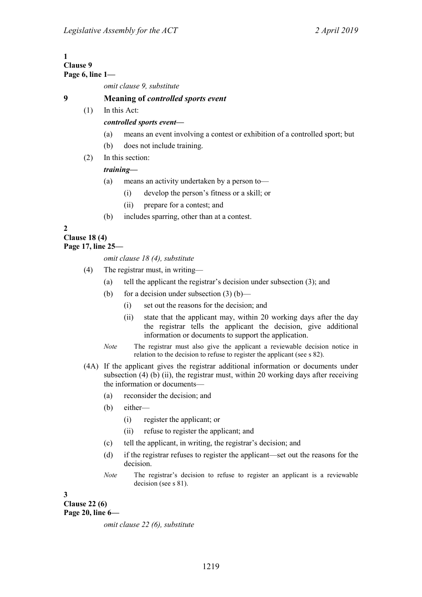| Page 6, line $1-$                                |  |  |
|--------------------------------------------------|--|--|
| omit clause 9, substitute                        |  |  |
| <b>Meaning of <i>controlled sports event</i></b> |  |  |
| In this Act:                                     |  |  |
| controlled sports event-                         |  |  |
|                                                  |  |  |

- (a) means an event involving a contest or exhibition of a controlled sport; but
- (b) does not include training.
- (2) In this section:

#### *training—*

- (a) means an activity undertaken by a person to—
	- (i) develop the person's fitness or a skill; or
	- (ii) prepare for a contest; and
- (b) includes sparring, other than at a contest.

**2**

**Clause 18 (4)**

## **Page 17, line 25—**

#### *omit clause 18 (4), substitute*

- (4) The registrar must, in writing—
	- (a) tell the applicant the registrar's decision under subsection (3); and
	- (b) for a decision under subsection  $(3)$  (b)—
		- (i) set out the reasons for the decision; and
		- (ii) state that the applicant may, within 20 working days after the day the registrar tells the applicant the decision, give additional information or documents to support the application.
	- *Note* The registrar must also give the applicant a reviewable decision notice in relation to the decision to refuse to register the applicant (see s 82).
- (4A) If the applicant gives the registrar additional information or documents under subsection  $(4)$  (b) (ii), the registrar must, within 20 working days after receiving the information or documents—
	- (a) reconsider the decision; and
	- (b) either—
		- (i) register the applicant; or
		- (ii) refuse to register the applicant; and
	- (c) tell the applicant, in writing, the registrar's decision; and
	- (d) if the registrar refuses to register the applicant—set out the reasons for the decision.
	- *Note* The registrar's decision to refuse to register an applicant is a reviewable decision (see s 81).

**3**

**Clause 22 (6) Page 20, line 6—**

*omit clause 22 (6), substitute*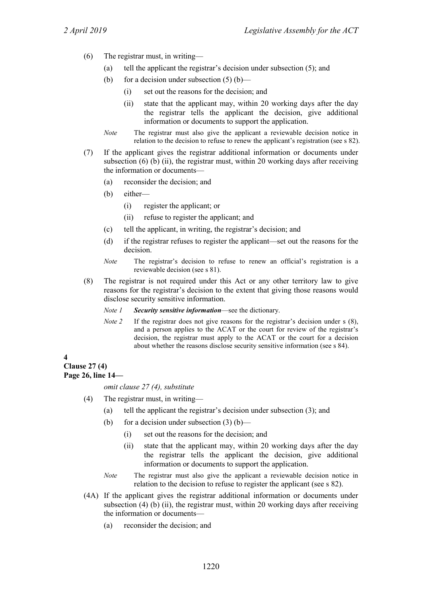- (6) The registrar must, in writing—
	- (a) tell the applicant the registrar's decision under subsection (5); and
	- (b) for a decision under subsection  $(5)$  (b)—
		- (i) set out the reasons for the decision; and
		- (ii) state that the applicant may, within 20 working days after the day the registrar tells the applicant the decision, give additional information or documents to support the application.
	- *Note* The registrar must also give the applicant a reviewable decision notice in relation to the decision to refuse to renew the applicant's registration (see s 82).
- (7) If the applicant gives the registrar additional information or documents under subsection  $(6)$   $(b)$   $(ii)$ , the registrar must, within 20 working days after receiving the information or documents—
	- (a) reconsider the decision; and
	- (b) either—
		- (i) register the applicant; or
		- (ii) refuse to register the applicant; and
	- (c) tell the applicant, in writing, the registrar's decision; and
	- (d) if the registrar refuses to register the applicant—set out the reasons for the decision.
	- *Note* The registrar's decision to refuse to renew an official's registration is a reviewable decision (see s 81).
- (8) The registrar is not required under this Act or any other territory law to give reasons for the registrar's decision to the extent that giving those reasons would disclose security sensitive information.
	- *Note 1 Security sensitive information*—see the dictionary.
	- *Note 2* If the registrar does not give reasons for the registrar's decision under s (8), and a person applies to the ACAT or the court for review of the registrar's decision, the registrar must apply to the ACAT or the court for a decision about whether the reasons disclose security sensitive information (see s 84).

#### **4**

**Clause 27 (4)**

**Page 26, line 14—**

*omit clause 27 (4), substitute*

- (4) The registrar must, in writing—
	- (a) tell the applicant the registrar's decision under subsection (3); and
	- (b) for a decision under subsection  $(3)$  (b)—
		- (i) set out the reasons for the decision; and
		- (ii) state that the applicant may, within 20 working days after the day the registrar tells the applicant the decision, give additional information or documents to support the application.
	- *Note* The registrar must also give the applicant a reviewable decision notice in relation to the decision to refuse to register the applicant (see s 82).
- (4A) If the applicant gives the registrar additional information or documents under subsection (4) (b) (ii), the registrar must, within 20 working days after receiving the information or documents—
	- (a) reconsider the decision; and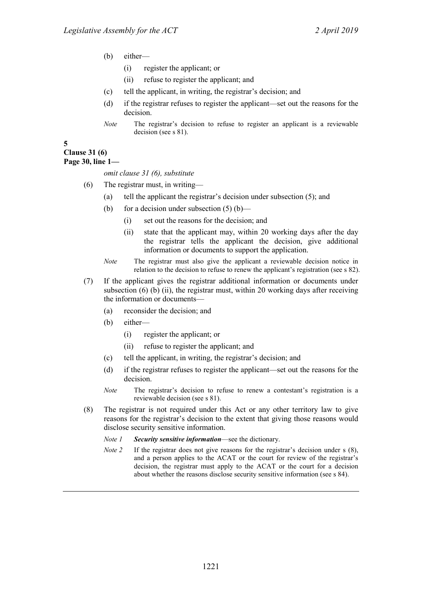- (b) either—
	- (i) register the applicant; or
	- (ii) refuse to register the applicant; and
- (c) tell the applicant, in writing, the registrar's decision; and
- (d) if the registrar refuses to register the applicant—set out the reasons for the decision.
- *Note* The registrar's decision to refuse to register an applicant is a reviewable decision (see s 81).

#### **5**

## **Clause 31 (6)**

#### **Page 30, line 1—**

#### *omit clause 31 (6), substitute*

- (6) The registrar must, in writing—
	- (a) tell the applicant the registrar's decision under subsection (5); and
	- (b) for a decision under subsection  $(5)$  (b)—
		- (i) set out the reasons for the decision; and
		- (ii) state that the applicant may, within 20 working days after the day the registrar tells the applicant the decision, give additional information or documents to support the application.
	- *Note* The registrar must also give the applicant a reviewable decision notice in relation to the decision to refuse to renew the applicant's registration (see s 82).
- (7) If the applicant gives the registrar additional information or documents under subsection (6) (b) (ii), the registrar must, within 20 working days after receiving the information or documents—
	- (a) reconsider the decision; and
	- (b) either—
		- (i) register the applicant; or
		- (ii) refuse to register the applicant; and
	- (c) tell the applicant, in writing, the registrar's decision; and
	- (d) if the registrar refuses to register the applicant—set out the reasons for the decision.
	- *Note* The registrar's decision to refuse to renew a contestant's registration is a reviewable decision (see s 81).
- (8) The registrar is not required under this Act or any other territory law to give reasons for the registrar's decision to the extent that giving those reasons would disclose security sensitive information.
	- *Note 1 Security sensitive information*—see the dictionary.
	- *Note 2* If the registrar does not give reasons for the registrar's decision under s (8), and a person applies to the ACAT or the court for review of the registrar's decision, the registrar must apply to the ACAT or the court for a decision about whether the reasons disclose security sensitive information (see s 84).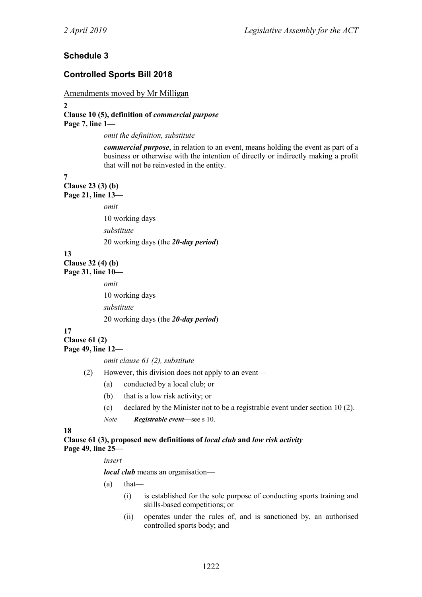## **Schedule 3**

### **Controlled Sports Bill 2018**

#### Amendments moved by Mr Milligan

**2**

### **Clause 10 (5), definition of** *commercial purpose* **Page 7, line 1—**

*omit the definition, substitute*

*commercial purpose*, in relation to an event, means holding the event as part of a business or otherwise with the intention of directly or indirectly making a profit that will not be reinvested in the entity.

**7**

**Clause 23 (3) (b) Page 21, line 13—**

*omit*

10 working days

*substitute*

20 working days (the *20-day period*)

**13**

**Clause 32 (4) (b) Page 31, line 10—**

*omit*

10 working days

*substitute*

20 working days (the *20-day period*)

**17**

**Clause 61 (2) Page 49, line 12—**

*omit clause 61 (2), substitute*

- (2) However, this division does not apply to an event—
	- (a) conducted by a local club; or
	- (b) that is a low risk activity; or
	- (c) declared by the Minister not to be a registrable event under section 10 (2).
	- *Note Registrable event*—see s 10.

**18**

**Clause 61 (3), proposed new definitions of** *local club* **and** *low risk activity* **Page 49, line 25—**

*insert*

*local club* means an organisation—

- $(a)$  that—
	- (i) is established for the sole purpose of conducting sports training and skills-based competitions; or
	- (ii) operates under the rules of, and is sanctioned by, an authorised controlled sports body; and